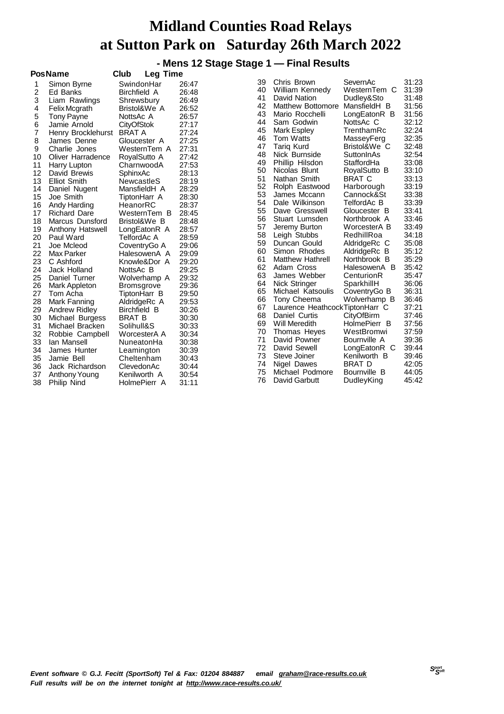#### **- Mens 12 Stage Stage 1 — Final Results**

|    | PosName             | Club<br><b>Leg Time</b> |       |    |                                |               |       |
|----|---------------------|-------------------------|-------|----|--------------------------------|---------------|-------|
| 1  | Simon Byrne         | SwindonHar              | 26:47 | 39 | Chris Brown                    | SevernAc      | 31:23 |
| 2  | Ed Banks            | <b>Birchfield A</b>     | 26:48 | 40 | William Kennedy                | WesternTem C  | 31:39 |
| 3  | Liam Rawlings       | Shrewsbury              | 26:49 | 41 | David Nation                   | Dudley&Sto    | 31:48 |
| 4  | Felix Mcgrath       | Bristol&We A            | 26:52 | 42 | <b>Matthew Bottomore</b>       | MansfieldH B  | 31:56 |
| 5  | Tony Payne          | NottsAc A               | 26:57 | 43 | Mario Rocchelli                | LongEatonR B  | 31:56 |
| 6  | Jamie Arnold        | <b>CityOfStok</b>       | 27:17 | 44 | Sam Godwin                     | NottsAc C     | 32:12 |
| 7  | Henry Brocklehurst  | <b>BRAT A</b>           | 27:24 | 45 | <b>Mark Espley</b>             | TrenthamRc    | 32:24 |
| 8  | James Denne         | Gloucester A            | 27:25 | 46 | Tom Watts                      | MasseyFerg    | 32:35 |
| 9  | Charlie Jones       | WesternTem A            | 27:31 | 47 | <b>Tarig Kurd</b>              | Bristol&We C  | 32:48 |
| 10 | Oliver Harradence   | RoyalSutto A            | 27:42 | 48 | Nick Burnside                  | SuttonInAs    | 32:54 |
| 11 | Harry Lupton        | CharnwoodA              | 27:53 | 49 | Phillip Hilsdon                | StaffordHa    | 33:08 |
| 12 | David Brewis        | SphinxAc                | 28:13 | 50 | Nicolas Blunt                  | RoyalSutto B  | 33:10 |
| 13 | <b>Elliot Smith</b> | <b>NewcastleS</b>       | 28:19 | 51 | Nathan Smith                   | <b>BRAT C</b> | 33:13 |
| 14 | Daniel Nugent       | MansfieldH A            | 28:29 | 52 | Rolph Eastwood                 | Harborough    | 33:19 |
| 15 | Joe Smith           | TiptonHarr A            | 28:30 | 53 | James Mccann                   | Cannock&St    | 33:38 |
| 16 | Andy Harding        | HeanorRC                | 28:37 | 54 | Dale Wilkinson                 | TelfordAc B   | 33:39 |
| 17 | <b>Richard Dare</b> | WesternTem B            | 28:45 | 55 | Dave Gresswell                 | Gloucester B  | 33:41 |
| 18 | Marcus Dunsford     | Bristol&We B            | 28:48 | 56 | Stuart Lumsden                 | Northbrook A  | 33:46 |
| 19 | Anthony Hatswell    | LongEatonR A            | 28:57 | 57 | Jeremy Burton                  | WorcesterA B  | 33:49 |
| 20 | Paul Ward           | TelfordAc A             | 28:59 | 58 | Leigh Stubbs                   | RedhillRoa    | 34:18 |
| 21 | Joe Mcleod          | CoventryGo A            | 29:06 | 59 | Duncan Gould                   | AldridgeRc C  | 35:08 |
| 22 | Max Parker          | HalesowenA A            | 29:09 | 60 | Simon Rhodes                   | AldridgeRc B  | 35:12 |
| 23 | C Ashford           | Knowle&Dor A            | 29:20 | 61 | <b>Matthew Hathrell</b>        | Northbrook B  | 35:29 |
| 24 | Jack Holland        | NottsAc B               | 29:25 | 62 | Adam Cross                     | HalesowenA B  | 35:42 |
| 25 | Daniel Turner       | Wolverhamp A            | 29:32 | 63 | James Webber                   | CenturionR    | 35:47 |
| 26 | Mark Appleton       | <b>Bromsgrove</b>       | 29:36 | 64 | Nick Stringer                  | SparkhillH    | 36:06 |
| 27 | Tom Acha            | TiptonHarr B            | 29:50 | 65 | Michael Katsoulis              | CoventryGo B  | 36:31 |
| 28 | Mark Fanning        | AldridgeRc A            | 29:53 | 66 | Tony Cheema                    | Wolverhamp B  | 36:46 |
| 29 | Andrew Ridley       | Birchfield B            | 30:26 | 67 | Laurence HeathcockTiptonHarr C |               | 37:21 |
| 30 | Michael Burgess     | <b>BRAT B</b>           | 30:30 | 68 | Daniel Curtis                  | CityOfBirm    | 37:46 |
| 31 | Michael Bracken     | Solihull&S              | 30:33 | 69 | Will Meredith                  | HolmePierr B  | 37:56 |
| 32 | Robbie Campbell     | WorcesterA A            | 30:34 | 70 | Thomas Heyes                   | WestBromwi    | 37:59 |
| 33 | Ian Mansell         | NuneatonHa              | 30:38 | 71 | David Powner                   | Bournville A  | 39:36 |
| 34 | James Hunter        | Leamington              | 30:39 | 72 | David Sewell                   | LongEatonR C  | 39:44 |
| 35 | Jamie Bell          | Cheltenham              | 30:43 | 73 | Steve Joiner                   | Kenilworth B  | 39:46 |
| 36 | Jack Richardson     | ClevedonAc              | 30:44 | 74 | Nigel Dawes                    | <b>BRAT D</b> | 42:05 |
| 37 | Anthony Young       | Kenilworth A            | 30:54 | 75 | Michael Podmore                | Bournville B  | 44:05 |
| 38 | Philip Nind         | HolmePierr A            | 31:11 | 76 | David Garbutt                  | DudleyKing    | 45:42 |
|    |                     |                         |       |    |                                |               |       |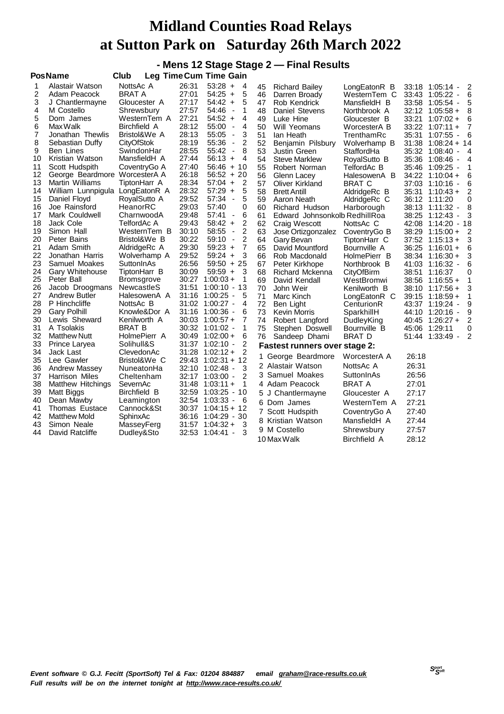**- Mens 12 Stage Stage 2 — Final Results**

|          | <b>PosName</b>                  | Club                       |       | <b>Leg Time Cum Time Gain</b>                       |    |                                      |               |       |                                           |                |
|----------|---------------------------------|----------------------------|-------|-----------------------------------------------------|----|--------------------------------------|---------------|-------|-------------------------------------------|----------------|
| 1        | Alastair Watson                 | NottsAc A                  | 26:31 | $53:28 +$<br>4                                      | 45 | <b>Richard Bailey</b>                | LongEatonR B  | 33:18 | 1:05:14 -                                 | $\overline{2}$ |
| 2        | Adam Peacock                    | <b>BRAT A</b>              | 27:01 | $54:25 +$<br>5                                      | 46 | Darren Broady                        | WesternTem C  |       | 33:43 1:05:22 -                           | 6              |
| 3        | J Chantlermayne                 | Gloucester A               | 27:17 | 5<br>$54:42 +$                                      | 47 | Rob Kendrick                         | MansfieldH B  |       | 33:58 1:05:54 -                           | 5              |
| 4        | M Costello                      | Shrewsbury                 | 27:57 | 54:46<br>1<br>$\blacksquare$                        | 48 | Daniel Stevens                       | Northbrook A  |       | $32:12$ 1:05:58 +                         | 8              |
| 5        | Dom James                       | WesternTem A               | 27:21 | 4<br>$54:52 +$                                      | 49 | Luke Hine                            | Gloucester B  |       | $33:21$ 1:07:02 +                         | 6              |
| 6        | Max Walk                        | <b>Birchfield A</b>        | 28:12 | 55:00<br>4<br>$\blacksquare$                        | 50 | Will Yeomans                         | WorcesterA B  |       | $33:22$ 1:07:11 +                         | 7              |
| 7        | Jonathan Thewlis                | Bristol&We A               | 28:13 | 3<br>55:05<br>$\blacksquare$                        | 51 | lan Heath                            | TrenthamRc    | 35:31 | $1:07:55 -$                               | 6              |
| 8        | Sebastian Duffy                 | <b>CityOfStok</b>          | 28:19 | 55:36<br>2<br>$\overline{\phantom{a}}$              | 52 | Benjamin Pilsbury                    | Wolverhamp B  |       | $31:38$ 1:08:24 + 14                      |                |
| 9        | Ben Lines                       | SwindonHar                 | 28:55 | 55:42<br>8<br>$\blacksquare$                        | 53 | Justin Green                         | StaffordHa    |       | 35:32 1:08:40<br>$\overline{\phantom{a}}$ | - 4            |
| 10       | Kristian Watson                 | MansfieldH A               | 27:44 | $56:13 +$<br>4                                      | 54 | <b>Steve Marklew</b>                 | RoyalSutto B  |       | 35:36 1:08:46 -                           | - 4            |
| 11       | Scott Hudspith                  | CoventryGo A               | 27:40 | $56:46 + 10$                                        | 55 | Robert Norman                        | TelfordAc B   |       | 35:46 1:09:25 -                           | 1              |
| 12       | George Beardmore WorcesterA A   |                            | 26:18 | $56:52 + 20$                                        | 56 | Glenn Lacey                          | HalesowenA B  |       | 34:22 1:10:04 +                           | 6              |
| 13       | Martin Williams                 | TiptonHarr A               | 28:34 | $57:04 +$<br>2                                      | 57 | <b>Oliver Kirkland</b>               | <b>BRAT C</b> |       | 37:03 1:10:16 -                           | 6              |
| 14       | William Lunnpigula LongEatonR A |                            | 28:32 | $57:29 +$<br>5                                      | 58 | <b>Brett Antill</b>                  | AldridgeRc B  | 35:31 | $1:10:43+$                                | 2              |
| 15       | Daniel Floyd                    | RoyalSutto A               | 29:52 | 57:34<br>5<br>$\blacksquare$                        | 59 | Aaron Neath                          | AldridgeRc C  |       | 36:12 1:11:20                             | 0              |
| 16       | Joe Rainsford                   | HeanorRC                   | 29:03 | 57:40<br>0                                          | 60 | Richard Hudson                       | Harborough    |       | 38:13 1:11:32 -                           | 8              |
| 17       | Mark Couldwell                  | CharnwoodA                 | 29:48 | 6<br>57:41<br>$\blacksquare$                        | 61 | Edward Johnsonkolb RedhillRoa        |               |       | 38:25 1:12:43<br>$\overline{\phantom{a}}$ | 3              |
| 18       | Jack Cole                       | TelfordAc A                | 29:43 | 2<br>$58:42 +$                                      | 62 | Craig Wescott                        | NottsAc C     |       | 42:08 1:14:20 - 18                        |                |
| 19       | Simon Hall                      | WesternTem B               | 30:10 | 2<br>58:55<br>$\blacksquare$                        | 63 | Jose Ortizgonzalez                   | CoventryGo B  |       | 38:29 1:15:00 +                           | 2              |
| 20       | Peter Bains                     | Bristol&We B               | 30:22 | $\overline{2}$<br>59:10<br>$\overline{\phantom{a}}$ | 64 | Gary Bevan                           | TiptonHarr C  |       | $37:52 \quad 1:15:13+$                    | 3              |
| 21       | Adam Smith                      | AldridgeRc A               | 29:30 | 7<br>$59:23 +$                                      | 65 | David Mountford                      | Bournville A  |       | $36:25$ 1:16:01 +                         | 6              |
| 22       | Jonathan Harris                 | Wolverhamp A               | 29:52 | 3<br>$59:24 +$                                      | 66 | Rob Macdonald                        | HolmePierr B  |       | 38:34 1:16:30 +                           | 3              |
| 23       | Samuel Moakes                   | SuttonInAs                 | 26:56 | $59:50 + 25$                                        | 67 | Peter Kirkhope                       | Northbrook B  |       | 41:03 1:16:32 -                           | 6              |
| 24       | Gary Whitehouse                 | TiptonHarr B               | 30:09 | $59:59 +$<br>3                                      | 68 | Richard Mckenna                      | CityOfBirm    |       | 38:51 1:16:37                             | 0              |
| 25       | Peter Ball                      | Bromsgrove                 |       | $30:27$ 1:00:03 +<br>1                              | 69 | David Kendall                        | WestBromwi    |       | $38:56$ 1:16:55 +                         | 1              |
| 26       | Jacob Droogmans                 | NewcastleS                 | 31:51 | 1:00:10 - 13                                        | 70 | John Weir                            | Kenilworth B  |       | 38:10 1:17:56 +                           | 3              |
| 27       | Andrew Butler                   | HalesowenA A               |       | 31:16 1:00:25 -<br>5                                | 71 | Marc Kinch                           | LongEatonR C  |       | $39:15$ 1:18:59 +                         | 1              |
| 28       | P Hinchcliffe                   | NottsAc B                  |       | 31:02 1:00:27 -<br>4                                | 72 | Ben Light                            | CenturionR    |       | 43:37 1:19:24<br>$\overline{\phantom{a}}$ | 9              |
| 29       | <b>Gary Polhill</b>             | Knowle&Dor A               |       | 31:16 1:00:36 -<br>6                                | 73 | <b>Kevin Morris</b>                  | SparkhillH    |       | 44:10 1:20:16 -                           | 9              |
| 30       | Lewis Sheward                   | Kenilworth A               |       | $30:03$ 1:00:57 +<br>7                              | 74 | Robert Langford                      | DudleyKing    |       | $40:45$ 1:26:27 +                         | 2              |
| 31<br>32 | A Tsolakis                      | <b>BRAT B</b>              |       | 30:32 1:01:02 -<br>1<br>6                           | 75 | Stephen Doswell                      | Bournville B  |       | 45:06 1:29:11                             | 0              |
| 33       | <b>Matthew Nutt</b>             | HolmePierr A<br>Solihull&S |       | $30:49$ 1:02:00 +<br>2<br>31:37 1:02:10 -           | 76 | Sandeep Dhami                        | BRAT D        |       | 51:44 1:33:49 -                           | 2              |
| 34       | Prince Laryea<br>Jack Last      | ClevedonAc                 |       | $\overline{2}$<br>$31:28$ 1:02:12 +                 |    | <b>Fastest runners over stage 2:</b> |               |       |                                           |                |
| 35       | Lee Gawler                      | Bristol&We C               |       | $29:43$ 1:02:31 + 12                                |    | George Beardmore                     | WorcesterA A  | 26:18 |                                           |                |
| 36       | <b>Andrew Massey</b>            | NuneatonHa                 |       | 3<br>32:10 1:02:48 -                                |    | 2 Alastair Watson                    | NottsAc A     | 26:31 |                                           |                |
| 37       | Harrison Miles                  | Cheltenham                 |       | 2<br>32:17 1:03:00 -                                |    | 3 Samuel Moakes                      | SuttonInAs    | 26:56 |                                           |                |
| 38       | Matthew Hitchings               | SevernAc                   |       | $31:48$ 1:03:11 +<br>1                              |    | 4 Adam Peacock                       | <b>BRAT A</b> | 27:01 |                                           |                |
| 39       | Matt Biggs                      | Birchfield B               |       | 32:59 1:03:25 - 10                                  |    | 5 J Chantlermayne                    | Gloucester A  | 27:17 |                                           |                |
| 40       | Dean Mawby                      | Leamington                 |       | 32:54 1:03:33 -<br>6                                |    |                                      |               |       |                                           |                |
| 41       | Thomas Eustace                  | Cannock&St                 |       | $30:37$ 1:04:15 + 12                                |    | 6 Dom James                          | WesternTem A  | 27:21 |                                           |                |
| 42       | <b>Matthew Mold</b>             | SphinxAc                   |       | 36:16 1:04:29 - 30                                  |    | 7 Scott Hudspith                     | CoventryGo A  | 27:40 |                                           |                |
| 43       | Simon Neale                     | MasseyFerg                 |       | $31:57$ $1:04:32 +$<br>3                            |    | 8 Kristian Watson                    | MansfieldH A  | 27:44 |                                           |                |
| 44       | David Ratcliffe                 | Dudley&Sto                 |       | 32:53 1:04:41 -<br>3                                |    | 9 M Costello                         | Shrewsbury    | 27:57 |                                           |                |
|          |                                 |                            |       |                                                     |    | 10 Max Walk                          | Birchfield A  | 28:12 |                                           |                |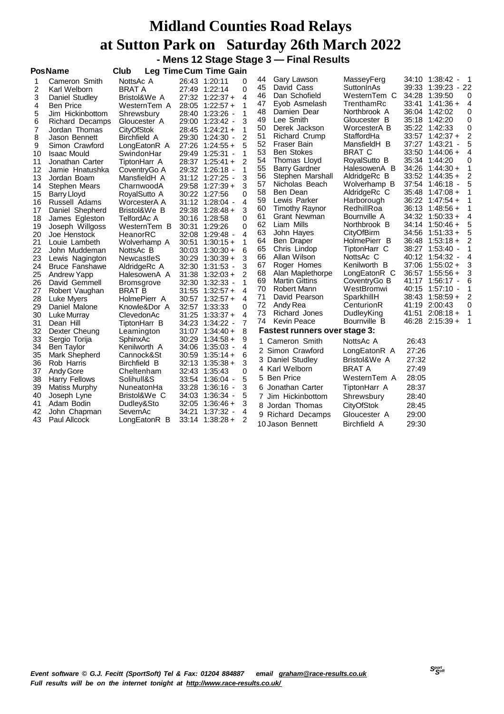#### **Midland Counties Road Relays at Sutton Park on Saturday 26th March 2022 - Mens 12 Stage Stage 3 — Final Results**

**PosName Club Leg TimeCum Time Gain**

|    |                       | ่∽∾ฯ<br>.         |       | <b>UIII IIIIV</b>                         |                |          |                                      |                          |       |                    |                |
|----|-----------------------|-------------------|-------|-------------------------------------------|----------------|----------|--------------------------------------|--------------------------|-------|--------------------|----------------|
| 1  | Cameron Smith         | NottsAc A         |       | 26:43 1:20:11                             | 0              | 44<br>45 | Gary Lawson<br>David Cass            | MasseyFerg<br>SuttonInAs |       | 34:10 1:38:42 -    | $\overline{1}$ |
| 2  | Karl Welborn          | <b>BRAT A</b>     |       | 27:49 1:22:14                             | 0              |          |                                      |                          |       | 39:33 1:39:23 - 22 |                |
| 3  | Daniel Studley        | Bristol&We A      |       | $27:32$ 1:22:37 +                         | 4              | 46       | Dan Schofield                        | WesternTem C             | 34:28 | 1:39:50            | 0              |
| 4  | <b>Ben Price</b>      | WesternTem A      | 28:05 | $1:22:57+$                                | 1              | 47       | Eyob Asmelash                        | TrenthamRc               | 33:41 | 1:41:36 +          | 4              |
| 5  | Jim Hickinbottom      | Shrewsbury        |       | 28:40 1:23:26 -                           | 1              | 48       | Damien Dear                          | Northbrook A             |       | 36:04 1:42:02      | 0              |
| 6  | Richard Decamps       | Gloucester A      |       | 29:00 1:23:42 -                           | 3              | 49       | Lee Smith                            | Gloucester B             | 35:18 | 1:42:20            | 0              |
| 7  | Jordan Thomas         | <b>CityOfStok</b> | 28:45 | $1:24:21 +$                               | 1              | 50       | Derek Jackson                        | WorcesterA B             |       | 35:22 1:42:33      | 0              |
| 8  | Jason Bennett         | Birchfield A      |       | 29:30 1:24:30 -                           | 2              | 51       | Richard Crump                        | StaffordHa               |       | $33:57$ 1:42:37 +  | 2              |
| 9  | Simon Crawford        | LongEatonR A      |       | 27:26 1:24:55 +                           | 5              | 52       | Fraser Bain                          | MansfieldH B             | 37:27 | 1:43:21            | 5              |
| 10 | <b>Isaac Mould</b>    | SwindonHar        |       | 29:49 1:25:31 -                           | 1              | 53       | <b>Ben Stokes</b>                    | <b>BRAT C</b>            | 33:50 | $1:44:06+$         | $\overline{4}$ |
| 11 | Jonathan Carter       | TiptonHarr A      |       | 28:37 1:25:41 +                           | 2              | 54       | Thomas Lloyd                         | RoyalSutto B             | 35:34 | 1:44:20            | 0              |
| 12 | Jamie Hnatushka       | CoventryGo A      |       | 29:32 1:26:18 -                           | 1              | 55       | <b>Barry Gardner</b>                 | HalesowenA B             | 34:26 | $1:44:30+$         | 1              |
| 13 | Jordan Boam           | MansfieldH A      |       | 31:12 1:27:25 -                           | 3              | 56       | Stephen Marshall                     | AldridgeRc B             | 33:52 | $1:44:35+$         | 2              |
| 14 | <b>Stephen Mears</b>  | CharnwoodA        |       | 29:58 1:27:39 +                           | 3              | 57       | Nicholas Beach                       | Wolverhamp B             | 37:54 | - 1:46:18          | 5              |
| 15 | Barry Lloyd           | RoyalSutto A      |       | 30:22 1:27:56                             | 0              | 58       | Ben Dean                             | AldridgeRc C             | 35:48 | $1:47:08 +$        | 1              |
| 16 | Russell Adams         | WorcesterA A      |       | 31:12 1:28:04 -                           | 4              | 59       | Lewis Parker                         | Harborough               |       | $36:22$ 1:47:54 +  | 1              |
| 17 | Daniel Shepherd       | Bristol&We B      | 29:38 | $1:28:48+$                                | 3              | 60       | Timothy Raynor                       | RedhillRoa               | 36:13 | 1:48:56 +          | -1             |
| 18 | James Egleston        | TelfordAc A       | 30:16 | 1:28:58                                   | 0              | 61       | Grant Newman                         | Bournville A             | 34:32 | $1:50:33+$         | 4              |
| 19 | Joseph Willgoss       | WesternTem B      | 30:31 | 1:29:26                                   | 0              | 62       | Liam Mills                           | Northbrook B             | 34:14 | $1:50:46+$         | 5              |
| 20 | Joe Henstock          | HeanorRC          | 32:08 | $1:29:48$ -                               | 4              | 63       | John Hayes                           | CityOfBirm               | 34:56 | $1:51:33 +$        | 5              |
| 21 | Louie Lambeth         | Wolverhamp A      | 30:51 | $1:30:15+$                                | 1              | 64       | Ben Draper                           | HolmePierr B             | 36:48 | $1:53:18+$         | $\overline{2}$ |
| 22 | John Muddeman         | NottsAc B         |       | $30:03$ 1:30:30 +                         | 6              | 65       | Chris Lindop                         | TiptonHarr C             |       | 38:27 1:53:40 -    | 1              |
| 23 | Lewis Nagington       | <b>NewcastleS</b> |       | $30:29$ 1:30:39 +                         | 3              | 66       | Allan Wilson                         | NottsAc C                | 40:12 | - 1:54:32 -        | 4              |
| 24 | <b>Bruce Fanshawe</b> | AldridgeRc A      | 32:30 | $1:31:53$ -                               | 3              | 67       | Roger Homes                          | Kenilworth B             | 37:06 | $1:55:02 +$        | 3              |
| 25 | Andrew Yapp           | HalesowenA A      |       | $31:38$ 1:32:03 +                         | $\overline{2}$ | 68       | Alan Maplethorpe                     | LongEatonR C             |       | $36:57$ 1:55:56 +  | 3              |
| 26 | David Gemmell         | <b>Bromsgrove</b> |       | 32:30 1:32:33 -                           | 1              | 69       | <b>Martin Gittins</b>                | CoventryGo B             | 41:17 | 1:56:17 -          | 6              |
| 27 | Robert Vaughan        | BRAT B            | 31:55 | $1:32:57+$                                | 4              | 70       | Robert Mann                          | WestBromwi               | 40:15 | 1:57:10 -          | 1              |
| 28 | Luke Myers            | HolmePierr A      |       | $30:57$ 1:32:57 +                         | 4              | 71       | David Pearson                        | SparkhillH               | 38:43 | $1:58:59+$         | 2              |
| 29 | Daniel Malone         | Knowle&Dor A      |       | 32:57 1:33:33                             | 0              | 72       | Andy Rea                             | CenturionR               |       | 41:19 2:00:43      | 0              |
| 30 | Luke Murray           | ClevedonAc        |       | $31:25$ 1:33:37 +                         | 4              | 73       | Richard Jones                        | DudleyKing               | 41:51 | $2:08:18+$         | $\overline{1}$ |
| 31 | Dean Hill             | TiptonHarr B      |       | 34:23 1:34:22 -                           | $\overline{7}$ | 74       | <b>Kevin Peace</b>                   | Bournville B             |       | $46:28$ 2:15:39 +  | $\mathbf{1}$   |
| 32 | Dexter Cheung         | Leamington        |       | $31:07$ 1:34:40 +                         | 8              |          | <b>Fastest runners over stage 3:</b> |                          |       |                    |                |
| 33 | Sergio Torija         | SphinxAc          |       | $30:29$ 1:34:58 +                         | 9              |          | 1 Cameron Smith                      | NottsAc A                | 26:43 |                    |                |
| 34 | Ben Taylor            | Kenilworth A      | 34:06 | - 1:35:03 -                               | 4              |          | 2 Simon Crawford                     | LongEatonR A             | 27:26 |                    |                |
| 35 | Mark Shepherd         | Cannock&St        | 30:59 | $1:35:14+$                                | 6              |          | 3 Daniel Studley                     | Bristol&We A             | 27:32 |                    |                |
| 36 | Rob Harris            | Birchfield B      |       | $32:13$ 1:35:38 +                         | 3              |          | 4 Karl Welborn                       | <b>BRAT A</b>            | 27:49 |                    |                |
| 37 | Andy Gore             | Cheltenham        |       | 32:43 1:35:43                             | 0              |          |                                      |                          |       |                    |                |
| 38 | <b>Harry Fellows</b>  | Solihull&S        |       | 33:54 1:36:04 -                           | 5              |          | 5 Ben Price                          | WesternTem A             | 28:05 |                    |                |
| 39 | Matiss Murphy         | NuneatonHa        |       | 33:28 1:36:16<br>$\overline{\phantom{a}}$ | 3              | 6        | Jonathan Carter                      | TiptonHarr A             | 28:37 |                    |                |
| 40 | Joseph Lyne           | Bristol&We C      |       | 34:03 1:36:34 -                           | 5              |          | 7 Jim Hickinbottom                   | Shrewsbury               | 28:40 |                    |                |
| 41 | Adam Bodin            | Dudley&Sto        | 32:05 | $1:36:46+$                                | 3              |          | 8 Jordan Thomas                      | CityOfStok               | 28:45 |                    |                |
| 42 | John Chapman          | SevernAc          | 34:21 | $1:37:32 -$                               | 4              |          | 9 Richard Decamps                    | Gloucester A             | 29:00 |                    |                |
| 43 | Paul Allcock          | LongEatonR B      |       | $33:14$ 1:38:28 +                         | 2              |          | 10 Jason Bennett                     | <b>Birchfield A</b>      | 29:30 |                    |                |
|    |                       |                   |       |                                           |                |          |                                      |                          |       |                    |                |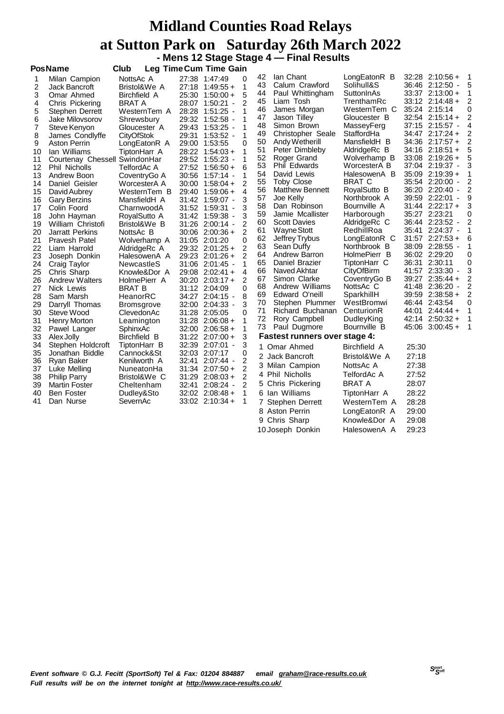#### **Midland Counties Road Relays at Sutton Park on Saturday 26th March 2022 - Mens 12 Stage Stage 4 — Final Results**

|                                                                                                                                                                                                   | <b>PosName</b>                                                                                                                                                                                                                                                                                                                                                                                                                                                                                                                                                                                            | Club                                                                                                                                                                                                                                                                                                                                                                                                                                                                                                            |       | <b>Leg Time Cum Time Gain</b>                                                                                                                                                                                                                                                                                                                                                                                                                                                                                                                                                                                                                              |                                                                                                                                                                                                            |                                                                                                                                                                                              |                                                                                                                                                                                                                                                                                                                                                                                                                                                                                                                                                                                                                  |                                                                                                                                                                                                                                                                                                                                                                                                                                                                                                    |       |                                                                                                                                                                                                                                                                                                                                                                                                                                                                                                                                                                                                                                        |                                                                                                       |
|---------------------------------------------------------------------------------------------------------------------------------------------------------------------------------------------------|-----------------------------------------------------------------------------------------------------------------------------------------------------------------------------------------------------------------------------------------------------------------------------------------------------------------------------------------------------------------------------------------------------------------------------------------------------------------------------------------------------------------------------------------------------------------------------------------------------------|-----------------------------------------------------------------------------------------------------------------------------------------------------------------------------------------------------------------------------------------------------------------------------------------------------------------------------------------------------------------------------------------------------------------------------------------------------------------------------------------------------------------|-------|------------------------------------------------------------------------------------------------------------------------------------------------------------------------------------------------------------------------------------------------------------------------------------------------------------------------------------------------------------------------------------------------------------------------------------------------------------------------------------------------------------------------------------------------------------------------------------------------------------------------------------------------------------|------------------------------------------------------------------------------------------------------------------------------------------------------------------------------------------------------------|----------------------------------------------------------------------------------------------------------------------------------------------------------------------------------------------|------------------------------------------------------------------------------------------------------------------------------------------------------------------------------------------------------------------------------------------------------------------------------------------------------------------------------------------------------------------------------------------------------------------------------------------------------------------------------------------------------------------------------------------------------------------------------------------------------------------|----------------------------------------------------------------------------------------------------------------------------------------------------------------------------------------------------------------------------------------------------------------------------------------------------------------------------------------------------------------------------------------------------------------------------------------------------------------------------------------------------|-------|----------------------------------------------------------------------------------------------------------------------------------------------------------------------------------------------------------------------------------------------------------------------------------------------------------------------------------------------------------------------------------------------------------------------------------------------------------------------------------------------------------------------------------------------------------------------------------------------------------------------------------------|-------------------------------------------------------------------------------------------------------|
| 2<br>3<br>4<br>5<br>6<br>$\overline{7}$<br>8<br>9<br>10<br>11<br>12<br>13<br>14<br>15<br>16<br>17<br>18<br>19<br>20<br>21<br>22<br>23<br>24<br>25<br>26<br>27<br>28<br>29<br>30<br>31<br>32<br>33 | Milan Campion<br>Jack Bancroft<br>Omar Ahmed<br>Chris Pickering<br>Stephen Derrett<br>Jake Milovsorov<br>Steve Kenyon<br>James Condlyffe<br><b>Aston Perrin</b><br>lan Williams<br>Courtenay Chessell SwindonHar<br><b>Phil Nicholls</b><br>Andrew Boon<br>Daniel Geisler<br>David Aubrey<br>Gary Berzins<br>Colin Foord<br>John Hayman<br>William Christofi<br><b>Jarratt Perkins</b><br>Pravesh Patel<br>Liam Harrold<br>Joseph Donkin<br>Craig Taylor<br>Chris Sharp<br><b>Andrew Walters</b><br>Nick Lewis<br>Sam Marsh<br>Darryll Thomas<br>Steve Wood<br>Henry Morton<br>Pawel Langer<br>Alex Jolly | NottsAc A<br>Bristol&We A<br>Birchfield A<br><b>BRAT A</b><br>WesternTem A<br>Shrewsbury<br>Gloucester A<br><b>CityOfStok</b><br>LongEatonR A<br>TiptonHarr A<br>TelfordAc A<br>CoventryGo A<br>WorcesterA A<br>WesternTem B<br>MansfieldH A<br>CharnwoodA<br>RoyalSutto A<br>Bristol&We B<br>NottsAc B<br>Wolverhamp A<br>AldridgeRc A<br>HalesowenA A<br>NewcastleS<br>Knowle&Dor A<br>HolmePierr A<br><b>BRAT B</b><br>HeanorRC<br><b>Bromsgrove</b><br>ClevedonAc<br>Leamington<br>SphinxAc<br>Birchfield B | 29:40 | 27:38 1:47:49<br>$27:18$ 1:49:55 +<br>25:30 1:50:00 +<br>28:07 1:50:21 -<br>28:28 1:51:25 -<br>29:32 1:52:58 -<br>29:43 1:53:25 -<br>29:31 1:53:52 -<br>29:00 1:53:55<br>$28:22$ 1:54:03 +<br>29:52 1:55:23 -<br>$27:52$ 1:56:50 +<br>30:56 1:57:14 -<br>$30:00$ 1:58:04 +<br>$1:59:06 +$<br>31:42 1:59:07 -<br>31:52 1:59:31 -<br>31:42 1:59:38 -<br>31:26 2:00:14 -<br>$30:06$ $2:00:36 +$<br>31:05 2:01:20<br>29:32 2:01:25 +<br>29:23 2:01:26 +<br>31:06 2:01:45 -<br>29:08 2:02:41 +<br>$30:20$ $2:03:17+$<br>31:12 2:04:09<br>34:27 2:04:15 -<br>32:00 2:04:33 -<br>31:28 2:05:05<br>$31:28$ 2:06:08 +<br>$32:00$ $2:06:58 +$<br>$31:22$ $2:07:00 +$ | 0<br>1<br>5<br>2<br>1<br>1<br>1<br>1<br>$\Omega$<br>1<br>1<br>6<br>1<br>2<br>4<br>3<br>3<br>2<br>$\mathcal{P}$<br>0<br>$\overline{2}$<br>$\mathcal{P}$<br>4<br>2<br>0<br>8<br>3<br>$\Omega$<br>1<br>1<br>3 | 42<br>43<br>44<br>45<br>46<br>47<br>48<br>49<br>50<br>51<br>52<br>53<br>54<br>55<br>56<br>57<br>58<br>59<br>60<br>61<br>62<br>63<br>64<br>65<br>66<br>67<br>68<br>69<br>70<br>71<br>72<br>73 | lan Chant<br>Calum Crawford<br>Paul Whittingham<br>Liam Tosh<br>James Morgan<br>Jason Tilley<br>Simon Brown<br>Christopher Seale<br>Andy Wetherill<br>Peter Dimbleby<br>Roger Grand<br>Phil Edwards<br>David Lewis<br><b>Toby Close</b><br><b>Matthew Bennett</b><br>Joe Kelly<br>Dan Robinson<br>Jamie Mcallister<br><b>Scott Davies</b><br>Wayne Stott<br>Jeffrey Trybus<br>Sean Duffy<br>Andrew Barron<br>Daniel Brazier<br>Naved Akhtar<br>Simon Clarke<br>Andrew Williams<br>Edward O'neill<br>Stephen Plummer<br>Richard Buchanan<br>Rory Campbell<br>Paul Dugmore<br><b>Fastest runners over stage 4:</b> | LongEatonR B<br>Solihull&S<br>SuttonInAs<br>TrenthamRc<br>WesternTem C<br>Gloucester B<br>MasseyFerg<br>StaffordHa<br>MansfieldH B<br>AldridgeRc B<br>Wolverhamp B<br>WorcesterA B<br>HalesowenA B<br><b>BRAT C</b><br>RoyalSutto B<br>Northbrook A<br>Bournville A<br>Harborough<br>AldridgeRc C<br>RedhillRoa<br>LongEatonR C<br>Northbrook B<br>HolmePierr B<br>TiptonHarr C<br>CityOfBirm<br>CoventryGo B<br>NottsAc C<br>SparkhillH<br>WestBromwi<br>CenturionR<br>DudleyKing<br>Bournville B | 38:09 | $32:28$ 2:10:56 +<br>36:46 2:12:50 -<br>33:37 2:13:00 +<br>$33:12$ $2:14:48+$<br>35:24 2:15:14<br>$32:54$ $2:15:14+$<br>37:15 2:15:57 -<br>34:47 2:17:24 +<br>$34:36$ $2:17:57+$<br>$34:16$ 2:18:51 +<br>33:08 2:19:26 +<br>37:04 2:19:37 -<br>35:09 2:19:39 +<br>35:54 2:20:00 -<br>36:20 2:20:40 -<br>39:59 2:22:01 -<br>$31:44$ $2:22:17+$<br>35:27 2:23:21<br>36:44 2:23:52 -<br>35:41 2:24:37 -<br>$31:57$ $2:27:53+$<br>$2:28:55 -$<br>36:02 2:29:20<br>36:31 2:30:11<br>41:57 2:33:30 -<br>39:27 2:35:44 +<br>41:48 2:36:20 -<br>39:59 2:38:58 +<br>46:44 2:43:54<br>$44:01$ 2:44:44 +<br>42:14 2:50:32 +<br>$45:06$ $3:00:45+$ | 5<br>1<br>2<br>0<br>2<br>4<br>2<br>5<br>5<br>3<br>2<br>9<br>3<br>0<br>2<br>3<br>2<br>2<br>2<br>0<br>1 |
|                                                                                                                                                                                                   |                                                                                                                                                                                                                                                                                                                                                                                                                                                                                                                                                                                                           |                                                                                                                                                                                                                                                                                                                                                                                                                                                                                                                 |       |                                                                                                                                                                                                                                                                                                                                                                                                                                                                                                                                                                                                                                                            |                                                                                                                                                                                                            |                                                                                                                                                                                              |                                                                                                                                                                                                                                                                                                                                                                                                                                                                                                                                                                                                                  |                                                                                                                                                                                                                                                                                                                                                                                                                                                                                                    |       |                                                                                                                                                                                                                                                                                                                                                                                                                                                                                                                                                                                                                                        |                                                                                                       |
|                                                                                                                                                                                                   |                                                                                                                                                                                                                                                                                                                                                                                                                                                                                                                                                                                                           |                                                                                                                                                                                                                                                                                                                                                                                                                                                                                                                 |       |                                                                                                                                                                                                                                                                                                                                                                                                                                                                                                                                                                                                                                                            |                                                                                                                                                                                                            |                                                                                                                                                                                              |                                                                                                                                                                                                                                                                                                                                                                                                                                                                                                                                                                                                                  |                                                                                                                                                                                                                                                                                                                                                                                                                                                                                                    |       |                                                                                                                                                                                                                                                                                                                                                                                                                                                                                                                                                                                                                                        |                                                                                                       |
|                                                                                                                                                                                                   |                                                                                                                                                                                                                                                                                                                                                                                                                                                                                                                                                                                                           |                                                                                                                                                                                                                                                                                                                                                                                                                                                                                                                 |       |                                                                                                                                                                                                                                                                                                                                                                                                                                                                                                                                                                                                                                                            |                                                                                                                                                                                                            |                                                                                                                                                                                              |                                                                                                                                                                                                                                                                                                                                                                                                                                                                                                                                                                                                                  |                                                                                                                                                                                                                                                                                                                                                                                                                                                                                                    |       |                                                                                                                                                                                                                                                                                                                                                                                                                                                                                                                                                                                                                                        |                                                                                                       |
|                                                                                                                                                                                                   |                                                                                                                                                                                                                                                                                                                                                                                                                                                                                                                                                                                                           |                                                                                                                                                                                                                                                                                                                                                                                                                                                                                                                 |       |                                                                                                                                                                                                                                                                                                                                                                                                                                                                                                                                                                                                                                                            |                                                                                                                                                                                                            |                                                                                                                                                                                              |                                                                                                                                                                                                                                                                                                                                                                                                                                                                                                                                                                                                                  |                                                                                                                                                                                                                                                                                                                                                                                                                                                                                                    |       |                                                                                                                                                                                                                                                                                                                                                                                                                                                                                                                                                                                                                                        | 6                                                                                                     |
|                                                                                                                                                                                                   |                                                                                                                                                                                                                                                                                                                                                                                                                                                                                                                                                                                                           |                                                                                                                                                                                                                                                                                                                                                                                                                                                                                                                 |       |                                                                                                                                                                                                                                                                                                                                                                                                                                                                                                                                                                                                                                                            |                                                                                                                                                                                                            |                                                                                                                                                                                              |                                                                                                                                                                                                                                                                                                                                                                                                                                                                                                                                                                                                                  |                                                                                                                                                                                                                                                                                                                                                                                                                                                                                                    |       |                                                                                                                                                                                                                                                                                                                                                                                                                                                                                                                                                                                                                                        | 1                                                                                                     |
|                                                                                                                                                                                                   |                                                                                                                                                                                                                                                                                                                                                                                                                                                                                                                                                                                                           |                                                                                                                                                                                                                                                                                                                                                                                                                                                                                                                 |       |                                                                                                                                                                                                                                                                                                                                                                                                                                                                                                                                                                                                                                                            |                                                                                                                                                                                                            |                                                                                                                                                                                              |                                                                                                                                                                                                                                                                                                                                                                                                                                                                                                                                                                                                                  |                                                                                                                                                                                                                                                                                                                                                                                                                                                                                                    |       |                                                                                                                                                                                                                                                                                                                                                                                                                                                                                                                                                                                                                                        | 0                                                                                                     |
|                                                                                                                                                                                                   |                                                                                                                                                                                                                                                                                                                                                                                                                                                                                                                                                                                                           |                                                                                                                                                                                                                                                                                                                                                                                                                                                                                                                 |       |                                                                                                                                                                                                                                                                                                                                                                                                                                                                                                                                                                                                                                                            |                                                                                                                                                                                                            |                                                                                                                                                                                              |                                                                                                                                                                                                                                                                                                                                                                                                                                                                                                                                                                                                                  |                                                                                                                                                                                                                                                                                                                                                                                                                                                                                                    |       |                                                                                                                                                                                                                                                                                                                                                                                                                                                                                                                                                                                                                                        | 0                                                                                                     |
|                                                                                                                                                                                                   |                                                                                                                                                                                                                                                                                                                                                                                                                                                                                                                                                                                                           |                                                                                                                                                                                                                                                                                                                                                                                                                                                                                                                 |       |                                                                                                                                                                                                                                                                                                                                                                                                                                                                                                                                                                                                                                                            |                                                                                                                                                                                                            |                                                                                                                                                                                              |                                                                                                                                                                                                                                                                                                                                                                                                                                                                                                                                                                                                                  |                                                                                                                                                                                                                                                                                                                                                                                                                                                                                                    |       |                                                                                                                                                                                                                                                                                                                                                                                                                                                                                                                                                                                                                                        |                                                                                                       |
|                                                                                                                                                                                                   |                                                                                                                                                                                                                                                                                                                                                                                                                                                                                                                                                                                                           |                                                                                                                                                                                                                                                                                                                                                                                                                                                                                                                 |       |                                                                                                                                                                                                                                                                                                                                                                                                                                                                                                                                                                                                                                                            |                                                                                                                                                                                                            |                                                                                                                                                                                              |                                                                                                                                                                                                                                                                                                                                                                                                                                                                                                                                                                                                                  |                                                                                                                                                                                                                                                                                                                                                                                                                                                                                                    |       |                                                                                                                                                                                                                                                                                                                                                                                                                                                                                                                                                                                                                                        |                                                                                                       |
|                                                                                                                                                                                                   |                                                                                                                                                                                                                                                                                                                                                                                                                                                                                                                                                                                                           |                                                                                                                                                                                                                                                                                                                                                                                                                                                                                                                 |       |                                                                                                                                                                                                                                                                                                                                                                                                                                                                                                                                                                                                                                                            |                                                                                                                                                                                                            |                                                                                                                                                                                              |                                                                                                                                                                                                                                                                                                                                                                                                                                                                                                                                                                                                                  |                                                                                                                                                                                                                                                                                                                                                                                                                                                                                                    |       |                                                                                                                                                                                                                                                                                                                                                                                                                                                                                                                                                                                                                                        |                                                                                                       |
|                                                                                                                                                                                                   |                                                                                                                                                                                                                                                                                                                                                                                                                                                                                                                                                                                                           |                                                                                                                                                                                                                                                                                                                                                                                                                                                                                                                 |       |                                                                                                                                                                                                                                                                                                                                                                                                                                                                                                                                                                                                                                                            |                                                                                                                                                                                                            |                                                                                                                                                                                              |                                                                                                                                                                                                                                                                                                                                                                                                                                                                                                                                                                                                                  |                                                                                                                                                                                                                                                                                                                                                                                                                                                                                                    |       |                                                                                                                                                                                                                                                                                                                                                                                                                                                                                                                                                                                                                                        |                                                                                                       |
|                                                                                                                                                                                                   |                                                                                                                                                                                                                                                                                                                                                                                                                                                                                                                                                                                                           |                                                                                                                                                                                                                                                                                                                                                                                                                                                                                                                 |       |                                                                                                                                                                                                                                                                                                                                                                                                                                                                                                                                                                                                                                                            |                                                                                                                                                                                                            |                                                                                                                                                                                              |                                                                                                                                                                                                                                                                                                                                                                                                                                                                                                                                                                                                                  |                                                                                                                                                                                                                                                                                                                                                                                                                                                                                                    |       |                                                                                                                                                                                                                                                                                                                                                                                                                                                                                                                                                                                                                                        |                                                                                                       |
|                                                                                                                                                                                                   |                                                                                                                                                                                                                                                                                                                                                                                                                                                                                                                                                                                                           |                                                                                                                                                                                                                                                                                                                                                                                                                                                                                                                 |       |                                                                                                                                                                                                                                                                                                                                                                                                                                                                                                                                                                                                                                                            |                                                                                                                                                                                                            |                                                                                                                                                                                              |                                                                                                                                                                                                                                                                                                                                                                                                                                                                                                                                                                                                                  |                                                                                                                                                                                                                                                                                                                                                                                                                                                                                                    |       |                                                                                                                                                                                                                                                                                                                                                                                                                                                                                                                                                                                                                                        |                                                                                                       |
|                                                                                                                                                                                                   |                                                                                                                                                                                                                                                                                                                                                                                                                                                                                                                                                                                                           |                                                                                                                                                                                                                                                                                                                                                                                                                                                                                                                 |       |                                                                                                                                                                                                                                                                                                                                                                                                                                                                                                                                                                                                                                                            |                                                                                                                                                                                                            |                                                                                                                                                                                              |                                                                                                                                                                                                                                                                                                                                                                                                                                                                                                                                                                                                                  |                                                                                                                                                                                                                                                                                                                                                                                                                                                                                                    |       |                                                                                                                                                                                                                                                                                                                                                                                                                                                                                                                                                                                                                                        | 1                                                                                                     |
|                                                                                                                                                                                                   |                                                                                                                                                                                                                                                                                                                                                                                                                                                                                                                                                                                                           |                                                                                                                                                                                                                                                                                                                                                                                                                                                                                                                 |       |                                                                                                                                                                                                                                                                                                                                                                                                                                                                                                                                                                                                                                                            |                                                                                                                                                                                                            |                                                                                                                                                                                              |                                                                                                                                                                                                                                                                                                                                                                                                                                                                                                                                                                                                                  |                                                                                                                                                                                                                                                                                                                                                                                                                                                                                                    |       |                                                                                                                                                                                                                                                                                                                                                                                                                                                                                                                                                                                                                                        |                                                                                                       |
| 34                                                                                                                                                                                                | Stephen Holdcroft                                                                                                                                                                                                                                                                                                                                                                                                                                                                                                                                                                                         | TiptonHarr B                                                                                                                                                                                                                                                                                                                                                                                                                                                                                                    |       | 32:39 2:07:01 -                                                                                                                                                                                                                                                                                                                                                                                                                                                                                                                                                                                                                                            | 3                                                                                                                                                                                                          |                                                                                                                                                                                              | 1 Omar Ahmed                                                                                                                                                                                                                                                                                                                                                                                                                                                                                                                                                                                                     | Birchfield A                                                                                                                                                                                                                                                                                                                                                                                                                                                                                       | 25:30 |                                                                                                                                                                                                                                                                                                                                                                                                                                                                                                                                                                                                                                        |                                                                                                       |
| 35                                                                                                                                                                                                | Jonathan Biddle                                                                                                                                                                                                                                                                                                                                                                                                                                                                                                                                                                                           | Cannock&St                                                                                                                                                                                                                                                                                                                                                                                                                                                                                                      |       | 32:03 2:07:17                                                                                                                                                                                                                                                                                                                                                                                                                                                                                                                                                                                                                                              | 0                                                                                                                                                                                                          |                                                                                                                                                                                              | 2 Jack Bancroft                                                                                                                                                                                                                                                                                                                                                                                                                                                                                                                                                                                                  | Bristol&We A                                                                                                                                                                                                                                                                                                                                                                                                                                                                                       | 27:18 |                                                                                                                                                                                                                                                                                                                                                                                                                                                                                                                                                                                                                                        |                                                                                                       |
| 36                                                                                                                                                                                                | Ryan Baker                                                                                                                                                                                                                                                                                                                                                                                                                                                                                                                                                                                                | Kenilworth A                                                                                                                                                                                                                                                                                                                                                                                                                                                                                                    | 32:41 | $2:07:44$ -                                                                                                                                                                                                                                                                                                                                                                                                                                                                                                                                                                                                                                                | 2                                                                                                                                                                                                          |                                                                                                                                                                                              | 3 Milan Campion                                                                                                                                                                                                                                                                                                                                                                                                                                                                                                                                                                                                  | NottsAc A                                                                                                                                                                                                                                                                                                                                                                                                                                                                                          | 27:38 |                                                                                                                                                                                                                                                                                                                                                                                                                                                                                                                                                                                                                                        |                                                                                                       |
| 37                                                                                                                                                                                                | Luke Melling                                                                                                                                                                                                                                                                                                                                                                                                                                                                                                                                                                                              | NuneatonHa                                                                                                                                                                                                                                                                                                                                                                                                                                                                                                      |       | $31:34$ $2:07:50+$                                                                                                                                                                                                                                                                                                                                                                                                                                                                                                                                                                                                                                         | 2                                                                                                                                                                                                          |                                                                                                                                                                                              |                                                                                                                                                                                                                                                                                                                                                                                                                                                                                                                                                                                                                  | TelfordAc A                                                                                                                                                                                                                                                                                                                                                                                                                                                                                        | 27:52 |                                                                                                                                                                                                                                                                                                                                                                                                                                                                                                                                                                                                                                        |                                                                                                       |
| 38                                                                                                                                                                                                | <b>Philip Parry</b>                                                                                                                                                                                                                                                                                                                                                                                                                                                                                                                                                                                       | Bristol&We C                                                                                                                                                                                                                                                                                                                                                                                                                                                                                                    |       | $31:29$ $2:08:03 +$                                                                                                                                                                                                                                                                                                                                                                                                                                                                                                                                                                                                                                        | $\overline{2}$                                                                                                                                                                                             |                                                                                                                                                                                              | 4 Phil Nicholls                                                                                                                                                                                                                                                                                                                                                                                                                                                                                                                                                                                                  |                                                                                                                                                                                                                                                                                                                                                                                                                                                                                                    |       |                                                                                                                                                                                                                                                                                                                                                                                                                                                                                                                                                                                                                                        |                                                                                                       |
| 39                                                                                                                                                                                                | <b>Martin Foster</b>                                                                                                                                                                                                                                                                                                                                                                                                                                                                                                                                                                                      | Cheltenham                                                                                                                                                                                                                                                                                                                                                                                                                                                                                                      | 32:41 | $2:08:24$ -                                                                                                                                                                                                                                                                                                                                                                                                                                                                                                                                                                                                                                                | 2                                                                                                                                                                                                          |                                                                                                                                                                                              | 5 Chris Pickering                                                                                                                                                                                                                                                                                                                                                                                                                                                                                                                                                                                                | <b>BRAT A</b>                                                                                                                                                                                                                                                                                                                                                                                                                                                                                      | 28:07 |                                                                                                                                                                                                                                                                                                                                                                                                                                                                                                                                                                                                                                        |                                                                                                       |
| 40<br>41                                                                                                                                                                                          | Ben Foster<br>Dan Nurse                                                                                                                                                                                                                                                                                                                                                                                                                                                                                                                                                                                   | Dudley&Sto<br>SevernAc                                                                                                                                                                                                                                                                                                                                                                                                                                                                                          |       | $32:02$ $2:08:48 +$                                                                                                                                                                                                                                                                                                                                                                                                                                                                                                                                                                                                                                        | 1<br>1                                                                                                                                                                                                     |                                                                                                                                                                                              | 6 Ian Williams                                                                                                                                                                                                                                                                                                                                                                                                                                                                                                                                                                                                   | TiptonHarr A                                                                                                                                                                                                                                                                                                                                                                                                                                                                                       | 28:22 |                                                                                                                                                                                                                                                                                                                                                                                                                                                                                                                                                                                                                                        |                                                                                                       |
|                                                                                                                                                                                                   |                                                                                                                                                                                                                                                                                                                                                                                                                                                                                                                                                                                                           |                                                                                                                                                                                                                                                                                                                                                                                                                                                                                                                 |       | 33:02 2:10:34 +                                                                                                                                                                                                                                                                                                                                                                                                                                                                                                                                                                                                                                            |                                                                                                                                                                                                            |                                                                                                                                                                                              | 7 Stephen Derrett                                                                                                                                                                                                                                                                                                                                                                                                                                                                                                                                                                                                | WesternTem A                                                                                                                                                                                                                                                                                                                                                                                                                                                                                       | 28:28 |                                                                                                                                                                                                                                                                                                                                                                                                                                                                                                                                                                                                                                        |                                                                                                       |
|                                                                                                                                                                                                   |                                                                                                                                                                                                                                                                                                                                                                                                                                                                                                                                                                                                           |                                                                                                                                                                                                                                                                                                                                                                                                                                                                                                                 |       |                                                                                                                                                                                                                                                                                                                                                                                                                                                                                                                                                                                                                                                            |                                                                                                                                                                                                            | 8                                                                                                                                                                                            | <b>Aston Perrin</b>                                                                                                                                                                                                                                                                                                                                                                                                                                                                                                                                                                                              | LongEatonR A                                                                                                                                                                                                                                                                                                                                                                                                                                                                                       | 29:00 |                                                                                                                                                                                                                                                                                                                                                                                                                                                                                                                                                                                                                                        |                                                                                                       |
|                                                                                                                                                                                                   |                                                                                                                                                                                                                                                                                                                                                                                                                                                                                                                                                                                                           |                                                                                                                                                                                                                                                                                                                                                                                                                                                                                                                 |       |                                                                                                                                                                                                                                                                                                                                                                                                                                                                                                                                                                                                                                                            |                                                                                                                                                                                                            | 9                                                                                                                                                                                            | Chris Sharp                                                                                                                                                                                                                                                                                                                                                                                                                                                                                                                                                                                                      | Knowle&Dor A                                                                                                                                                                                                                                                                                                                                                                                                                                                                                       | 29:08 |                                                                                                                                                                                                                                                                                                                                                                                                                                                                                                                                                                                                                                        |                                                                                                       |

Joseph Donkin HalesowenA A 29:23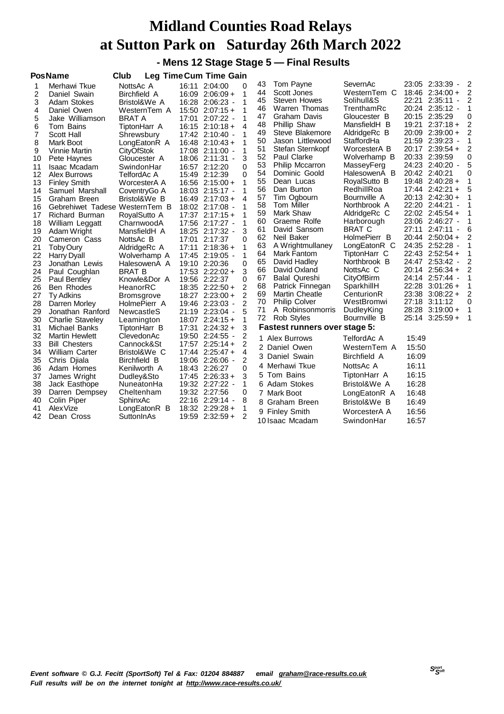#### **- Mens 12 Stage Stage 5 — Final Results**

|    | <b>PosName</b>                 | Club                |       | Leg Time Cum Time Gain |                |    |                                      |               |       |                                           |                |
|----|--------------------------------|---------------------|-------|------------------------|----------------|----|--------------------------------------|---------------|-------|-------------------------------------------|----------------|
| 1  | Merhawi Tkue                   | NottsAc A           |       | 16:11 2:04:00          | 0              | 43 | Tom Payne                            | SevernAc      |       | 23:05 2:33:39<br>$\overline{\phantom{a}}$ | 2              |
| 2  | Daniel Swain                   | <b>Birchfield A</b> |       | 16:09 2:06:09 +        | 1              | 44 | Scott Jones                          | WesternTem C  |       | $18:46$ 2:34:00 +                         | $\overline{2}$ |
| 3  | <b>Adam Stokes</b>             | Bristol&We A        |       | 16:28 2:06:23 -        | 1              | 45 | <b>Steven Howes</b>                  | Solihull&S    |       | 22:21 2:35:11<br>$\overline{\phantom{a}}$ | $\overline{2}$ |
| 4  | Daniel Owen                    | WesternTem A        |       | $15:50$ $2:07:15+$     | 1              | 46 | Warren Thomas                        | TrenthamRc    |       | 20:24 2:35:12 -                           | 1              |
| 5  | Jake Williamson                | <b>BRAT A</b>       | 17:01 | $2:07:22 -$            | 1              | 47 | Graham Davis                         | Gloucester B  |       | 20:15 2:35:29                             | 0              |
| 6  | Tom Bains                      | TiptonHarr A        |       | $16:15$ 2:10:18 +      | $\overline{4}$ | 48 | <b>Phillip Shaw</b>                  | MansfieldH B  | 19:21 | $2:37:18+$                                | 2              |
| 7  | Scott Hall                     | Shrewsbury          |       | 17:42 2:10:40 -        | 1              | 49 | Steve Blakemore                      | AldridgeRc B  | 20:09 | $2:39:00 +$                               | $\overline{c}$ |
| 8  | Mark Boot                      | LongEatonR A        | 16:48 | $2:10:43+$             | 1              | 50 | Jason Littlewood                     | StaffordHa    |       | 21:59 2:39:23 -                           | 1              |
| 9  | Vinnie Martin                  | <b>CityOfStok</b>   |       | 17:08 2:11:00 -        | 1              | 51 | Stefan Sternkopf                     | WorcesterA B  |       | 20:17 2:39:54 +                           | 2              |
| 10 | Pete Haynes                    | Gloucester A        |       | 18:06 2:11:31 -        | 3              | 52 | Paul Clarke                          | Wolverhamp B  |       | 20:33 2:39:59                             | 0              |
| 11 | <b>Isaac Mcadam</b>            | SwindonHar          |       | 16:57 2:12:20          | 0              | 53 | <b>Philip Mccarron</b>               | MasseyFerg    |       | 24:23 2:40:20 -                           | 5              |
| 12 | Alex Burrows                   | TelfordAc A         |       | 15:49 2:12:39          | 0              | 54 | Dominic Goold                        | HalesowenA B  |       | 20:42 2:40:21                             | 0              |
| 13 | <b>Finley Smith</b>            | WorcesterA A        |       | $16:56$ $2:15:00+$     | 1              | 55 | Dean Lucas                           | RoyalSutto B  |       | 19:48 2:40:28 +                           | 1              |
| 14 | Samuel Marshall                | CoventryGo A        |       | 18:03 2:15:17 -        | 1              | 56 | Dan Burton                           | RedhillRoa    |       | $17:44$ $2:42:21 +$                       | 5              |
| 15 | Graham Breen                   | Bristol&We B        |       | $16:49$ 2:17:03 +      | 4              | 57 | Tim Ogbourn                          | Bournville A  |       | 20:13 2:42:30 +                           | 1              |
| 16 | Gebrehiwet Tadese WesternTem B |                     |       | 18:02 2:17:08 -        | 1              | 58 | Tom Miller                           | Northbrook A  |       | 22:20 2:44:21                             | 1              |
| 17 | Richard Burman                 | RoyalSutto A        |       | $17:37$ $2:17:15+$     | 1              | 59 | Mark Shaw                            | AldridgeRc C  |       | 22:02 2:45:54 +                           | 1              |
| 18 | William Leggatt                | CharnwoodA          |       | 17:56 2:17:27 -        | 1              | 60 | Graeme Rolfe                         | Harborough    |       | 23:06 2:46:27 -                           | 1              |
| 19 | Adam Wright                    | MansfieldH A        |       | 18:25 2:17:32 -        | 3              | 61 | David Sansom                         | <b>BRAT C</b> |       | 27:11 2:47:11                             | 6              |
| 20 | Cameron Cass                   | NottsAc B           |       | 17:01 2:17:37          | 0              | 62 | Neil Baker                           | HolmePierr B  |       | $20:44$ 2:50:04 +                         | 2              |
| 21 | Toby Oury                      | AldridgeRc A        | 17:11 | $2:18:36+$             | 1              | 63 | A Wrightmullaney                     | LongEatonR C  |       | 24:35 2:52:28 -                           | 1              |
| 22 | <b>Harry Dyall</b>             | Wolverhamp A        |       | 17:45 2:19:05 -        | 1              | 64 | Mark Fantom                          | TiptonHarr C  |       | $22:43$ $2:52:54 +$                       | 1              |
| 23 | Jonathan Lewis                 | HalesowenA A        |       | 19:10 2:20:36          | 0              | 65 | David Hadley                         | Northbrook B  |       | 24:47 2:53:42 -                           | 2              |
| 24 | Paul Coughlan                  | <b>BRAT B</b>       |       | $17:53$ $2:22:02+$     | 3              | 66 | David Oxland                         | NottsAc C     |       | $20:14$ $2:56:34 +$                       | $\overline{2}$ |
| 25 | Paul Bentley                   | Knowle&Dor A        |       | 19:56 2:22:37          | 0              | 67 | <b>Balal Qureshi</b>                 | CityOfBirm    |       | 24:14 2:57:44 -                           | 1              |
| 26 | Ben Rhodes                     | HeanorRC            |       | 18:35 2:22:50 +        | $\overline{2}$ | 68 | Patrick Finnegan                     | SparkhillH    |       | 22:28 3:01:26 +                           | 1              |
| 27 | Ty Adkins                      | <b>Bromsgrove</b>   |       | 18:27 2:23:00 +        | 2              | 69 | <b>Martin Cheatle</b>                | CenturionR    |       | 23:38 3:08:22 +                           | 2              |
| 28 | Darren Morley                  | HolmePierr A        |       | 19:46 2:23:03 -        | 2              | 70 | <b>Philip Colver</b>                 | WestBromwi    | 27:18 | 3:11:12                                   | 0              |
| 29 | Jonathan Ranford               | NewcastleS          |       | 21:19 2:23:04 -        | 5              | 71 | A Robinsonmorris                     | DudleyKing    |       | 28:28 3:19:00 +                           | $\mathbf{1}$   |
| 30 | <b>Charlie Staveley</b>        | Leamington          |       | $18:07$ $2:24:15+$     | 1              | 72 | Rob Styles                           | Bournville B  |       | 25:14 3:25:59 +                           | 1              |
| 31 | Michael Banks                  | TiptonHarr B        | 17:31 | $2:24:32+$             | 3              |    | <b>Fastest runners over stage 5:</b> |               |       |                                           |                |
| 32 | <b>Martin Hewlett</b>          | ClevedonAc          |       | 19:50 2:24:55 -        | 2              |    | 1 Alex Burrows                       | TelfordAc A   | 15:49 |                                           |                |
| 33 | <b>Bill Chesters</b>           | Cannock&St          |       | $17:57$ $2:25:14+$     | 2              |    | 2 Daniel Owen                        | WesternTem A  | 15:50 |                                           |                |
| 34 | <b>William Carter</b>          | Bristol&We C        |       | $17:44$ $2:25:47+$     | 4              | 3  | Daniel Swain                         | Birchfield A  | 16:09 |                                           |                |
| 35 | Chris Djiala                   | <b>Birchfield B</b> |       | 19:06 2:26:06 -        | 2              |    | 4 Merhawi Tkue                       | NottsAc A     | 16:11 |                                           |                |
| 36 | Adam Homes                     | Kenilworth A        |       | 18:43 2:26:27          | 0              |    | 5 Tom Bains                          |               | 16:15 |                                           |                |
| 37 | James Wright                   | Dudley&Sto          |       | $17:45$ $2:26:33+$     | 3              |    |                                      | TiptonHarr A  |       |                                           |                |
| 38 | Jack Easthope                  | NuneatonHa          |       | 19:32 2:27:22 -        | 1              |    | 6 Adam Stokes                        | Bristol&We A  | 16:28 |                                           |                |
| 39 | Darren Dempsey                 | Cheltenham          |       | 19:32 2:27:56          | 0              |    | 7 Mark Boot                          | LongEatonR A  | 16:48 |                                           |                |
| 40 | Colin Piper                    | SphinxAc            | 22:16 | $2:29:14 -$            | 8              |    | 8 Graham Breen                       | Bristol&We B  | 16:49 |                                           |                |
| 41 | Alex Vize                      | LongEatonR B        |       | 18:32 2:29:28 +        | 1              |    | 9 Finley Smith                       | WorcesterA A  | 16:56 |                                           |                |
| 42 | Dean Cross                     | SuttonInAs          |       | 19:59 2:32:59 +        | 2              |    | 10 Isaac Mcadam                      | SwindonHar    | 16:57 |                                           |                |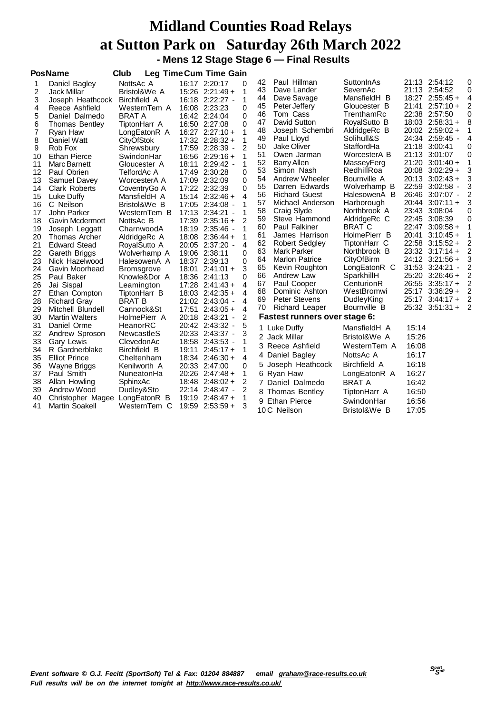#### **Midland Counties Road Relays at Sutton Park on Saturday 26th March 2022 - Mens 12 Stage Stage 6 — Final Results**

|    | <b>PosName</b>        | Club                |       | Leg Time Cum Time Gain                    |                |    |                               |                     |       |                                     |                |
|----|-----------------------|---------------------|-------|-------------------------------------------|----------------|----|-------------------------------|---------------------|-------|-------------------------------------|----------------|
| 1  | Daniel Bagley         | NottsAc A           |       | 16:17 2:20:17                             | 0              | 42 | Paul Hillman                  | SuttonInAs          |       | 21:13 2:54:12                       | 0              |
| 2  | <b>Jack Millar</b>    | Bristol&We A        |       | $15:26$ $2:21:49+$                        | 1              | 43 | Dave Lander                   | SevernAc            |       | 21:13 2:54:52                       | 0              |
| 3  | Joseph Heathcock      | <b>Birchfield A</b> |       | 16:18 2:22:27 -                           | $\mathbf{1}$   | 44 | Dave Savage                   | MansfieldH B        |       | $18:27$ $2:55:45+$                  | 4              |
| 4  | Reece Ashfield        | WesternTem A        |       | 16:08 2:23:23                             | 0              | 45 | Peter Jeffery                 | Gloucester B        |       | $21:41$ $2:57:10+$                  | 2              |
| 5  | Daniel Dalmedo        | <b>BRAT A</b>       |       | 16:42 2:24:04                             | 0              | 46 | Tom Cass                      | TrenthamRc          |       | 22:38 2:57:50                       | 0              |
| 6  | <b>Thomas Bentley</b> | TiptonHarr A        |       | 16:50 2:27:08                             | 0              | 47 | David Sutton                  | RoyalSutto B        |       | $18:03$ $2:58:31 +$                 | 8              |
| 7  | Ryan Haw              | LongEatonR A        |       | $16:27$ $2:27:10+$                        | 1              | 48 | Joseph Schembri               | AldridgeRc B        |       | $20:02$ 2:59:02 +                   | 1              |
| 8  | Daniel Watt           | <b>CityOfStok</b>   |       | $17:32$ $2:28:32 +$                       | 1              | 49 | Paul Lloyd                    | Solihull&S          |       | 24:34 2:59:45 -                     | 4              |
| 9  | Rob Fox               | Shrewsbury          | 17:59 | $2:28:39$ -                               | 2              | 50 | <b>Jake Oliver</b>            | StaffordHa          | 21:18 | 3:00:41                             | 0              |
| 10 | <b>Ethan Pierce</b>   | SwindonHar          |       | $16:56$ 2:29:16 +                         | 1              | 51 | Owen Jarman                   | WorcesterA B        |       | 21:13 3:01:07                       | 0              |
| 11 | <b>Marc Barnett</b>   | Gloucester A        | 18:11 | $2:29:42 -$                               | 1              | 52 | <b>Barry Allen</b>            | MasseyFerg          | 21:20 | $3:01:40+$                          | 1              |
| 12 | Paul Obrien           | TelfordAc A         |       | 17:49 2:30:28                             | 0              | 53 | Simon Nash                    | RedhillRoa          | 20:08 | $3:02:29+$                          | 3              |
| 13 | Samuel Davey          | WorcesterA A        |       | 17:09 2:32:09                             | 0              | 54 | Andrew Wheeler                | Bournville A        | 20:13 | $3:02:43+$                          | 3              |
| 14 | <b>Clark Roberts</b>  | CoventryGo A        |       | 17:22 2:32:39                             | 0              | 55 | Darren Edwards                | Wolverhamp B        |       | 22:59 3:02:58 -                     | 3              |
| 15 | Luke Duffy            | MansfieldH A        |       | $15:14$ $2:32:46 +$                       | 4              | 56 | <b>Richard Guest</b>          | HalesowenA B        |       | 26:46 3:07:07 -                     | 2              |
| 16 | C Neilson             | Bristol&We B        |       | 17:05 2:34:08 -                           | 1              | 57 | Michael Anderson              | Harborough          |       | $20:44$ $3:07:11 +$                 | 3              |
| 17 | John Parker           | WesternTem B        |       | 17:13 2:34:21<br>$\overline{\phantom{a}}$ | 1              | 58 | Craig Slyde                   | Northbrook A        | 23:43 | 3:08:04                             | 0              |
| 18 | Gavin Mcdermott       | NottsAc B           | 17:39 | $2:35:16+$                                | 2              | 59 | Steve Hammond                 | AldridgeRc C        |       | 22:45 3:08:39                       | 0              |
| 19 | Joseph Leggatt        | CharnwoodA          |       | 18:19 2:35:46 -                           | 1              | 60 | <b>Paul Falkiner</b>          | <b>BRAT C</b>       | 22:47 | $3:09:58+$                          | 1              |
| 20 | Thomas Archer         | AldridgeRc A        |       | $18:08$ 2:36:44 +                         | 1              | 61 | James Harrison                | HolmePierr B        | 20:41 | $3:10:45+$                          | 1              |
| 21 | <b>Edward Stead</b>   | RoyalSutto A        |       | 20:05 2:37:20 -                           | 4              | 62 | <b>Robert Sedgley</b>         | TiptonHarr C        | 22:58 | $3:15:52+$                          | 2              |
| 22 | Gareth Briggs         | Wolverhamp A        |       | 19:06 2:38:11                             | 0              | 63 | <b>Mark Parker</b>            | Northbrook B        |       | $23:32$ $3:17:14 +$                 | $\overline{2}$ |
| 23 | Nick Hazelwood        | HalesowenA A        |       | 18:37 2:39:13                             | $\Omega$       | 64 | <b>Marlon Patrice</b>         | CityOfBirm          |       | 24:12 3:21:56 +                     | 3              |
| 24 | Gavin Moorhead        | <b>Bromsgrove</b>   | 18:01 | $2:41:01+$                                | 3              | 65 | Kevin Roughton                | LongEatonR C        | 31:53 | 3:24:21<br>$\overline{\phantom{a}}$ | $\overline{2}$ |
| 25 | Paul Baker            | Knowle&Dor A        |       | 18:36 2:41:13                             | 0              | 66 | Andrew Law                    | SparkhillH          | 25:20 | $3:26:46+$                          | 2              |
| 26 | Jai Sispal            | Leamington          |       | $17:28$ $2:41:43+$                        | 4              | 67 | Paul Cooper                   | CenturionR          |       | 26:55 3:35:17 +                     | $\overline{c}$ |
| 27 | Ethan Compton         | TiptonHarr B        |       | $18:03$ $2:42:35+$                        | 4              | 68 | Dominic Ashton                | WestBromwi          |       | 25:17 3:36:29 +                     | 2              |
| 28 | <b>Richard Gray</b>   | <b>BRAT B</b>       |       | 21:02 2:43:04 -                           | 4              | 69 | <b>Peter Stevens</b>          | DudleyKing          | 25:17 | $3:44:17+$                          | $\overline{2}$ |
| 29 | Mitchell Blundell     | Cannock&St          | 17:51 | $2:43:05+$                                | 4              | 70 | Richard Leaper                | Bournville B        |       | 25:32 3:51:31 +                     | $\overline{2}$ |
| 30 | <b>Martin Walters</b> | HolmePierr A        |       | 20:18 2:43:21<br>$\overline{\phantom{a}}$ | $\overline{2}$ |    | Fastest runners over stage 6: |                     |       |                                     |                |
| 31 | Daniel Orme           | HeanorRC            |       | 20:42 2:43:32 -                           | 5              |    | 1 Luke Duffy                  | MansfieldH A        | 15:14 |                                     |                |
| 32 | Andrew Sproson        | NewcastleS          |       | 20:33 2:43:37 -                           | 3              |    | 2 Jack Millar                 | Bristol&We A        | 15:26 |                                     |                |
| 33 | <b>Gary Lewis</b>     | ClevedonAc          |       | 18:58 2:43:53 -                           | 1              | 3  | Reece Ashfield                | WesternTem A        | 16:08 |                                     |                |
| 34 | R Gardnerblake        | Birchfield B        | 19:11 | $2:45:17+$                                | 1              |    | 4 Daniel Bagley               | NottsAc A           | 16:17 |                                     |                |
| 35 | <b>Elliot Prince</b>  | Cheltenham          |       | $18:34$ $2:46:30 +$                       | 4              |    |                               |                     |       |                                     |                |
| 36 | Wayne Briggs          | Kenilworth A        |       | 20:33 2:47:00                             | 0              |    | 5 Joseph Heathcock            | <b>Birchfield A</b> | 16:18 |                                     |                |
| 37 | Paul Smith            | NuneatonHa          |       | 20:26 2:47:48 +                           | 1              |    | 6 Ryan Haw                    | LongEatonR A        | 16:27 |                                     |                |
| 38 | Allan Howling         | SphinxAc            |       | $18:48$ 2:48:02 +                         | 2              |    | 7 Daniel Dalmedo              | <b>BRAT A</b>       | 16:42 |                                     |                |
| 39 | Andrew Wood           | Dudley&Sto          |       | 22:14 2:48:47 -                           | 2              | 8  | <b>Thomas Bentley</b>         | TiptonHarr A        | 16:50 |                                     |                |
| 40 | Christopher Magee     | LongEatonR B        | 19:19 | $2:48:47+$                                | 1              |    | 9 Ethan Pierce                | SwindonHar          | 16:56 |                                     |                |
| 41 | <b>Martin Soakell</b> | WesternTem C        |       | $19:59$ $2:53:59 +$                       | 3              |    | 10 C Neilson                  | Bristol&We B        | 17:05 |                                     |                |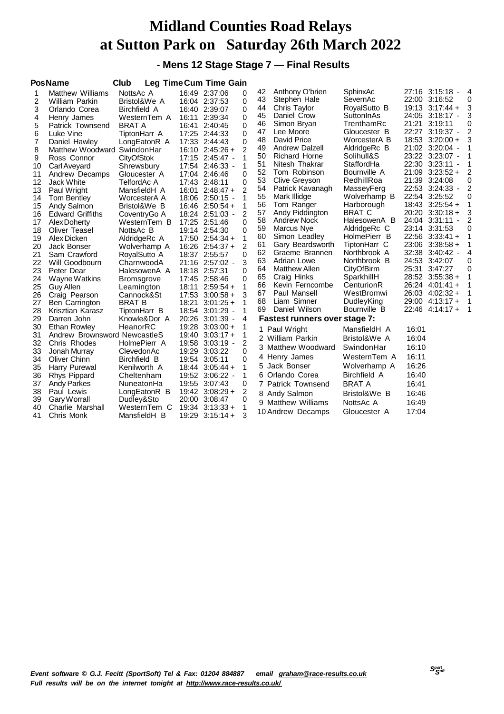#### **- Mens 12 Stage Stage 7 — Final Results**

|                | <b>PosName</b>               | Club              |       | <b>Leg Time Cum Time Gain</b> |                |    |                                      |               |       |                                           |                |
|----------------|------------------------------|-------------------|-------|-------------------------------|----------------|----|--------------------------------------|---------------|-------|-------------------------------------------|----------------|
| 1              | Matthew Williams             | NottsAc A         |       | 16:49 2:37:06                 | 0              | 42 | Anthony O'brien                      | SphinxAc      |       | 27:16 3:15:18 -                           | 4              |
| 2              | <b>William Parkin</b>        | Bristol&We A      |       | 16:04 2:37:53                 | $\Omega$       | 43 | Stephen Hale                         | SevernAc      |       | 22:00 3:16:52                             | 0              |
| 3              | Orlando Corea                | Birchfield A      |       | 16:40 2:39:07                 | 0              | 44 | Chris Taylor                         | RoyalSutto B  |       | $19:13$ $3:17:44 +$                       | 3              |
| 4              | Henry James                  | WesternTem A      | 16:11 | 2:39:34                       | 0              | 45 | Daniel Crow                          | SuttonInAs    |       | 24:05 3:18:17 -                           | 3              |
| 5              | Patrick Townsend             | <b>BRAT A</b>     | 16:41 | 2:40:45                       | 0              | 46 | Simon Bryan                          | TrenthamRc    | 21:21 | 3:19:11                                   | 0              |
| 6              | Luke Vine                    | TiptonHarr A      | 17:25 | 2:44:33                       | 0              | 47 | Lee Moore                            | Gloucester B  |       | 22:27 3:19:37 -                           | 2              |
| $\overline{7}$ | Daniel Hawley                | LongEatonR A      |       | 17:33 2:44:43                 | $\Omega$       | 48 | David Price                          | WorcesterA B  |       | 18:53 3:20:00 +                           | 3              |
| 8              | Matthew Woodward SwindonHar  |                   |       | 16:10 2:45:26 +               | 2              | 49 | <b>Andrew Dalzell</b>                | AldridgeRc B  |       | 21:02 3:20:04 -                           | 1              |
| 9              | Ross Connor                  | <b>CityOfStok</b> |       | 17:15 2:45:47 -               | 1              | 50 | <b>Richard Horne</b>                 | Solihull&S    |       | 23:22 3:23:07 -                           | 1              |
| 10             | Carl Aveyard                 | Shrewsbury        |       | 17:54 2:46:33 -               | 1              | 51 | Nitesh Thakrar                       | StaffordHa    |       | 22:30 3:23:11                             | 1              |
| 11             | Andrew Decamps               | Gloucester A      |       | 17:04 2:46:46                 | $\Omega$       | 52 | Tom Robinson                         | Bournville A  |       | $21:09$ $3:23:52 +$                       | 2              |
| 12             | <b>Jack White</b>            | TelfordAc A       |       | 17:43 2:48:11                 | 0              | 53 | Clive Greyson                        | RedhillRoa    |       | 21:39 3:24:08                             | 0              |
| 13             | Paul Wright                  | MansfieldH A      |       | $16:01$ 2:48:47 +             | 2              | 54 | Patrick Kavanagh                     | MasseyFerg    |       | 22:53 3:24:33 -                           | $\overline{2}$ |
| 14             | <b>Tom Bentley</b>           | WorcesterA A      |       | 18:06 2:50:15 -               |                | 55 | Mark Illidge                         | Wolverhamp B  |       | 22:54 3:25:52                             | 0              |
| 15             | Andy Salmon                  | Bristol&We B      |       | $16:46$ 2:50:54 +             | 1              | 56 | Tom Ranger                           | Harborough    |       | $18:43$ $3:25:54 +$                       | 1              |
| 16             | <b>Edward Griffiths</b>      | CoventryGo A      |       | 18:24 2:51:03 -               | 2              | 57 | Andy Piddington                      | BRAT C        |       | $20:20$ $3:30:18 +$                       | 3              |
| 17             | Alex Doherty                 | WesternTem B      |       | 17:25 2:51:46                 | $\Omega$       | 58 | Andrew Nock                          | HalesowenA B  |       | 24:04 3:31:11<br>$\overline{\phantom{a}}$ | 2              |
| 18             | <b>Oliver Teasel</b>         | NottsAc B         |       | 19:14 2:54:30                 | 0              | 59 | Marcus Nye                           | AldridgeRc C  |       | 23:14 3:31:53                             | 0              |
| 19             | Alex Dicken                  | AldridgeRc A      |       | $17:50$ $2:54:34 +$           | $\mathbf{1}$   | 60 | Simon Leadley                        | HolmePierr B  |       | $22:56$ $3:33:41 +$                       | 1              |
| 20             | Jack Bonser                  | Wolverhamp A      |       | $16:26$ 2:54:37 +             | 2              | 61 | Gary Beardsworth                     | TiptonHarr C  |       | $23:06$ $3:38:58 +$                       | 1              |
| 21             | Sam Crawford                 | RoyalSutto A      |       | 18:37 2:55:57                 | $\Omega$       | 62 | Graeme Brannen                       | Northbrook A  | 32:38 | $3:40:42 -$                               | 4              |
| 22             | Will Goodbourn               | CharnwoodA        |       | 21:16 2:57:02 -               | 3              | 63 | Adrian Lowe                          | Northbrook B  |       | 24:53 3:42:07                             | 0              |
| 23             | Peter Dear                   | HalesowenA A      |       | 18:18 2:57:31                 | 0              | 64 | <b>Matthew Allen</b>                 | CityOfBirm    |       | 25:31 3:47:27                             | 0              |
| 24             | Wayne Watkins                | <b>Bromsgrove</b> |       | 17:45 2:58:46                 | 0              | 65 | Craig Hinks                          | SparkhillH    |       | 28:52 3:55:38 +                           | 1              |
| 25             | Guy Allen                    | Leamington        | 18:11 | $2:59:54+$                    | 1              | 66 | Kevin Ferncombe                      | CenturionR    |       | 26:24 4:01:41 +                           | 1              |
| 26             | Craig Pearson                | Cannock&St        |       | $17:53$ $3:00:58 +$           | 3              | 67 | Paul Mansell                         | WestBromwi    |       | 26:03 4:02:32 +                           | 1              |
| 27             | Ben Carrington               | <b>BRAT B</b>     | 18:21 | $3:01:25+$                    | 1              | 68 | Liam Simner                          | DudleyKing    |       | $29:00$ 4:13:17 +                         | 1              |
| 28             | Krisztian Karasz             | TiptonHarr B      |       | 18:54 3:01:29 -               | 1              | 69 | Daniel Wilson                        | Bournville B  |       | 22:46 4:14:17 +                           | 1              |
| 29             | Darren John                  | Knowle&Dor A      |       | 20:26 3:01:39 -               | 4              |    | <b>Fastest runners over stage 7:</b> |               |       |                                           |                |
| 30             | <b>Ethan Rowley</b>          | HeanorRC          |       | 19:28 3:03:00 +               | 1              |    | 1 Paul Wright                        | MansfieldH A  | 16:01 |                                           |                |
| 31             | Andrew Brownsword NewcastleS |                   |       | $19:40$ $3:03:17+$            | 1              |    | 2 William Parkin                     | Bristol&We A  | 16:04 |                                           |                |
| 32             | Chris Rhodes                 | HolmePierr A      | 19:58 | $3:03:19 -$                   | 2              |    |                                      |               | 16:10 |                                           |                |
| 33             | Jonah Murray                 | ClevedonAc        |       | 19:29 3:03:22                 | 0              |    | 3 Matthew Woodward                   | SwindonHar    |       |                                           |                |
| 34             | Oliver Chinn                 | Birchfield B      |       | 19:54 3:05:11                 | 0              |    | 4 Henry James                        | WesternTem A  | 16:11 |                                           |                |
| 35             | Harry Purewal                | Kenilworth A      |       | $18:44$ $3:05:44$ +           | 1              | 5. | Jack Bonser                          | Wolverhamp A  | 16:26 |                                           |                |
| 36             | Rhys Pippard                 | Cheltenham        |       | 19:52 3:06:22 -               | 1              |    | 6 Orlando Corea                      | Birchfield A  | 16:40 |                                           |                |
| 37             | <b>Andy Parkes</b>           | NuneatonHa        |       | 19:55 3:07:43                 | 0              |    | 7 Patrick Townsend                   | <b>BRAT A</b> | 16:41 |                                           |                |
| 38             | Paul Lewis                   | LongEatonR B      |       | 19:42 3:08:29 +               | $\overline{2}$ |    | 8 Andy Salmon                        | Bristol&We B  | 16:46 |                                           |                |
| 39             | <b>Gary Worrall</b>          | Dudley&Sto        |       | 20:00 3:08:47                 | 0              |    | 9 Matthew Williams                   | NottsAc A     | 16:49 |                                           |                |
| 40             | Charlie Marshall             | WesternTem C      | 19:34 | $3:13:33+$                    | 1              |    |                                      |               | 17:04 |                                           |                |
| 41             | Chris Monk                   | MansfieldH B      | 19:29 | $3:15:14+$                    | 3              |    | 10 Andrew Decamps                    | Gloucester A  |       |                                           |                |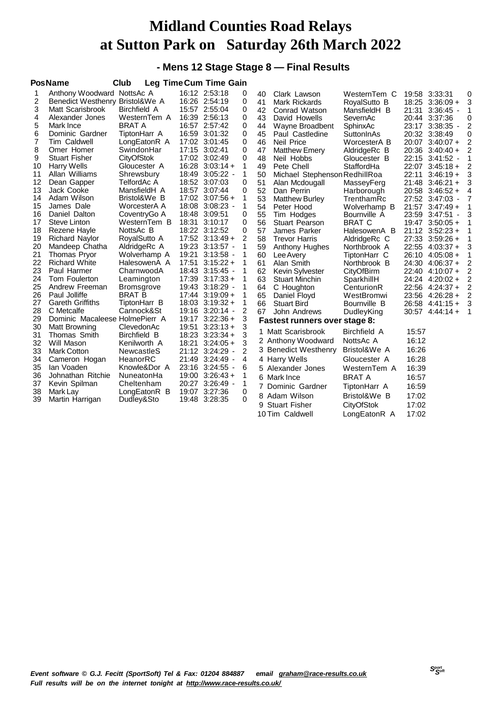#### **- Mens 12 Stage Stage 8 — Final Results**

|                | <b>PosName</b>                       | Club                         |       | Leg Time Cum Time Gain         |        |          |                                                 |                          |       |                                      |        |
|----------------|--------------------------------------|------------------------------|-------|--------------------------------|--------|----------|-------------------------------------------------|--------------------------|-------|--------------------------------------|--------|
| 1              | Anthony Woodward NottsAc A           |                              |       | 16:12 2:53:18                  | 0      | 40       | Clark Lawson                                    | WesternTem C             |       | 19:58 3:33:31                        | 0      |
| 2              | Benedict Westhenry Bristol&We A      |                              |       | 16:26 2:54:19                  | 0      | 41       | <b>Mark Rickards</b>                            | RoyalSutto B             |       | $18:25$ $3:36:09 +$                  | 3      |
| 3              | Matt Scarisbrook                     | Birchfield A                 |       | 15:57 2:55:04                  | 0      | 42       | Conrad Watson                                   | MansfieldH B             | 21:31 | $3:36:45$ -                          | 1      |
| 4              | Alexander Jones                      | WesternTem A                 |       | 16:39 2:56:13                  | 0      | 43       | David Howells                                   | SevernAc                 |       | 20:44 3:37:36                        | 0      |
| 5              | Mark Ince                            | <b>BRAT A</b>                |       | 16:57 2:57:42                  | 0      | 44       | Wayne Broadbent                                 | SphinxAc                 |       | 23:17 3:38:35 -                      | 2      |
| 6              | Dominic Gardner                      | TiptonHarr A                 |       | 16:59 3:01:32                  | 0      | 45       | Paul Castledine                                 | SuttonInAs               |       | 20:32 3:38:49                        | 0      |
| $\overline{7}$ | Tim Caldwell                         | LongEatonR A                 |       | 17:02 3:01:45                  | 0      | 46       | Neil Price                                      | WorcesterA B             |       | 20:07 3:40:07 +                      | 2      |
| 8              | Omer Homer                           | SwindonHar                   |       | 17:15 3:02:41                  | 0      | 47       | <b>Matthew Emery</b>                            | AldridgeRc B             |       | $20:36$ 3:40:40 +                    | 2      |
| 9              | <b>Stuart Fisher</b>                 | <b>CityOfStok</b>            |       | 17:02 3:02:49                  | 0      | 48       | Neil Hobbs                                      | Gloucester B             |       | 22:15 3:41:52 -                      | 1      |
| 10             | <b>Harry Wells</b>                   | Gloucester A                 |       | $16:28$ $3:03:14 +$            | 1      | 49       | Pete Chell                                      | StaffordHa               |       | $22:07$ 3:45:18 +                    | 2      |
| 11             | Allan Williams                       | Shrewsbury                   |       | 18:49 3:05:22 -                | 1      | 50       | Michael Stephenson RedhillRoa                   |                          | 22:11 | $3:46:19+$                           | 3      |
| 12             | Dean Gapper                          | TelfordAc A                  |       | 18:52 3:07:03                  | 0      | 51       | Alan Mcdougall                                  | MasseyFerg               |       | $21:48$ 3:46:21 +                    | 3      |
| 13             | Jack Cooke                           | MansfieldH A                 |       | 18:57 3:07:44                  | 0      | 52       | Dan Perrin                                      | Harborough               |       | $20:58$ $3:46:52 +$                  | 4      |
| 14             | Adam Wilson                          | Bristol&We B                 |       | $17:02$ $3:07:56 +$            | 1      | 53       | <b>Matthew Burley</b>                           | TrenthamRc               |       | 27:52 3:47:03 -                      | 7      |
| 15             | James Dale                           | WorcesterA A                 | 18:08 | $3:08:23$ -                    | 1      | 54       | Peter Hood                                      | Wolverhamp B             |       | $21:57$ $3:47:49+$                   | 1      |
| 16             | Daniel Dalton                        | CoventryGo A                 | 18:48 | 3:09:51                        | 0      | 55       | Tim Hodges                                      | Bournville A             |       | 23:59 3:47:51 -                      | 3      |
| 17             | Steve Linton                         | WesternTem B                 |       | 18:31 3:10:17                  | 0      | 56       | Stuart Pearson                                  | <b>BRAT C</b>            |       | $19:47$ 3:50:05 +                    | 1      |
| 18             | Rezene Hayle                         | NottsAc B                    |       | 18:22 3:12:52                  | 0      | 57       | James Parker                                    | HalesowenA B             |       | $21:12$ 3:52:23 +                    |        |
| 19             | <b>Richard Naylor</b>                | RoyalSutto A                 |       | $17:52$ $3:13:49+$             | 2      | 58       | <b>Trevor Harris</b>                            | AldridgeRc C             |       | 27:33 3:59:26 +                      | 1      |
| 20<br>21       | Mandeep Chatha                       | AldridgeRc A                 | 19:21 | 19:23 3:13:57 -<br>$3:13:58$ - | 1<br>1 | 59       | Anthony Hughes                                  | Northbrook A             |       | 22:55 4:03:37 +                      | 3      |
| 22             | Thomas Pryor<br><b>Richard White</b> | Wolverhamp A<br>HalesowenA A | 17:51 | $3:15:22 +$                    | 1      | 60<br>61 | Lee Avery<br>Alan Smith                         | TiptonHarr C             |       | $26:10$ 4:05:08 +<br>24:30 4:06:37 + | 1<br>2 |
| 23             | Paul Harmer                          | CharnwoodA                   |       | 18:43 3:15:45 -                |        | 62       |                                                 | Northbrook B             |       |                                      |        |
| 24             | Tom Foulerton                        | Leamington                   |       | $17:39$ $3:17:33 +$            |        | 63       | <b>Kevin Sylvester</b><br><b>Stuart Minchin</b> | CityOfBirm<br>SparkhillH |       | 22:40 4:10:07 +<br>24:24 4:20:02 +   | 2<br>2 |
| 25             | Andrew Freeman                       | <b>Bromsgrove</b>            |       | 19:43 3:18:29 -                | 1      | 64       | C Houghton                                      | CenturionR               |       | 22:56 4:24:37 +                      | 2      |
| 26             | Paul Jolliffe                        | <b>BRAT B</b>                |       | $17:44$ 3:19:09 +              | 1      | 65       | Daniel Floyd                                    | WestBromwi               |       | $23:56$ 4:26:28 +                    | 2      |
| 27             | <b>Gareth Griffiths</b>              | TiptonHarr B                 |       | $18:03$ $3:19:32 +$            | 1      | 66       | <b>Stuart Bird</b>                              | Bournville B             |       | $26:58$ 4:41:15 +                    | 3      |
| 28             | C Metcalfe                           | Cannock&St                   |       | 19:16 3:20:14 -                | 2      | 67       | John Andrews                                    | DudleyKing               |       | $30:57$ 4:44:14 +                    | 1      |
| 29             | Dominic Macaleese HolmePierr A       |                              |       | 19:17 3:22:36 +                | 3      |          | Fastest runners over stage 8:                   |                          |       |                                      |        |
| 30             | <b>Matt Browning</b>                 | ClevedonAc                   | 19:51 | $3:23:13+$                     | 3      |          |                                                 |                          |       |                                      |        |
| 31             | Thomas Smith                         | Birchfield B                 |       | $18:23$ $3:23:34 +$            | 3      |          | 1 Matt Scarisbrook                              | <b>Birchfield A</b>      | 15:57 |                                      |        |
| 32             | Will Mason                           | Kenilworth A                 | 18:21 | $3:24:05+$                     | 3      |          | 2 Anthony Woodward                              | NottsAc A                | 16:12 |                                      |        |
| 33             | <b>Mark Cotton</b>                   | NewcastleS                   |       | 21:12 3:24:29 -                | 2      |          | 3 Benedict Westhenry                            | Bristol&We A             | 16:26 |                                      |        |
| 34             | Cameron Hogan                        | HeanorRC                     |       | 21:49 3:24:49 -                | 4      |          | 4 Harry Wells                                   | Gloucester A             | 16:28 |                                      |        |
| 35             | Ian Voaden                           | Knowle&Dor A                 |       | 23:16 3:24:55 -                | 6      |          | 5 Alexander Jones                               | WesternTem A             | 16:39 |                                      |        |
| 36             | Johnathan Ritchie                    | NuneatonHa                   |       | $19:00$ $3:26:43+$             | 1      |          | 6 Mark Ince                                     | <b>BRAT A</b>            | 16:57 |                                      |        |
| 37             | Kevin Spilman                        | Cheltenham                   |       | 20:27 3:26:49 -                | 1      |          | 7 Dominic Gardner                               | TiptonHarr A             | 16:59 |                                      |        |
| 38             | Mark Lay                             | LongEatonR B                 |       | 19:07 3:27:36                  | 0      |          | 8 Adam Wilson                                   | Bristol&We B             | 17:02 |                                      |        |
| 39             | Martin Harrigan                      | Dudley&Sto                   | 19:48 | 3:28:35                        | 0      |          |                                                 |                          |       |                                      |        |
|                |                                      |                              |       |                                |        | 9        | <b>Stuart Fisher</b>                            | CityOfStok               | 17:02 |                                      |        |
|                |                                      |                              |       |                                |        |          | 10 Tim Caldwell                                 | LongEatonR A             | 17:02 |                                      |        |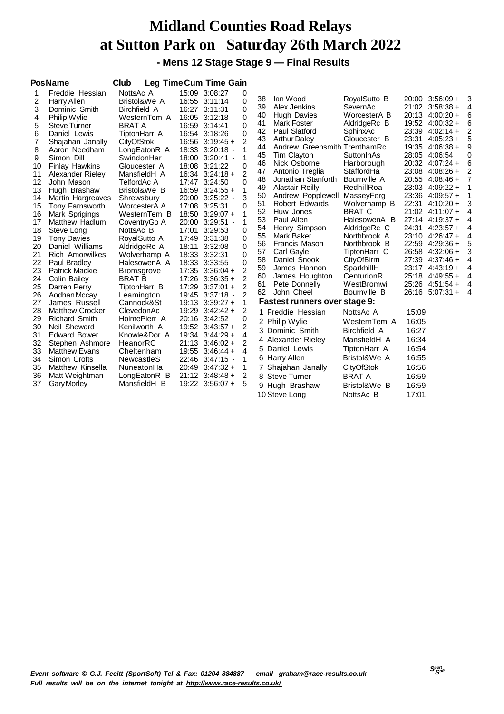**- Mens 12 Stage Stage 9 — Final Results**

|                                                                                                                                                                                                                   | <b>PosName</b>                                                                                                                                                                                                                                                                                                                                                                                                                                                                                                                                                                                                                                                                                                              | Club                                                                                                                                                                                                                                                                                                                                                                                                                                                                                                                                                                                                        |                                                                                                                                                                                                                                                                                                                                                                                                                                                                                                                                                                                                                                                                                         | Leg Time Cum Time Gain                                                                                                                                                                                                                                                                          |                                                                                                                                                              |                                                                                                                                                                                                                                                                                                                                                                                                                                                                                                                                                                                                                                                                                         |                                                                                                                                                                                                                                                                                                                                                                                                                                                                                                                       |                                                                                                                                                       |                                                                                                                                                                                                                                                                                                                                                                                                                                                                       |                                                                                                       |
|-------------------------------------------------------------------------------------------------------------------------------------------------------------------------------------------------------------------|-----------------------------------------------------------------------------------------------------------------------------------------------------------------------------------------------------------------------------------------------------------------------------------------------------------------------------------------------------------------------------------------------------------------------------------------------------------------------------------------------------------------------------------------------------------------------------------------------------------------------------------------------------------------------------------------------------------------------------|-------------------------------------------------------------------------------------------------------------------------------------------------------------------------------------------------------------------------------------------------------------------------------------------------------------------------------------------------------------------------------------------------------------------------------------------------------------------------------------------------------------------------------------------------------------------------------------------------------------|-----------------------------------------------------------------------------------------------------------------------------------------------------------------------------------------------------------------------------------------------------------------------------------------------------------------------------------------------------------------------------------------------------------------------------------------------------------------------------------------------------------------------------------------------------------------------------------------------------------------------------------------------------------------------------------------|-------------------------------------------------------------------------------------------------------------------------------------------------------------------------------------------------------------------------------------------------------------------------------------------------|--------------------------------------------------------------------------------------------------------------------------------------------------------------|-----------------------------------------------------------------------------------------------------------------------------------------------------------------------------------------------------------------------------------------------------------------------------------------------------------------------------------------------------------------------------------------------------------------------------------------------------------------------------------------------------------------------------------------------------------------------------------------------------------------------------------------------------------------------------------------|-----------------------------------------------------------------------------------------------------------------------------------------------------------------------------------------------------------------------------------------------------------------------------------------------------------------------------------------------------------------------------------------------------------------------------------------------------------------------------------------------------------------------|-------------------------------------------------------------------------------------------------------------------------------------------------------|-----------------------------------------------------------------------------------------------------------------------------------------------------------------------------------------------------------------------------------------------------------------------------------------------------------------------------------------------------------------------------------------------------------------------------------------------------------------------|-------------------------------------------------------------------------------------------------------|
| 1<br>2<br>3<br>4<br>5<br>6<br>7<br>8<br>9<br>10<br>11<br>12<br>13<br>14<br>15<br>16<br>17<br>18<br>19<br>20<br>21<br>22<br>23<br>24<br>25<br>26<br>27<br>28<br>29<br>30<br>31<br>32<br>33<br>34<br>35<br>36<br>37 | Freddie Hessian<br>Harry Allen<br>Dominic Smith<br>Philip Wylie<br><b>Steve Turner</b><br>Daniel Lewis<br>Shajahan Janally<br>Aaron Needham<br>Simon Dill<br><b>Finlay Hawkins</b><br>Alexander Rieley<br>John Mason<br>Hugh Brashaw<br>Martin Hargreaves<br>Tony Farnsworth<br>Mark Sprigings<br>Matthew Hadlum<br>Steve Long<br><b>Tony Davies</b><br>Daniel Williams<br><b>Rich Amorwilkes</b><br>Paul Bradley<br><b>Patrick Mackie</b><br>Colin Bailey<br>Darren Perry<br>Aodhan Mccay<br>James Russell<br><b>Matthew Crocker</b><br><b>Richard Smith</b><br>Neil Sheward<br><b>Edward Bower</b><br>Stephen Ashmore<br><b>Matthew Evans</b><br>Simon Crofts<br>Matthew Kinsella<br>Matt Weightman<br><b>Gary Morley</b> | NottsAc A<br>Bristol&We A<br><b>Birchfield A</b><br>WesternTem A<br><b>BRAT A</b><br>TiptonHarr A<br><b>CityOfStok</b><br>LongEatonR A<br>SwindonHar<br>Gloucester A<br>MansfieldH A<br>TelfordAc A<br>Bristol&We B<br>Shrewsbury<br>WorcesterA A<br>WesternTem B<br>CoventryGo A<br>NottsAc B<br>RoyalSutto A<br>AldridgeRc A<br>Wolverhamp A<br>HalesowenA A<br><b>Bromsgrove</b><br><b>BRAT B</b><br>TiptonHarr B<br>Leamington<br>Cannock&St<br>ClevedonAc<br>HolmePierr A<br>Kenilworth A<br>Knowle&Dor A<br>HeanorRC<br>Cheltenham<br><b>NewcastleS</b><br>NuneatonHa<br>LongEatonR B<br>MansfieldH B | 15:09 3:08:27<br>16:55 3:11:14<br>16:27 3:11:31<br>16:05 3:12:18<br>16:59 3:14:41<br>16:54 3:18:26<br>$16:56$ $3:19:45+$<br>18:33 3:20:18 -<br>18:00 3:20:41 -<br>18:08 3:21:22<br>$16:34$ $3:24:18 +$<br>17:47 3:24:50<br>$16:59$ $3:24:55 +$<br>20:00 3:25:22 -<br>17:08 3:25:31<br>$18:50$ $3:29:07 +$<br>20:00 3:29:51 -<br>17:01<br>17:49 3:31:38<br>18:11<br>18:33 3:32:31<br>18:33 3:33:55<br>$17:35$ $3:36:04 +$<br>$17:26$ $3:36:35+$<br>17:29<br>19:45 3:37:18 -<br>$19:13$ $3:39:27+$<br>$19:29$ $3:42:42 +$<br>20:16 3:42:52<br>$19:52$ $3:43:57+$<br>19:34<br>$21:13$ 3:46:02 +<br>19:55<br>22:46 3:47:15 -<br>$20:49$ $3:47:32 +$<br>$21:12$ 3:48:48 +<br>19:22 3:56:07 + | 0<br>$\Omega$<br>0<br>0<br>0<br>$\Omega$<br>$\mathcal{P}$<br>1<br>0<br>2<br>0<br>1<br>3<br>0<br>1<br>1<br>3:29:53<br>0<br>0<br>3:32:08<br>0<br>0<br>$\Omega$<br>$\overline{2}$<br>2<br>2<br>$3:37:01 +$<br>2<br>1<br>2<br>0<br>2<br>$3:44:29+$<br>4<br>2<br>$3:46:44+$<br>4<br>1<br>1<br>2<br>5 | 38<br>39<br>40<br>41<br>42<br>43<br>44<br>45<br>46<br>47<br>48<br>49<br>50<br>51<br>52<br>53<br>54<br>55<br>56<br>57<br>58<br>59<br>60<br>61<br>62<br>3<br>9 | lan Wood<br>Alex Jenkins<br>Hugh Davies<br>Mark Foster<br>Paul Slatford<br><b>Arthur Daley</b><br>Andrew Greensmith TrenthamRc<br>Tim Clayton<br>Nick Osborne<br>Antonio Treglia<br>Jonathan Stanforth<br><b>Alastair Reilly</b><br>Andrew Popplewell MasseyFerg<br>Robert Edwards<br>Huw Jones<br>Paul Allen<br>Henry Simpson<br>Mark Baker<br>Francis Mason<br>Carl Gayle<br>Daniel Snook<br>James Hannon<br>James Houghton<br>Pete Donnelly<br>John Cheel<br>Fastest runners over stage 9:<br>1 Freddie Hessian<br>2 Philip Wylie<br>Dominic Smith<br>4 Alexander Rieley<br>5 Daniel Lewis<br>6 Harry Allen<br>7 Shajahan Janally<br>8 Steve Turner<br>Hugh Brashaw<br>10 Steve Long | RoyalSutto B<br>SevernAc<br>WorcesterA B<br>AldridgeRc B<br>SphinxAc<br>Gloucester B<br>SuttonInAs<br>Harborough<br>StaffordHa<br>Bournville A<br>RedhillRoa<br>Wolverhamp B<br><b>BRAT C</b><br>HalesowenA B<br>AldridgeRc C<br>Northbrook A<br>Northbrook B<br>TiptonHarr C<br>CityOfBirm<br>SparkhillH<br>CenturionR<br>WestBromwi<br>Bournville B<br>NottsAc A<br>WesternTem A<br><b>Birchfield A</b><br>MansfieldH A<br>TiptonHarr A<br>Bristol&We A<br>CityOfStok<br><b>BRAT A</b><br>Bristol&We B<br>NottsAc B | 19:52<br>23:39<br>23:31<br>24:31<br>26:58<br>27:39<br>23:17<br>15:09<br>16:05<br>16:27<br>16:34<br>16:54<br>16:55<br>16:56<br>16:59<br>16:59<br>17:01 | $20:00$ $3:56:09 +$<br>$21:02$ 3:58:38 +<br>$20:13$ 4:00:20 +<br>$4:00:32 +$<br>$4:02:14+$<br>$4:05:23+$<br>19:35 4:06:38 +<br>28:05 4:06:54<br>$20:32$ 4:07:24 +<br>$23:08$ 4:08:26 +<br>20:55 4:08:46 +<br>23:03 4:09:22 +<br>23:36 4:09:57 +<br>22:31 4:10:20 +<br>21:02 4:11:07 +<br>27:14 4:19:37 +<br>$4:23:57+$<br>$23:10$ 4:26:47 +<br>22:59 4:29:36 +<br>$4:32:06+$<br>$4:37:46+$<br>$4:43:19+$<br>25:18 4:49:55 +<br>$25:26$ 4:51:54 +<br>$26:16$ 5:07:31 + | 3<br>4<br>6<br>6<br>5<br>9<br>Ω<br>6<br>2<br>3<br>4<br>4<br>4<br>4<br>5<br>3<br>4<br>4<br>4<br>4<br>4 |
|                                                                                                                                                                                                                   |                                                                                                                                                                                                                                                                                                                                                                                                                                                                                                                                                                                                                                                                                                                             |                                                                                                                                                                                                                                                                                                                                                                                                                                                                                                                                                                                                             |                                                                                                                                                                                                                                                                                                                                                                                                                                                                                                                                                                                                                                                                                         |                                                                                                                                                                                                                                                                                                 |                                                                                                                                                              |                                                                                                                                                                                                                                                                                                                                                                                                                                                                                                                                                                                                                                                                                         |                                                                                                                                                                                                                                                                                                                                                                                                                                                                                                                       |                                                                                                                                                       |                                                                                                                                                                                                                                                                                                                                                                                                                                                                       |                                                                                                       |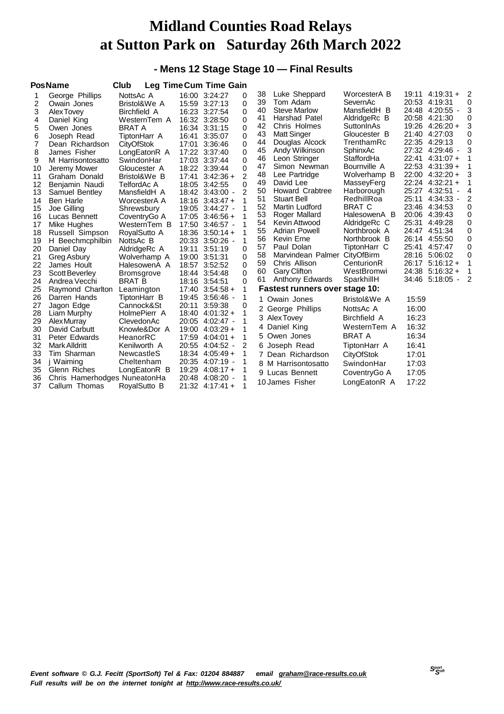#### **- Mens 12 Stage Stage 10 — Final Results**

|                                                                                                  | <b>PosName</b>                                                                                                                                                                                                                                                                                                           | Club                                                                                                                                                                                                                                                                                                           |                                  | <b>Leg Time Cum Time Gain</b>                                                                                                                                                                                                                                                                                                           |                                                                    |                                                                                                                |                                                                                                                                                                                                                                                                                                                                        |                                                                                                                                                                                                                                                                                           |                                                                                        |                                                                                                                                                                                                                                                                                                                                      |                                                                    |
|--------------------------------------------------------------------------------------------------|--------------------------------------------------------------------------------------------------------------------------------------------------------------------------------------------------------------------------------------------------------------------------------------------------------------------------|----------------------------------------------------------------------------------------------------------------------------------------------------------------------------------------------------------------------------------------------------------------------------------------------------------------|----------------------------------|-----------------------------------------------------------------------------------------------------------------------------------------------------------------------------------------------------------------------------------------------------------------------------------------------------------------------------------------|--------------------------------------------------------------------|----------------------------------------------------------------------------------------------------------------|----------------------------------------------------------------------------------------------------------------------------------------------------------------------------------------------------------------------------------------------------------------------------------------------------------------------------------------|-------------------------------------------------------------------------------------------------------------------------------------------------------------------------------------------------------------------------------------------------------------------------------------------|----------------------------------------------------------------------------------------|--------------------------------------------------------------------------------------------------------------------------------------------------------------------------------------------------------------------------------------------------------------------------------------------------------------------------------------|--------------------------------------------------------------------|
| 2<br>3<br>4<br>5<br>6<br>7<br>8<br>9<br>10<br>11<br>12<br>13<br>14<br>15<br>16<br>17<br>18<br>19 | George Phillips<br>Owain Jones<br>Alex Tovev<br>Daniel King<br>Owen Jones<br>Joseph Read<br>Dean Richardson<br>James Fisher<br>M Harrisontosatto<br>Jeremy Mower<br>Graham Donald<br>Benjamin Naudi<br>Samuel Bentley<br>Ben Harle<br>Joe Gilling<br>Lucas Bennett<br>Mike Hughes<br>Russell Simpson<br>H Beechmcphilbin | NottsAc A<br>Bristol&We A<br><b>Birchfield A</b><br>WesternTem A<br><b>BRAT A</b><br>TiptonHarr A<br><b>CityOfStok</b><br>LongEatonR A<br>SwindonHar<br>Gloucester A<br>Bristol&We B<br>TelfordAc A<br>MansfieldH A<br>WorcesterA A<br>Shrewsbury<br>CoventryGo A<br>WesternTem B<br>RoyalSutto A<br>NottsAc B | 16:41<br>17:01<br>17:41          | 16:00 3:24:27<br>15:59 3:27:13<br>16:23 3:27:54<br>16:32 3:28:50<br>16:34 3:31:15<br>3:35:07<br>3:36:46<br>17:22 3:37:40<br>17:03 3:37:44<br>18:22 3:39:44<br>$3:42:36+$<br>18:05 3:42:55<br>18:42 3:43:00 -<br>$18:16$ $3:43:47+$<br>19:05 3:44:27 -<br>$17:05$ 3:46:56 +<br>17:50 3:46:57 -<br>$18:36$ $3:50:14 +$<br>20:33 3:50:26 - | 0<br>0<br>0<br>0<br>0<br>0<br>0<br>0<br>0<br>0<br>2<br>0<br>2<br>1 | 38<br>39<br>40<br>41<br>42<br>43<br>44<br>45<br>46<br>47<br>48<br>49<br>50<br>51<br>52<br>53<br>54<br>55<br>56 | Luke Sheppard<br>Tom Adam<br><b>Steve Marlow</b><br>Harshad Patel<br>Chris Holmes<br><b>Matt Singer</b><br>Douglas Alcock<br>Andy Wilkinson<br>Leon Stringer<br>Simon Newman<br>Lee Partridge<br>David Lee<br>Howard Crabtree<br><b>Stuart Bell</b><br>Martin Ludford<br>Roger Mallard<br>Kevin Attwood<br>Adrian Powell<br>Kevin Erne | WorcesterA B<br>SevernAc<br>MansfieldH B<br>AldridgeRc B<br>SuttonInAs<br>Gloucester B<br>TrenthamRc<br>SphinxAc<br>StaffordHa<br>Bournville A<br>Wolverhamp B<br>MasseyFerg<br>Harborough<br>RedhillRoa<br><b>BRAT C</b><br>HalesowenA B<br>AldridgeRc C<br>Northbrook A<br>Northbrook B | 22:41<br>25:27<br>25:11<br>25:31<br>24:47                                              | $19:11 \quad 4:19:31 +$<br>20:53 4:19:31<br>24:48 4:20:55 -<br>20:58 4:21:30<br>19:26 4:26:20 +<br>21:40 4:27:03<br>22:35 4:29:13<br>27:32 4:29:46 -<br>$4:31:07+$<br>$22:53$ 4:31:39 +<br>$22:00$ 4:32:20 +<br>$22:24$ 4:32:21 +<br>4:32:51<br>$4:34:33 -$<br>23:46 4:34:53<br>20:06 4:39:43<br>4:49:28<br>4:51:34<br>26:14 4:55:50 | 0<br>3<br>0<br>3<br>0<br>0<br>3<br>4<br>2<br>0<br>0<br>0<br>0<br>0 |
| 20<br>21<br>22<br>23<br>24<br>25                                                                 | Daniel Day<br>Greg Asbury<br>James Hoult<br>Scott Beverley<br>Andrea Vecchi<br>Raymond Charlton                                                                                                                                                                                                                          | AldridgeRc A<br>Wolverhamp A<br>HalesowenA A<br><b>Bromsgrove</b><br><b>BRAT B</b><br>Leamington                                                                                                                                                                                                               | 19:11<br>19:00<br>18:57          | 3:51:19<br>3:51:31<br>3:52:52<br>18:44 3:54:48<br>18:16 3:54:51<br>$17:40$ $3:54:58 +$                                                                                                                                                                                                                                                  | 0<br>0<br>0<br>0<br>0<br>1                                         | 57<br>58<br>59<br>60<br>61                                                                                     | Paul Dolan<br>Marvindean Palmer CityOfBirm<br>Chris Allison<br><b>Gary Clifton</b><br>Anthony Edwards<br>Fastest runners over stage 10:                                                                                                                                                                                                | TiptonHarr C<br>CenturionR<br>WestBromwi<br>SparkhillH                                                                                                                                                                                                                                    | 25:41                                                                                  | 4:57:47<br>28:16 5:06:02<br>$26:17$ 5:16:12 +<br>$24:38$ 5:16:32 +<br>34:46 5:18:05 -                                                                                                                                                                                                                                                | 0<br>0<br>2                                                        |
| 26<br>27<br>28<br>29<br>30<br>31<br>32<br>33<br>34<br>35<br>36<br>37                             | Darren Hands<br>Jagon Edge<br>Liam Murphy<br><b>Alex Murray</b><br>David Carbutt<br>Peter Edwards<br><b>Mark Alldritt</b><br>Tim Sharman<br>j Waiming<br>Glenn Riches<br>Chris Hamerhodges NuneatonHa<br>Callum Thomas                                                                                                   | TiptonHarr B<br>Cannock&St<br>HolmePierr A<br>ClevedonAc<br>Knowle&Dor A<br>HeanorRC<br>Kenilworth A<br>NewcastleS<br>Cheltenham<br>LongEatonR B<br>RoyalSutto B                                                                                                                                               | 20:11<br>17:59<br>19:29<br>20:48 | 19:45 3:56:46 -<br>3:59:38<br>$18:40$ $4:01:32 +$<br>20:05 4:02:47 -<br>$19:00$ $4:03:29+$<br>$4:04:01 +$<br>20:55 4:04:52 -<br>$18:34$ 4:05:49 +<br>20:35 4:07:19 -<br>$4:08:17+$<br>$4:08:20$ -<br>$21:32$ 4:17:41 +                                                                                                                  | 0<br>1<br>2                                                        | 1.<br>4<br>5<br>6                                                                                              | Owain Jones<br>2 George Phillips<br>3 AlexTovey<br>Daniel King<br>Owen Jones<br>Joseph Read<br>7 Dean Richardson<br>8 M Harrisontosatto<br>9 Lucas Bennett<br>10 James Fisher                                                                                                                                                          | Bristol&We A<br>NottsAc A<br>Birchfield A<br>WesternTem A<br>BRAT A<br>TiptonHarr A<br>CityOfStok<br>SwindonHar<br>CoventryGo A<br>LongEatonR A                                                                                                                                           | 15:59<br>16:00<br>16:23<br>16:32<br>16:34<br>16:41<br>17:01<br>17:03<br>17:05<br>17:22 |                                                                                                                                                                                                                                                                                                                                      |                                                                    |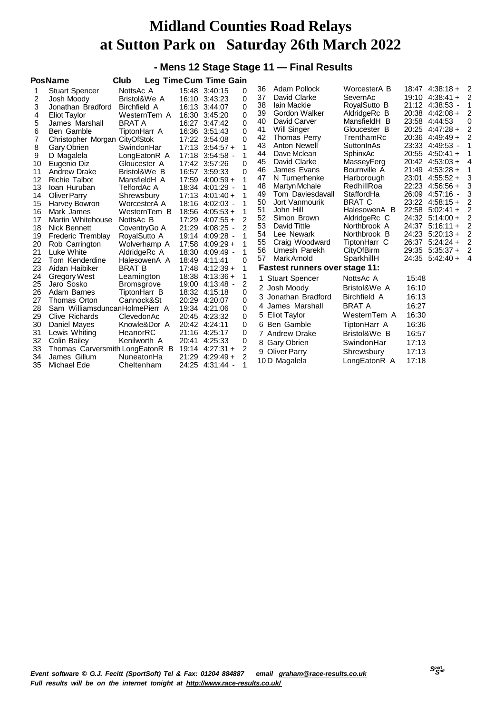#### **- Mens 12 Stage Stage 11 — Final Results**

|    | <b>PosName</b>                  | Club              |       | Leg Time Cum Time Gain |                |    |                                       |                     |       |                     |                |
|----|---------------------------------|-------------------|-------|------------------------|----------------|----|---------------------------------------|---------------------|-------|---------------------|----------------|
|    | <b>Stuart Spencer</b>           | NottsAc A         |       | 15:48 3:40:15          | 0              | 36 | Adam Pollock                          | WorcesterA B        |       | $18:47$ $4:38:18 +$ | -2             |
| 2  | Josh Moody                      | Bristol&We A      |       | 16:10 3:43:23          | 0              | 37 | David Clarke                          | SevernAc            |       | $19:10$ 4:38:41 +   | 2              |
| 3  | Jonathan Bradford               | Birchfield A      |       | 16:13 3:44:07          | 0              | 38 | <b>lain Mackie</b>                    | RoyalSutto B        |       | 21:12 4:38:53 -     |                |
| 4  | Eliot Taylor                    | WesternTem A      |       | 16:30 3:45:20          | 0              | 39 | Gordon Walker                         | AldridgeRc B        |       | $20:38$ 4:42:08 +   | 2              |
| 5  | James Marshall                  | <b>BRAT A</b>     |       | 16:27 3:47:42          | 0              | 40 | David Carver                          | MansfieldH B        | 23:58 | 4:44:53             | 0              |
| 6  | Ben Gamble                      | TiptonHarr A      |       | 16:36 3:51:43          | 0              | 41 | Will Singer                           | Gloucester B        |       | $20:25$ 4:47:28 +   | 2              |
| 7  | Christopher Morgan CityOfStok   |                   |       | 17:22 3:54:08          | $\Omega$       | 42 | <b>Thomas Perry</b>                   | TrenthamRc          |       | 20:36 4:49:49 +     | 2              |
| 8  | Gary Obrien                     | SwindonHar        |       | $17:13$ $3:54:57 +$    | 1              | 43 | Anton Newell                          | SuttonInAs          |       | 23:33 4:49:53 -     |                |
| 9  | D Magalela                      | LongEatonR A      |       | 17:18 3:54:58 -        | 1              | 44 | Dave Mclean                           | SphinxAc            |       | 20:55 4:50:41 +     |                |
| 10 | Eugenio Diz                     | Gloucester A      |       | 17:42 3:57:26          | $\Omega$       | 45 | David Clarke                          | MasseyFerg          |       | 20:42 4:53:03 +     | 4              |
| 11 | Andrew Drake                    | Bristol&We B      | 16:57 | 3:59:33                | $\Omega$       | 46 | James Evans                           | Bournville A        | 21:49 | $4:53:28+$          |                |
| 12 | <b>Richie Talbot</b>            | MansfieldH A      |       | $17:59$ 4:00:59 +      |                | 47 | N Turnerhenke                         | Harborough          | 23:01 | $4:55:52+$          | 3              |
| 13 | Ioan Huruban                    | TelfordAc A       |       | 18:34 4:01:29 -        |                | 48 | Martyn Mchale                         | RedhillRoa          | 22:23 | $4:56:56+$          | 3              |
| 14 | Oliver Parry                    | Shrewsbury        |       | $17:13$ 4:01:40 +      |                | 49 | Tom Daviesdavall                      | StaffordHa          | 26:09 | 4:57:16             | 3              |
| 15 | Harvey Bowron                   | WorcesterA A      |       | 18:16 4:02:03 -        |                | 50 | Jort Vanmourik                        | <b>BRAT C</b>       | 23:22 | $4:58:15+$          |                |
| 16 | Mark James                      | WesternTem B      |       | $18:56$ $4:05:53 +$    |                | 51 | John Hill                             | HalesowenA B        | 22:58 | $5:02:41+$          | 2              |
| 17 | Martin Whitehouse               | NottsAc B         | 17:29 | $4:07:55+$             | $\overline{2}$ | 52 | Simon Brown                           | AldridgeRc C        | 24:32 | $5:14:00+$          | $\overline{2}$ |
| 18 | Nick Bennett                    | CoventryGo A      |       | 21:29 4:08:25 -        | 2              | 53 | David Tittle                          | Northbrook A        | 24:37 | $5:16:11+$          | 2              |
| 19 | Frederic Tremblay               | RoyalSutto A      | 19:14 | 4:09:28 -              |                | 54 | Lee Newark                            | Northbrook B        |       | 24:23 5:20:13 +     | 2              |
| 20 | Rob Carrington                  | Wolverhamp A      |       | 17:58 4:09:29 +        |                | 55 | Craig Woodward                        | TiptonHarr C        | 26:37 | $5:24:24+$          | 2              |
| 21 | Luke White                      | AldridgeRc A      |       | 18:30 4:09:49 -        | 1              | 56 | Umesh Parekh                          | CityOfBirm          |       | 29:35 5:35:37 +     | 2              |
| 22 | Tom Kenderdine                  | HalesowenA A      | 18:49 | 4:11:41                | $\Omega$       | 57 | Mark Arnold                           | SparkhillH          |       | 24:35 5:42:40 +     | 4              |
| 23 | Aidan Haibiker                  | <b>BRAT B</b>     |       | $17:48$ 4:12:39 +      | 1              |    | <b>Fastest runners over stage 11:</b> |                     |       |                     |                |
| 24 | <b>Gregory West</b>             | Leamington        |       | $18:38$ 4:13:36 +      | 1              | 1. | <b>Stuart Spencer</b>                 | NottsAc A           | 15:48 |                     |                |
| 25 | Jaro Sosko                      | <b>Bromsgrove</b> |       | 19:00 4:13:48 -        | 2              |    | 2 Josh Moody                          | Bristol&We A        | 16:10 |                     |                |
| 26 | Adam Barnes                     | TiptonHarr B      |       | 18:32 4:15:18          | 0              |    | Jonathan Bradford                     | <b>Birchfield A</b> | 16:13 |                     |                |
| 27 | Thomas Orton                    | Cannock&St        |       | 20:29 4:20:07          | 0              |    |                                       |                     |       |                     |                |
| 28 | Sam WilliamsduncanHolmePierr A  |                   |       | 19:34 4:21:06          | $\Omega$       | 4  | James Marshall                        | <b>BRAT A</b>       | 16:27 |                     |                |
| 29 | Clive Richards                  | ClevedonAc        |       | 20:45 4:23:32          | 0              |    | 5 Eliot Taylor                        | WesternTem A        | 16:30 |                     |                |
| 30 | Daniel Mayes                    | Knowle&Dor A      |       | 20:42 4:24:11          | 0              |    | 6 Ben Gamble                          | TiptonHarr A        | 16:36 |                     |                |
| 31 | Lewis Whiting                   | HeanorRC          |       | 21:16 4:25:17          | 0              |    | 7 Andrew Drake                        | Bristol&We B        | 16:57 |                     |                |
| 32 | Colin Bailey                    | Kenilworth A      | 20:41 | 4:25:33                | 0              |    | 8 Gary Obrien                         | SwindonHar          | 17:13 |                     |                |
| 33 | Thomas Carversmith LongEatonR B |                   |       | $19:14$ $4:27:31+$     | 2              |    | 9 Oliver Parry                        | Shrewsbury          | 17:13 |                     |                |
| 34 | James Gillum                    | NuneatonHa        |       | $21:29$ 4:29:49 +      | 2              |    |                                       |                     | 17:18 |                     |                |
| 35 | Michael Ede                     | Cheltenham        |       | 24:25 4:31:44 -        |                |    | 10 D Magalela                         | LongEatonR A        |       |                     |                |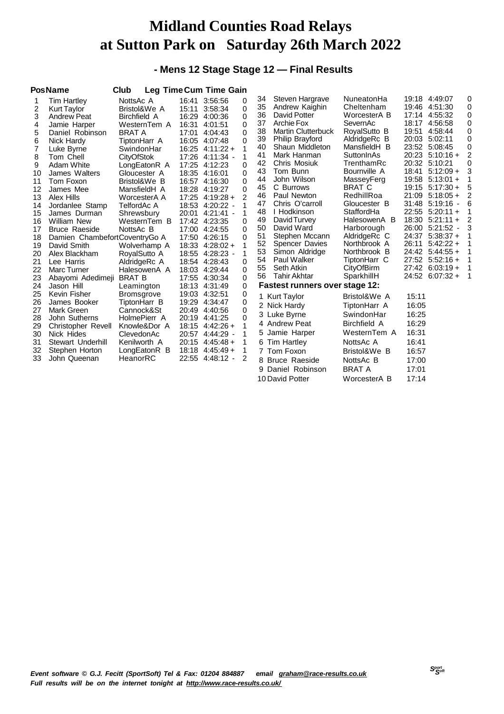#### **- Mens 12 Stage Stage 12 — Final Results**

|                                                                                                                                                                         | <b>PosName</b>                                                                                                                                                                                                                                                                                                                                                                                                                                                                                                                                | Club                                                                                                                                                                                                                                                                                                                                                                                                                                                                    |                                                                                                                                                                                                                                                                                                                                           | Leg Time Cum Time Gain                                                                                                                                                                                           |                                                                                                                                                                                                                      |                                                                                                                                        |                                                                                                                                                                                                                                                                                                                                                                                                                                                                                                                                 |                                                                                                                                                                                                                                                                                                                                                                                                                                     |                                                                      |                                                                                                                                                                                                                                                                                                                                                                                                                                  |                                                                                                                         |
|-------------------------------------------------------------------------------------------------------------------------------------------------------------------------|-----------------------------------------------------------------------------------------------------------------------------------------------------------------------------------------------------------------------------------------------------------------------------------------------------------------------------------------------------------------------------------------------------------------------------------------------------------------------------------------------------------------------------------------------|-------------------------------------------------------------------------------------------------------------------------------------------------------------------------------------------------------------------------------------------------------------------------------------------------------------------------------------------------------------------------------------------------------------------------------------------------------------------------|-------------------------------------------------------------------------------------------------------------------------------------------------------------------------------------------------------------------------------------------------------------------------------------------------------------------------------------------|------------------------------------------------------------------------------------------------------------------------------------------------------------------------------------------------------------------|----------------------------------------------------------------------------------------------------------------------------------------------------------------------------------------------------------------------|----------------------------------------------------------------------------------------------------------------------------------------|---------------------------------------------------------------------------------------------------------------------------------------------------------------------------------------------------------------------------------------------------------------------------------------------------------------------------------------------------------------------------------------------------------------------------------------------------------------------------------------------------------------------------------|-------------------------------------------------------------------------------------------------------------------------------------------------------------------------------------------------------------------------------------------------------------------------------------------------------------------------------------------------------------------------------------------------------------------------------------|----------------------------------------------------------------------|----------------------------------------------------------------------------------------------------------------------------------------------------------------------------------------------------------------------------------------------------------------------------------------------------------------------------------------------------------------------------------------------------------------------------------|-------------------------------------------------------------------------------------------------------------------------|
| 1<br>2<br>3<br>4<br>5<br>6<br>7<br>8<br>9<br>10<br>11<br>12<br>13<br>14<br>15<br>16<br>17<br>18<br>19<br>20<br>21<br>22<br>23<br>24<br>25<br>26<br>27<br>28<br>29<br>30 | <b>Tim Hartley</b><br><b>Kurt Taylor</b><br><b>Andrew Peat</b><br>Jamie Harper<br>Daniel Robinson<br>Nick Hardy<br>Luke Byrne<br>Tom Chell<br>Adam White<br>James Walters<br>Tom Foxon<br>James Mee<br>Alex Hills<br>Jordanlee Stamp<br>James Durman<br><b>William New</b><br><b>Bruce Raeside</b><br>Damien ChambefortCoventryGo A<br>David Smith<br>Alex Blackham<br>Lee Harris<br>Marc Turner<br>Abayomi Adedimeji<br>Jason Hill<br>Kevin Fisher<br>James Booker<br>Mark Green<br>John Sutherns<br><b>Christopher Revell</b><br>Nick Hides | NottsAc A<br>Bristol&We A<br>Birchfield A<br>WesternTem A<br><b>BRAT A</b><br>TiptonHarr A<br>SwindonHar<br><b>CityOfStok</b><br>LongEatonR A<br>Gloucester A<br>Bristol&We B<br>MansfieldH A<br>WorcesterA A<br>TelfordAc A<br>Shrewsbury<br>WesternTem B<br>NottsAc B<br>Wolverhamp A<br>RoyalSutto A<br>AldridgeRc A<br>HalesowenA A<br><b>BRAT B</b><br>Leamington<br><b>Bromsgrove</b><br>TiptonHarr B<br>Cannock&St<br>HolmePierr A<br>Knowle&Dor A<br>ClevedonAc | 16:41 3:56:56<br>15:11 3:58:34<br>16:29 4:00:36<br>16:31<br>17:01<br>16:05 4:07:48<br>17:25 4:12:23<br>18:35 4:16:01<br>16:57 4:16:30<br>18:28 4:19:27<br>17:42 4:23:35<br>17:00 4:24:55<br>17:50 4:26:15<br>18:54 4:28:43<br>18:03 4:29:44<br>17:55 4:30:34<br>18:13 4:31:49<br>19:03 4:32:51<br>19:29<br>20:49 4:40:56<br>20:19 4:41:25 | 4:01:51<br>4:04:43<br>$16:25$ 4:11:22 +<br>17:26 4:11:34 -<br>$17:25$ 4:19:28 +<br>18:53 4:20:22 -<br>20:01 4:21:41 -<br>$18:33$ 4:28:02 +<br>18:55 4:28:23 -<br>4:34:47<br>$18:15$ 4:42:26 +<br>20:57 4:44:29 - | 0<br>$\Omega$<br>$\Omega$<br>0<br>0<br>0<br>1<br>1<br>0<br>$\Omega$<br>0<br>$\Omega$<br>$\overline{2}$<br>1<br>1<br>0<br>$\Omega$<br>$\Omega$<br>1<br>1<br>0<br>0<br>0<br>0<br>0<br>0<br>0<br>0<br>1<br>$\mathbf{1}$ | 34<br>35<br>36<br>37<br>38<br>39<br>40<br>41<br>42<br>43<br>44<br>45<br>46<br>47<br>48<br>49<br>50<br>51<br>52<br>53<br>54<br>55<br>56 | Steven Hargrave<br>Andrew Kaighin<br>David Potter<br>Archie Fox<br><b>Martin Clutterbuck</b><br>Philip Brayford<br>Shaun Middleton<br>Mark Hanman<br>Chris Mosiuk<br>Tom Bunn<br>John Wilson<br>C Burrows<br>Paul Newton<br>Chris O'carroll<br>I Hodkinson<br>David Turvey<br>David Ward<br>Stephen Mccann<br>Spencer Davies<br>Simon Aldridge<br>Paul Walker<br>Seth Atkin<br><b>Tahir Akhtar</b><br><b>Fastest runners over stage 12:</b><br>1 Kurt Taylor<br>2 Nick Hardy<br>3 Luke Byrne<br>4 Andrew Peat<br>5 Jamie Harper | NuneatonHa<br>Cheltenham<br>WorcesterA B<br>SevernAc<br>RoyalSutto B<br>AldridgeRc B<br>MansfieldH B<br>SuttonInAs<br>TrenthamRc<br>Bournville A<br>MasseyFerg<br><b>BRAT C</b><br>RedhillRoa<br>Gloucester B<br>StaffordHa<br>HalesowenA B<br>Harborough<br>AldridgeRc C<br>Northbrook A<br>Northbrook B<br>TiptonHarr C<br>CityOfBirm<br>SparkhillH<br>Bristol&We A<br>TiptonHarr A<br>SwindonHar<br>Birchfield A<br>WesternTem A | 18:41<br>24:37<br>26:11<br>15:11<br>16:05<br>16:25<br>16:29<br>16:31 | 19:18 4:49:07<br>19:46 4:51:30<br>17:14 4:55:32<br>18:17 4:56:58<br>19:51 4:58:44<br>20:03 5:02:11<br>23:52 5:08:45<br>20:23 5:10:16 +<br>20:32 5:10:21<br>$5:12:09+$<br>$19:58$ 5:13:01 +<br>$19:15$ $5:17:30+$<br>$21:09$ 5:18:05 +<br>31:48 5:19:16 -<br>$22:55$ $5:20:11+$<br>$18:30$ $5:21:11 +$<br>26:00 5:21:52 -<br>$5:38:37+$<br>$5:42:22+$<br>24:42 5:44:55 +<br>27:52 5:52:16 +<br>27:42 6:03:19 +<br>24:52 6:07:32 + | 0<br>0<br>0<br>$\mathbf 0$<br>0<br>0<br>0<br>$\overline{2}$<br>0<br>3<br>1<br>5<br>2<br>6<br>1<br>2<br>3<br>1<br>1<br>1 |
|                                                                                                                                                                         |                                                                                                                                                                                                                                                                                                                                                                                                                                                                                                                                               |                                                                                                                                                                                                                                                                                                                                                                                                                                                                         |                                                                                                                                                                                                                                                                                                                                           |                                                                                                                                                                                                                  |                                                                                                                                                                                                                      |                                                                                                                                        |                                                                                                                                                                                                                                                                                                                                                                                                                                                                                                                                 |                                                                                                                                                                                                                                                                                                                                                                                                                                     |                                                                      |                                                                                                                                                                                                                                                                                                                                                                                                                                  |                                                                                                                         |
| 31<br>32<br>33                                                                                                                                                          | Stewart Underhill<br>Stephen Horton<br>John Queenan                                                                                                                                                                                                                                                                                                                                                                                                                                                                                           | Kenilworth A<br>LongEatonR B<br>HeanorRC                                                                                                                                                                                                                                                                                                                                                                                                                                |                                                                                                                                                                                                                                                                                                                                           | $20:15$ 4:45:48 +<br>$18:18$ 4:45:49 +<br>22:55 4:48:12 -                                                                                                                                                        | 1<br>1<br>2                                                                                                                                                                                                          |                                                                                                                                        | 6 Tim Hartley<br>7 Tom Foxon<br>8 Bruce Raeside                                                                                                                                                                                                                                                                                                                                                                                                                                                                                 | NottsAc A<br>Bristol&We B<br>NottsAc B                                                                                                                                                                                                                                                                                                                                                                                              | 16:41<br>16:57<br>17:00                                              |                                                                                                                                                                                                                                                                                                                                                                                                                                  |                                                                                                                         |
|                                                                                                                                                                         |                                                                                                                                                                                                                                                                                                                                                                                                                                                                                                                                               |                                                                                                                                                                                                                                                                                                                                                                                                                                                                         |                                                                                                                                                                                                                                                                                                                                           |                                                                                                                                                                                                                  |                                                                                                                                                                                                                      |                                                                                                                                        | 9 Daniel Robinson<br>10 David Potter                                                                                                                                                                                                                                                                                                                                                                                                                                                                                            | <b>BRAT A</b><br>WorcesterA B                                                                                                                                                                                                                                                                                                                                                                                                       | 17:01<br>17:14                                                       |                                                                                                                                                                                                                                                                                                                                                                                                                                  |                                                                                                                         |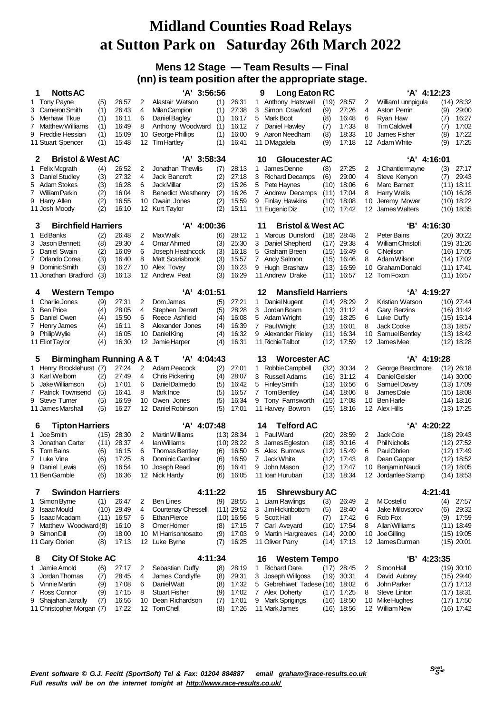#### **Mens 12 Stage — Team Results — Final (nn) is team position after the appropriate stage.**

| <b>Notts AC</b><br>1                          |            |                |                | 'A' 3:56:56                             |            |                | Long Eaton RC<br>9                     |              |                       |          | 'A' 4:12:23                             |         |                              |
|-----------------------------------------------|------------|----------------|----------------|-----------------------------------------|------------|----------------|----------------------------------------|--------------|-----------------------|----------|-----------------------------------------|---------|------------------------------|
| <b>Tony Payne</b><br>1                        | (5)        | 26:57          | 2              | Alastair Watson                         | (1)        | 26:31          | 1 Anthony Hatswell                     | (19)         | 28:57                 | 2        | William Lunnpigula                      |         | $(14)$ 28:32                 |
| 3<br>Cameron Smith                            | (1)        | 26:43          | 4              | <b>MilanCampion</b>                     | (1)        | 27:38          | Simon Crawford<br>3                    | (9)          | 27:26                 | 4        | Aston Perrin                            | (9)     | 29:00                        |
| Merhawi Tkue<br>5                             | (1)        | 16:11          | 6              | Daniel Bagley                           | (1)        | 16:17          | 5<br>Mark Boot                         | (8)          | 16:48                 | 6        | Ryan Haw                                | (7)     | 16:27                        |
| 7<br>Matthew Williams                         | (1)        | 16:49          | 8              | Anthony Woodward                        | (1)        | 16:12          | 7<br>Daniel Hawley                     | (7)          | 17:33                 | 8        | <b>Tim Caldwell</b>                     | (7)     | 17:02                        |
| 9<br>Freddie Hessian                          | (1)        | 15:09          | 10             | George Phillips                         | (1)        | 16:00          | 9 Aaron Needham                        | (8)          | 18:33                 | 10       | James Fisher                            | (8)     | 17:22                        |
| 11 Stuart Spencer                             | (1)        | 15:48          | 12             | <b>Tim Hartley</b>                      | (1)        | 16:41          | 11 DMagalela                           | (9)          | 17:18                 |          | 12 Adam White                           | (9)     | 17:25                        |
| <b>Bristol &amp; West AC</b><br>2             |            |                |                | $'A'$ 3:58:34                           |            |                | <b>Gloucester AC</b><br>10             |              |                       |          | 'A' 4:16:01                             |         |                              |
| 1 Felix Mcgrath                               | (4)        | 26:52          | 2              | Jonathan Thewlis                        | (7)        | 28:13          | James Denne<br>1                       | (8)          | 27:25                 | 2        | J Chantlermayne                         | (3)     | 27:17                        |
| <b>Daniel Studley</b><br>3                    | (3)        | 27:32          | 4              | Jack Bancroft                           | (2)        | 27:18          | 3<br><b>Richard Decamps</b>            | (6)          | 29:00                 | 4        | Steve Kenyon                            | (7)     | 29:43                        |
| Adam Stokes<br>5                              | (3)        | 16:28          | 6              | Jack Millar                             | (2)        | 15:26          | Pete Haynes<br>5                       | (10)         | 18:06                 | 6        | Marc Barnett                            |         | $(11)$ 18:11                 |
| 7 William Parkin                              | (2)        | 16:04          | 8              | Benedict Westhenry                      | (2)        | 16:26          | 7 Andrew Decamps                       | (11)         | 17:04                 | 8        | Harry Wells                             |         | $(10)$ 16:28                 |
| Harry Allen<br>9                              | (2)        | 16:55          | 10             | Owain Jones                             | (2)        | 15:59          | <b>Finlay Hawkins</b><br>9             | (10)         | 18:08                 | 10       | Jeremy Mower                            |         | $(10)$ 18:22                 |
| 11 Josh Moody                                 | (2)        | 16:10          | 12             | Kurt Taylor                             | (2)        | 15:11          | 11 Eugenio Diz                         | (10)         | 17:42                 | 12       | James Walters                           |         | $(10)$ 18:35                 |
| <b>Birchfield Harriers</b><br>3               |            |                |                | 'A' 4:00:36                             |            |                | 11<br><b>Bristol &amp; West AC</b>     |              |                       |          | 'B' 4:16:30                             |         |                              |
| EdBanks<br>1                                  | (2)        | 26:48          | 2              | Max Walk                                | (6)        | 28:12          | Marcus Dunsford<br>1                   | (18)         | 28:48                 | 2        | <b>Peter Bains</b>                      |         | $(20)$ 30:22                 |
| 3<br>Jason Bennett                            | (8)        | 29:30          | 4              | Omar Ahmed                              | (3)        | 25:30          | 3 Daniel Shepherd                      | (17)         | 29:38                 | 4        | William Christofi                       |         | $(19)$ 31:26                 |
| Daniel Swain<br>5                             | (2)        | 16:09          | 6              | Joseph Heathcock                        | (3)        | 16:18          | 5<br>Graham Breen                      | (15)         | 16:49                 | 6        | <b>C</b> Neilson                        |         | $(16)$ 17:05                 |
| 7 Orlando Corea                               | (3)        | 16:40          | 8              | Matt Scarisbrook                        | (3)        | 15:57          | Andy Salmon<br>7                       | (15)         | 16:46                 | 8        | Adam Wilson                             |         | $(14)$ 17:02                 |
| 9<br>Dominic Smith                            | (3)        | 16:27          | 10             | Alex Tovey                              | (3)        | 16:23          | 9 Hugh Brashaw                         | (13)         | 16:59                 | 10       | <b>Graham Donald</b>                    |         | $(11)$ 17:41                 |
| 11 Jonathan Bradford                          | (3)        | 16:13          | 12             | Andrew Peat                             | (3)        | 16.29          | 11 Andrew Drake                        | (11)         | 16:57                 |          | 12 Tom Foxon                            |         | $(11)$ 16:57                 |
| <b>Western Tempo</b><br>4                     |            |                |                | $'A'$ 4:01:51                           |            |                | 12<br><b>Mansfield Harriers</b>        |              |                       |          | 'A' 4:19:27                             |         |                              |
| Charlie Jones<br>1                            | (9)        | 27:31          | 2              | Dom James                               | (5)        | 27:21          | Daniel Nugent<br>1                     |              | $(14)$ 28:29          | 2        | Kristian Watson                         |         | $(10)$ 27:44                 |
| <b>Ben Price</b><br>3                         | (4)        | 28:05          | 4              | Stephen Derrett                         | (5)        | 28.28          | Jordan Boam<br>3                       | (13)         | 31:12                 | 4        | Gary Berzins                            |         | $(16)$ 31:42                 |
| 5<br>Daniel Owen                              | (4)        | 15:50          | 6              | Reece Ashfield                          | (4)        | 16:08          | 5<br>Adam Wright                       | (19)         | 18:25                 | 6        | Luke Duffy                              |         | (15) 15:14                   |
| 7<br>Henry James                              | (4)        | 16:11          | 8              | Alexander Jones                         | (4)        | 16:39          | 7<br><b>PaulWright</b>                 | (13)         | 16:01                 | 8        | Jack Cooke                              |         | $(13)$ 18:57                 |
| 9<br>PhilipWylie                              | (4)        | 16:05          | 10             | Daniel King                             | (4)        | 16:32          | 9<br>Alexander Rieley                  | (11)         | 16:34                 | 10       | Samuel Bentley                          |         | $(13)$ 18:42                 |
| 11 Eliot Taylor                               | (4)        | 16:30          | 12             | Jamie Harper                            | (4)        | 16:31          | 11 Richie Talbot                       | (12)         | 17:59                 |          | 12 JamesMee                             |         | $(12)$ 18:28                 |
|                                               |            |                |                |                                         |            |                |                                        |              |                       |          |                                         |         |                              |
|                                               |            |                |                |                                         |            |                |                                        |              |                       |          |                                         |         |                              |
| <b>Birmingham Running A &amp; T</b><br>5      |            |                |                | 'A' 4:04:43                             |            |                | <b>Worcester AC</b><br>13              |              |                       |          | 'A' 4:19:28                             |         |                              |
| 1 Henry Brocklehurst (7)                      |            | 27:24          | $\overline{2}$ | Adam Peacock                            | (2)        | 27:01          | Robbie Campbell<br>1                   | (32)         | 30:34                 | 2        | George Beardmore                        |         | $(12)$ 26:18                 |
| 3 Karl Welborn                                | (2)        | 27:49          | 4              | <b>Chris Pickering</b>                  | (4)        | 28:07          | 3<br><b>Russell Adams</b>              | (16)         | 31:12                 | 4        | Daniel Geisler                          |         | $(14)$ 30:00                 |
| Jake Williamson<br>5                          | (5)        | 17:01          | 6              | Daniel Dalmedo                          | (5)        | 16:42          | <b>Finley Smith</b><br>5               | (13)         | 16:56                 | 6        | Samuel Davey                            |         | $(13)$ 17:09                 |
| 7<br>Patrick Townsend                         | (5)        | 16:41          | 8              | Mark Ince                               | (5)        | 16:57          | 7<br>Tom Bentley                       | (14)         | 18:06                 | 8        | James Dale                              |         | $(15)$ 18:08                 |
| <b>Steve Turner</b><br>9<br>11 James Marshall | (5)<br>(5) | 16:59<br>16:27 | 10<br>12       | Owen Jones<br>Daniel Robinson           | (5)<br>(5) | 16:34<br>17:01 | 9 Tony Farnsworth<br>11 Harvey Bowron  | (15)<br>(15) | 17:08<br>18:16        | 12       | 10 Ben Harle<br>Alex Hills              |         | $(14)$ 18:16<br>$(13)$ 17:25 |
|                                               |            |                |                |                                         |            |                |                                        |              |                       |          |                                         |         |                              |
| <b>Tipton Harriers</b><br>6                   |            |                |                | 'A' 4:07:48                             |            |                | <b>Telford AC</b><br>14                |              |                       |          | 'A' 4:20:22                             |         |                              |
| Joe Smith<br>1                                | (15)       | 28:30          | 2              | Martin Williams                         |            | $(13)$ 28:34   | 1 PaulWard                             |              | $(20)$ 28:59          | 2        | Jack Cole                               |         | $(18)$ 29:43                 |
| Jonathan Carter<br>3                          | (11)       | 28:37          | 4              | lan Williams                            |            | $(10)$ 28:22   | 3<br>James Egleston                    | (18)         | 30:16                 | 4        | <b>Phil Nicholls</b>                    |         | $(12)$ 27:52                 |
| 5<br>Tom Bains                                | (6)        | 16:15          | 6              | <b>Thomas Bentley</b>                   | (6)        | 16:50          | Alex Burrows<br>5                      | (12)         | 15:49                 | 6        | Paul Obrien                             |         | $(12)$ 17:49                 |
| 7 Luke Vine                                   | (6)        | 17:25          | 8              | Dominic Gardner                         | (6)        | 16:59          | Jack White<br>7                        | (12)         | 17:43                 | 8        | Dean Gapper                             |         | $(12)$ 18:52                 |
| 9<br>Daniel Lewis<br>11 Ben Gamble            | (6)<br>(6) | 16:54<br>16:36 | 10             | Joseph Read<br>12 Nick Hardy            | (6)<br>(6) | 16:41<br>16:05 | John Mason<br>9<br>11 Ioan Huruban     | (12)         | 17:47<br>(13) 18:34   |          | 10 Benjamin Naudi<br>12 Jordanlee Stamp |         | $(12)$ 18:05<br>$(14)$ 18:53 |
|                                               |            |                |                |                                         |            |                |                                        |              |                       |          |                                         |         |                              |
| <b>Swindon Harriers</b><br>7                  |            |                |                | 4:11:22                                 |            |                | 15<br><b>Shrewsbury AC</b>             |              |                       |          |                                         | 4:21:41 |                              |
| Simon Byrne<br>1                              | (1)        | 26:47          | 2              | <b>Ben Lines</b>                        | (9)        | 28:55          | 1 Liam Rawlings                        | (3)          | 26:49                 | 2        | <b>MCostello</b>                        | (4)     | 27.57                        |
| <b>Isaac Mould</b><br>3                       | (10)       | 29:49          | 4              | <b>Courtenay Chessell</b>               |            | $(11)$ 29:52   | 3<br>Jim Hickinbottom                  | (5)          | 28:40                 | 4        | <b>Jake Milovsorov</b>                  | (6)     | 29:32                        |
| 5<br><b>Isaac Mcadam</b>                      | (11)       | 16:57          | 6              | <b>Ethan Pierce</b>                     |            | $(10)$ 16:56   | 5<br>Scott Hall                        | (7)          | 17:42                 | 6        | Rob Fox                                 | (9)     | 17:59                        |
| Matthew Woodward (8)<br>7                     |            | 16:10          | 8              | OmerHomer                               | (8)        | 17:15          | Carl Aveyard<br>7                      | (10)         | 17:54                 | 8        | Allan Williams                          |         | $(11)$ 18:49                 |
| Simon Dill<br>9<br>11 Gary Obrien             | (9)<br>(8) | 18:00<br>17:13 |                | 10 M Harrisontosatto<br>12 Luke Byrne   | (9)<br>(7) | 17:03<br>16:25 | 9 Martin Hargreaves<br>11 Oliver Parry | (14)         | 20:00<br>$(14)$ 17:13 | 10<br>12 | Joe Gilling<br>James Durman             |         | $(15)$ 19:05<br>$(15)$ 20:01 |
|                                               |            |                |                |                                         |            |                |                                        |              |                       |          |                                         |         |                              |
| <b>City Of Stoke AC</b><br>8                  |            |                |                | 4:11:34                                 |            |                | 16<br><b>Western Tempo</b>             |              |                       |          | 'B' 4:23:35                             |         |                              |
| Jamie Arnold<br>1.                            | (6)        | 27:17          | 2              | Sebastian Duffy                         | (8)        | 28:19          | 1 Richard Dare                         |              | $(17)$ 28:45          | 2        | Simon Hall                              |         | $(19)$ 30:10                 |
| Jordan Thomas<br>3                            | (7)        | 28:45          | 4              | James Condlyffe                         | (8)        | 29:31          | Joseph Willgoss<br>3                   |              | $(19)$ 30:31          | 4        | David Aubrey                            |         | $(15)$ 29:40                 |
| Vinnie Martin<br>5                            | (9)        | 17:08          | 6              | Daniel Watt                             | (8)        | 17:32          | Gebrehiwet Tadese (16) 18:02<br>5<br>7 |              |                       | 6<br>8   | John Parker                             |         | $(17)$ 17:13                 |
| Ross Connor<br>7<br>Shajahan Janally<br>9     | (9)<br>(7) | 17:15<br>16:56 | 8<br>10        | <b>Stuart Fisher</b><br>Dean Richardson | (9)<br>(7) | 17:02<br>17:01 | Alex Doherty<br>9<br>Mark Sprigings    | (16)         | $(17)$ 17:25<br>18:50 | 10       | Steve Linton<br>Mike Hughes             |         | $(17)$ 18:31<br>$(17)$ 17:50 |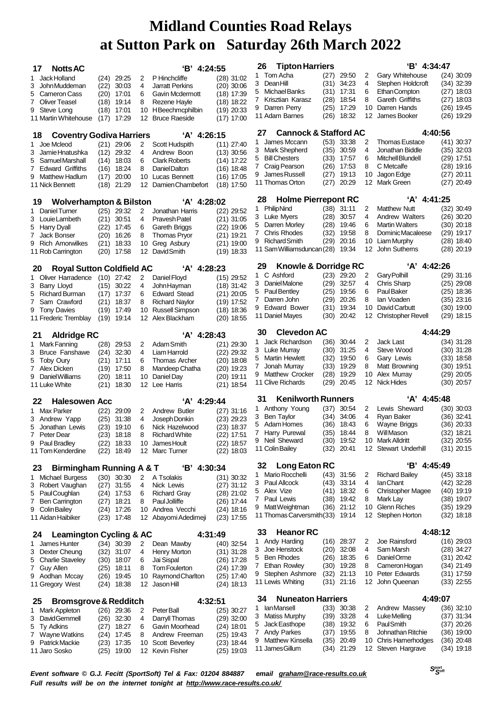| <b>Notts AC</b><br>17                                         |                                                  |                |        | $B'$ 4:24:55                         |                              |  | 26                                                | <b>Tipton Harriers</b>                          |              |                       |         | 'B' 4:34:47                            |                              |
|---------------------------------------------------------------|--------------------------------------------------|----------------|--------|--------------------------------------|------------------------------|--|---------------------------------------------------|-------------------------------------------------|--------------|-----------------------|---------|----------------------------------------|------------------------------|
| 1 Jack Holland                                                | $(24)$ 29:25                                     |                | 2      | P Hinchcliffe                        | $(28)$ 31:02                 |  | 1                                                 | Tom Acha                                        | (27)         | 29:50                 | 2       | Gary Whitehouse                        | $(24)$ 30:09                 |
| 3 John Muddeman                                               | (22)                                             | 30:03          | 4      | <b>Jarratt Perkins</b>               | $(20)$ 30:06                 |  | 3                                                 | Dean Hill                                       | (31)         | 34:23                 | 4       | Stephen Holdcroft                      | $(34)$ 32:39                 |
| Cameron Cass<br>5                                             | $(20)$ 17:01                                     |                | 6      | Gavin Mcdermott                      | $(18)$ 17:39                 |  | 5                                                 | Michael Banks                                   |              | $(31)$ 17:31          | 6       | Ethan Compton                          | $(27)$ 18:03                 |
| 7 Oliver Teasel                                               | $(18)$ 19:14                                     |                | 8      | Rezene Hayle                         | $(18)$ 18:22                 |  | 7                                                 | Krisztian Karasz                                | (28)         | 18:54                 | 8       | Gareth Griffiths                       | $(27)$ 18:03                 |
| 9 Steve Long                                                  | (18)                                             | 17:01          | 10     | HBeechmcphilbin                      | $(19)$ 20:33                 |  |                                                   | 9 Darren Perry                                  | (25)         | 17:29                 | 10      | Darren Hands                           | $(26)$ 19:45                 |
| 11 Martin Whitehouse                                          | (17)                                             | 17:29          | 12     | <b>Bruce Raeside</b>                 | (17) 17:00                   |  |                                                   | 11 Adam Barnes                                  | (26)         | 18:32                 | 12      | James Booker                           | $(26)$ 19:29                 |
| 18                                                            | $'A'$ 4:26:15<br><b>Coventry Godiva Harriers</b> |                |        |                                      |                              |  | <b>Cannock &amp; Stafford AC</b><br>4:40:56<br>27 |                                                 |              |                       |         |                                        |                              |
| 1 Joe Mcleod                                                  | $(21)$ 29:06                                     |                | 2      | Scott Hudspith                       | $(11)$ 27:40                 |  | 1                                                 | James Mccann                                    | (53)         | 33:38                 | 2       | <b>Thomas Eustace</b>                  | (41) 30:37                   |
| 3 Jamie Hnatushka                                             | (12)                                             | 29:32          | 4      | Andrew Boon                          | $(13)$ 30:56                 |  | 3                                                 | <b>Mark Shepherd</b>                            | (35)         | 30:59                 | 4       | Jonathan Biddle                        | $(35)$ 32:03                 |
| 5 Samuel Marshall                                             | $(14)$ 18:03                                     |                | 6      | <b>Clark Roberts</b>                 | (14) 17:22                   |  | 5                                                 | <b>Bill Chesters</b>                            | (33)         | 17:57                 | 6       | <b>Mitchell Blundell</b>               | $(29)$ 17:51                 |
| 7 Edward Griffiths                                            | (16) 18:24                                       |                | 8      | Daniel Dalton                        | $(16)$ 18:48                 |  | 7<br>9                                            | Craig Pearson<br>James Russell                  | (26)<br>(27) | 17:53<br>19:13        | 8<br>10 | C Metcalfe<br>Jagon Edge               | (28) 19:16<br>$(27)$ 20:11   |
| 9 Matthew Hadlum                                              | (17)                                             | 20:00          | 10     | Lucas Bennett                        | (16) 17:05                   |  |                                                   | 11 Thomas Orton                                 | (27)         | 20:29                 | 12      | Mark Green                             | $(27)$ 20:49                 |
| 11 Nick Bennett                                               | (18)                                             | 21:29          | 12     | Damien Chambefort                    | $(18)$ 17:50                 |  |                                                   |                                                 |              |                       |         |                                        |                              |
| <b>Wolverhampton &amp; Bilston</b><br>19                      |                                                  |                |        | 'A' 4:28:02                          |                              |  | 28<br>1                                           | <b>Holme Pierrepont RC</b><br><b>PhilipNind</b> |              |                       | 2       | $'A'$ 4:41:25<br><b>Matthew Nutt</b>   |                              |
| 1 Daniel Turner                                               | $(25)$ 29:32                                     |                | 2      | Jonathan Harris                      | $(22)$ 29:52                 |  |                                                   | 3 Luke Myers                                    | (28)         | $(38)$ 31:11<br>30:57 | 4       | Andrew Walters                         | $(32)$ 30:49<br>$(26)$ 30:20 |
| 3 Louie Lambeth                                               | $(21)$ 30:51                                     |                | 4      | Pravesh Patel                        | (21) 31:05                   |  |                                                   | 5 Darren Morley                                 | (28)         | 19:46                 | 6       | <b>Martin Walters</b>                  | $(30)$ 20:18                 |
| 5 Harry Dyall                                                 | (22) 17:45<br>(20)                               | 16:26          | 6<br>8 | Gareth Briggs<br><b>Thomas Pryor</b> | $(22)$ 19:06<br>$(21)$ 19:21 |  | 7                                                 | <b>Chris Rhodes</b>                             | (32)         | 19:58                 | 8       | Dominic Macaleese                      | $(29)$ 19:17                 |
| 7 Jack Bonser<br>9 Rich Amorwilkes                            | (21)                                             | 18:33          | 10     | Greg Asbury                          | (21) 19:00                   |  | 9                                                 | <b>Richard Smith</b>                            | (29)         | 20:16                 | 10      | Liam Murphy                            | $(28)$ 18:40                 |
| 11 Rob Carrington                                             | (20)                                             | 17:58          | 12     | David Smith                          | $(19)$ 18:33                 |  |                                                   | 11 Sam Williamsduncan (28)                      |              | 19:34                 | 12      | John Sutherns                          | $(28)$ 20:19                 |
|                                                               |                                                  |                |        |                                      |                              |  | 29                                                | Knowle & Dorridge RC                            |              |                       |         | 'A' 4:42:26                            |                              |
| <b>Royal Sutton Coldfield AC</b><br>20                        |                                                  |                |        | $'A'$ 4:28:23                        |                              |  | 1                                                 | C Ashford                                       |              | (23) 29:20            | 2       | Gary Polhill                           | $(29)$ 31:16                 |
| 1 Oliver Harradence<br>3 Barry Llovd                          | $(10)$ 27:42                                     |                | 2      | Daniel Floyd<br>John Hayman          | $(15)$ 29:52                 |  |                                                   | 3 Daniel Malone                                 | (29)         | 32:57                 | 4       | <b>Chris Sharp</b>                     | (25) 29:08                   |
| 5 Richard Burman                                              | (15)<br>(17)                                     | 30:22<br>17:37 | 4<br>6 | <b>Edward Stead</b>                  | $(18)$ 31:42<br>$(21)$ 20:05 |  | 5                                                 | <b>Paul Bentley</b>                             | (25)         | 19:56                 | 6       | Paul Baker                             | $(25)$ 18:36                 |
| 7 Sam Crawford                                                | (21)                                             | 18:37          | 8      | <b>Richard Naylor</b>                | (19) 17:52                   |  | $7^{\circ}$                                       | Darren John                                     | (29)         | 20:26                 | 8       | lan Voaden                             | $(35)$ 23:16                 |
| 9 Tony Davies                                                 | (19)                                             | 17:49          | 10     | Russell Simpson                      | $(18)$ 18:36                 |  | 9                                                 | <b>Edward Bower</b>                             | (31)         | 19:34                 | 10      | David Carbutt                          | $(30)$ 19:00                 |
| 11 Frederic Tremblay                                          | (19)                                             | 19:14          | 12     | Alex Blackham                        | $(20)$ 18:55                 |  |                                                   | 11 Daniel Mayes                                 | (30)         | 20:42                 |         | 12 Christopher Revell                  | $(29)$ 18:15                 |
| <b>Aldridge RC</b><br>21                                      |                                                  |                |        | 'A' 4:28:43                          |                              |  | 30                                                | <b>Clevedon AC</b>                              |              |                       |         | 4:44:29                                |                              |
| 1 Mark Fanning                                                | $(28)$ 29:53                                     |                | 2      | Adam Smith                           | $(21)$ 29:30                 |  | 1                                                 | Jack Richardson                                 |              | $(36)$ 30:44          | 2       | <b>Jack Last</b>                       | $(34)$ 31:28                 |
| 3 Bruce Fanshawe                                              | (24)                                             | 32:30          | 4      | Liam Harrold                         | $(22)$ 29:32                 |  |                                                   | 3 Luke Murray                                   | (30)         | 31:25                 | 4       | Steve Wood                             | $(30)$ 31:28                 |
| 5 Toby Oury                                                   | $(21)$ 17:11                                     |                | 6      | <b>Thomas Archer</b>                 | (20) 18:08                   |  | 5                                                 | <b>Martin Hewlett</b>                           | (32)         | 19:50                 | 6       | Gary Lewis                             | $(33)$ 18:58                 |
| 7 Alex Dicken                                                 | (19) 17:50                                       |                | 8      | Mandeep Chatha                       | $(20)$ 19:23                 |  | 7                                                 | Jonah Murray                                    | (33)         | 19:29                 | 8       | Matt Browning                          | $(30)$ 19:51                 |
| 9 Daniel Williams                                             | (20)                                             | 18:11          | 10     | Daniel Day                           | (20) 19:11                   |  |                                                   | 9 Matthew Crocker                               | (28)         | 19:29                 | 10      | Alex Murray                            | $(29)$ 20:05                 |
| 11 Luke White                                                 | (21)                                             | 18:30          | 12     | Lee Harris                           | $(21)$ 18:54                 |  |                                                   | 11 Clive Richards                               | (29)         | 20:45                 |         | 12 Nick Hides                          | $(30)$ 20:57                 |
| <b>Halesowen Acc</b><br>22                                    |                                                  |                |        | 'A' 4:29:44                          |                              |  | 31                                                | <b>Kenilworth Runners</b>                       |              |                       |         | 'A' 4:45:48                            |                              |
| 1 Max Parker                                                  | (22)                                             | 29:09          | 2      | Andrew Butler                        | $(27)$ 31:16                 |  | 1                                                 | Anthony Young                                   | (37)         | 30:54                 | 2       | Lewis Sheward                          | $(30)$ 30:03                 |
| 3 Andrew Yapp                                                 | (25)                                             | 31:38          | 4      | Joseph Donkin                        | $(23)$ 29:23                 |  | 3                                                 | Ben Taylor                                      | (34)         | 34:06                 | 4       | Ryan Baker                             | $(36)$ 32:41                 |
| 5 Jonathan Lewis                                              | (23)                                             | 19:10          | 6      | Nick Hazelwood                       | (23) 18:37                   |  | 5<br>7                                            | Adam Homes<br>Harry Purewal                     | (36)<br>(35) | 18:43<br>18:44        | 6<br>8  | Wayne Briggs<br>Will Mason             | (36) 20:33<br>(32) 18:21     |
| 7 Peter Dear                                                  | (23)                                             | 18:18          | 8      | <b>Richard White</b>                 | $(22)$ 17:51                 |  |                                                   | 9 Neil Sheward                                  | (30)         | 19:52                 |         | 10 Mark Alldritt                       | $(32)$ 20:55                 |
| 9 Paul Bradley<br>11 Tom Kenderdine                           | (22)<br>(22)                                     | 18:33<br>18:49 | 10     | James Hoult<br>12 Marc Turner        | $(22)$ 18:57<br>$(22)$ 18:03 |  |                                                   | 11 Colin Bailey                                 |              | (32) 20:41            |         | 12 Stewart Underhill                   | $(31)$ 20:15                 |
|                                                               |                                                  |                |        |                                      |                              |  |                                                   |                                                 |              |                       |         |                                        |                              |
| <b>Birmingham Running A &amp; T</b><br>23                     |                                                  |                |        | 4:30:34<br>'В'                       |                              |  | 32<br>1                                           | Long Eaton RC<br>Mario Rocchelli                |              |                       |         | 'B' 4:45:49                            |                              |
| 1 Michael Burgess                                             | (30)                                             | 30:30          | 2      | A Tsolakis                           | $(31)$ 30:32                 |  |                                                   | 3 Paul Allcock                                  | (43)<br>(43) | 31:56<br>33:14        | 2<br>4  | <b>Richard Bailey</b><br>lan Chant     | $(45)$ 33:18<br>$(42)$ 32:28 |
| 3 Robert Vaughan                                              | (27)                                             | 31:55          | 4      | Nick Lewis                           | $(27)$ 31:12                 |  | 5                                                 | Alex Vize                                       |              | $(41)$ 18:32          | 6       | <b>Christopher Magee</b>               | $(40)$ 19:19                 |
| 5 Paul Coughlan<br><b>Ben Carrington</b><br>7                 | (24) 17:53<br>$(27)$ 18:21                       |                | 6<br>8 | <b>Richard Gray</b><br>Paul Jolliffe | (28) 21:02<br>(26) 17:44     |  |                                                   | 7 Paul Lewis                                    | (38)         | 19:42                 | 8       | Mark Lay                               | $(38)$ 19:07                 |
| 9 Colin Bailey                                                | (24) 17:26                                       |                | 10     | Andrea Vecchi                        | $(24)$ 18:16                 |  |                                                   | 9 MattWeightman                                 | (36)         | 21:12                 | 10      | <b>Glenn Riches</b>                    | $(35)$ 19:29                 |
| 11 Aidan Haibiker                                             | (23) 17:48                                       |                |        | 12 Abayomi Adedimeji                 | $(23)$ 17:55                 |  |                                                   | 11 Thomas Carversmith (33)                      |              | 19:14                 |         | 12 Stephen Horton                      | $(32)$ 18:18                 |
|                                                               |                                                  |                |        |                                      |                              |  | 33                                                | <b>Heanor RC</b>                                |              |                       |         | 4:48:12                                |                              |
| <b>Leamington Cycling &amp; AC</b><br>24<br>James Hunter<br>1 | $(34)$ 30:39                                     |                | 2      | 4:31:49<br>Dean Mawby                | (40) 32:54                   |  | 1                                                 | Andy Harding                                    |              | $(16)$ 28:37          | 2       | Joe Rainsford                          | $(16)$ 29:03                 |
| 3 Dexter Cheung                                               | $(32)$ 31:07                                     |                | 4      | Henry Morton                         | $(31)$ 31:28                 |  | 3                                                 | Joe Henstock                                    | (20)         | 32:08                 | 4       | Sam Marsh                              | $(28)$ 34:27                 |
| 5 Charlie Staveley                                            | $(30)$ 18:07                                     |                | 6      | Jai Sispal                           | (26) 17:28                   |  | 5                                                 | <b>Ben Rhodes</b>                               | (26)         | 18:35                 | 6       | Daniel Orme                            | $(31)$ 20:42                 |
| <b>Guy Allen</b><br>7                                         | $(25)$ 18:11                                     |                | 8      | <b>Tom Foulerton</b>                 | (24) 17:39                   |  | 7                                                 | <b>Ethan Rowley</b>                             | (30)         | 19:28                 | 8       | Cameron Hogan                          | $(34)$ 21:49                 |
| 9 Aodhan Mccay                                                | $(26)$ 19:45                                     |                | 10     | Raymond Charlton                     | $(25)$ 17:40                 |  | 9                                                 | Stephen Ashmore                                 | (32)         | 21:13                 | 10      | Peter Edwards                          | (31) 17:59                   |
| 11 Gregory West                                               | (24) 18:38                                       |                | 12     | Jason Hill                           | $(24)$ 18:13                 |  |                                                   | 11 Lewis Whiting                                | (31)         | 21:16                 | 12      | John Queenan                           | $(33)$ 22:55                 |
| <b>Bromsgrove &amp; Redditch</b><br>25                        |                                                  |                |        | 4:32:51                              |                              |  | 34                                                | <b>Nuneaton Harriers</b>                        |              |                       |         | 4:49:07                                |                              |
| 1 Mark Appleton                                               | $(26)$ 29:36                                     |                | 2      | Peter Ball                           | $(25)$ 30:27                 |  | 1                                                 | lanMansell                                      |              | $(33)$ 30:38          | 2       | Andrew Massey                          | $(36)$ 32:10                 |
| 3 David Gemmell                                               | (26)                                             | 32:30          | 4      | Darryll Thomas                       | $(29)$ 32:00                 |  |                                                   | 3 Matiss Murphy                                 | (39)         | 33:28                 | 4       | Luke Melling                           | $(37)$ 31:34                 |
| 5 Ty Adkins                                                   | (27)                                             | 18:27          | 6      | Gavin Moorhead                       | $(24)$ 18:01                 |  | 5                                                 | Jack Easthope                                   | (38)         | 19:32                 | 6       | Paul Smith                             | $(37)$ 20:26                 |
| 7<br>Wayne Watkins                                            | $(24)$ 17:45                                     |                | 8      | Andrew Freeman                       | $(25)$ 19:43                 |  | $\mathbf{7}$<br>9                                 | <b>Andy Parkes</b><br><b>Matthew Kinsella</b>   | (37)<br>(35) | 19:55<br>20:49        | 8<br>10 | Johnathan Ritchie<br>Chris Hamerhodges | $(36)$ 19:00<br>$(36)$ 20:48 |
| 9 Patrick Mackie<br>11 Jaro Sosko                             | $(23)$ 17:35<br>$(25)$ 19:00                     |                | 10     | Scott Beverley<br>12 Kevin Fisher    | (23) 18:44<br>$(25)$ 19:03   |  |                                                   | 11 James Gillum                                 |              | $(34)$ 21:29          |         | 12 Steven Hargrave                     | $(34)$ 19:18                 |
|                                                               |                                                  |                |        |                                      |                              |  |                                                   |                                                 |              |                       |         |                                        |                              |

*Event software © G.J. Fecitt (SportSoft) Tel & Fax: 01204 884887 email [graham@race-results.co.uk](mailto:graham@race-results.co.uk) Full results will be on the internet tonight at <http://www.race-results.co.uk/>*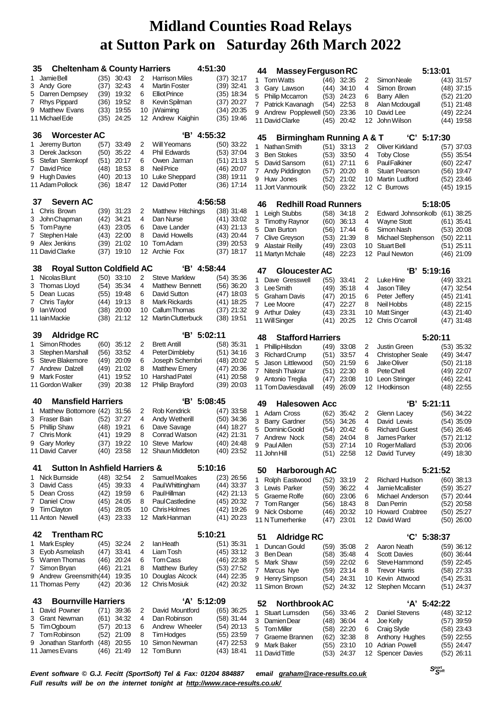| 35 | <b>Cheltenham &amp; County Harriers</b>   |              |                              |          | 4:51:30                                 |                              | 44 | <b>Massey Ferguson RC</b>                     |              |                            |        | 5:13:01                                   |                              |
|----|-------------------------------------------|--------------|------------------------------|----------|-----------------------------------------|------------------------------|----|-----------------------------------------------|--------------|----------------------------|--------|-------------------------------------------|------------------------------|
|    | 1 Jamie Bell                              |              | $(35)$ 30:43                 | 2        | <b>Harrison Miles</b>                   | $(37)$ 32:17                 |    | 1 Tom Watts                                   |              | (46) 32:35                 | 2      | Simon Neale                               | $(43)$ 31:57                 |
|    | 3 Andy Gore                               | (37)         | 32:43                        | 4        | <b>Martin Foster</b>                    | (39) 32:41                   |    | 3 Gary Lawson                                 |              | $(44)$ 34:10               | 4      | Simon Brown                               | $(48)$ 37:15                 |
| 5  | Darren Dempsey<br>7 Rhys Pippard          |              | $(39)$ 19:32<br>$(36)$ 19:52 | 6<br>8   | <b>Elliot Prince</b><br>Kevin Spilman   | (35) 18:34                   |    | 5 Philip Mccarron                             |              | $(53)$ 24:23               | 6      | <b>Barry Allen</b>                        | $(52)$ 21:20                 |
|    | 9 Matthew Evans                           |              | $(33)$ 19:55                 | 10       | jWaiming                                | $(37)$ 20:27<br>$(34)$ 20:35 | 7  | Patrick Kavanagh                              | (54)         | 22:53                      | 8      | Alan Mcdougall                            | $(51)$ 21:48                 |
|    | 11 Michael Ede                            | (35)         | 24:25                        | 12       | Andrew Kaighin                          | $(35)$ 19:46                 |    | 9 Andrew Popplewell (50)<br>11 David Clarke   | (45)         | 23:36<br>20:42             |        | 10 David Lee<br>12 John Wilson            | $(49)$ 22:24<br>$(44)$ 19:58 |
|    |                                           |              |                              |          |                                         |                              |    |                                               |              |                            |        |                                           |                              |
| 36 | <b>Worcester AC</b>                       |              |                              |          | $B'$ 4:55:32                            |                              | 45 | <b>Birmingham Running A &amp; T</b>           |              |                            |        | 'C' 5:17:30                               |                              |
|    | 1 Jeremy Burton                           | (57)         | 33:49                        | 2        | Will Yeomans                            | $(50)$ 33:22                 |    | 1 Nathan Smith                                |              | $(51)$ 33:13               | 2      | Oliver Kirkland                           | $(57)$ 37:03                 |
|    | 3 Derek Jackson                           | (50)         | 35:22                        | 4        | Phil Edwards                            | $(53)$ 37:04                 |    | 3 Ben Stokes                                  |              | $(53)$ 33:50               | 4      | <b>Toby Close</b>                         | $(55)$ 35:54                 |
| 5  | Stefan Sternkopf<br>7 David Price         | (51)         | 20:17                        | 6<br>8   | Owen Jarman<br>Neil Price               | (51) 21:13                   | 5  | David Sansom                                  |              | $(61)$ 27:11               | 6      | <b>Paul Falkiner</b>                      | $(60)$ 22:47                 |
|    | 9 Hugh Davies                             | (48)<br>(40) | 18:53<br>20:13               | 10       | Luke Sheppard                           | $(46)$ 20:07<br>$(38)$ 19:11 |    | 7 Andy Piddington                             | (57)         | 20:20                      | 8      | <b>Stuart Pearson</b>                     | (56) 19:47                   |
|    | 11 Adam Pollock                           | (36)         | 18:47                        | 12       | David Potter                            | $(36)$ 17:14                 |    | 9 Huw Jones<br>11 Jort Vanmourik              | (52)<br>(50) | 21:02<br>23:22             |        | 10 Martin Ludford<br>12 C Burrows         | $(52)$ 23:46<br>$(45)$ 19:15 |
| 37 | <b>Severn AC</b>                          |              |                              |          | 4:56:58                                 |                              |    |                                               |              |                            |        |                                           |                              |
|    | 1 Chris Brown                             |              | $(39)$ 31:23                 | 2        | <b>Matthew Hitchings</b>                | $(38)$ 31:48                 | 46 | <b>Redhill Road Runners</b><br>1 Leigh Stubbs |              | $(58)$ 34:18               | 2      | 5:18:05<br>Edward Johnsonkolb             | $(61)$ 38:25                 |
|    | 3 John Chapman                            |              | $(42)$ 34:21                 | 4        | Dan Nurse                               | (41) 33:02                   |    | 3 Timothy Raynor                              | (60)         | 36:13                      | 4      | <b>Wayne Stott</b>                        | $(61)$ 35:41                 |
|    | 5 Tom Payne                               |              | $(43)$ 23:05                 | 6        | Dave Lander                             | (43) 21:13                   |    | 5 Dan Burton                                  | (56)         | 17:44                      | 6      | Simon Nash                                | $(53)$ 20:08                 |
|    | 7 Stephen Hale                            | (43)         | 22:00                        | 8        | David Howells                           | (43) 20:44                   |    | 7 Clive Greyson                               | (53)         | 21:39                      | 8      | Michael Stephenson                        | $(50)$ 22:11                 |
|    | 9 Alex Jenkins                            | (39)         | 21:02                        | 10       | Tom Adam                                | $(39)$ 20:53                 |    | 9 Alastair Reilly                             | (49)         | 23:03                      | 10     | <b>Stuart Bell</b>                        | $(51)$ 25:11                 |
|    | 11 David Clarke                           | (37)         | 19:10                        |          | 12 Archie Fox                           | $(37)$ 18:17                 |    | 11 Martyn Mchale                              | (48)         | 22:23                      |        | 12 Paul Newton                            | $(46)$ 21:09                 |
| 38 | <b>Royal Sutton Coldfield AC</b>          |              |                              |          | $B'$ 4:58:44                            |                              | 47 | <b>Gloucester AC</b>                          |              |                            |        | 'B' 5:19:16                               |                              |
|    | 1 Nicolas Blunt                           |              | $(50)$ 33:10                 | 2        | <b>Steve Marklew</b>                    | $(54)$ 35:36                 |    | 1 Dave Gresswell                              | (55)         | 33:41                      | 2      | Luke Hine                                 | $(49)$ 33.21                 |
|    | 3 Thomas Lloyd                            |              | $(54)$ 35:34                 | 4        | Matthew Bennett                         | $(56)$ 36:20                 |    | 3 Lee Smith                                   | (49)         | 35:18                      | 4      | <b>Jason Tilley</b>                       | $(47)$ 32:54                 |
|    | 5 Dean Lucas                              |              | $(55)$ 19:48                 | 6        | David Sutton                            | (47) 18:03                   | 5  | Graham Davis                                  | (47)         | 20:15                      | 6      | Peter Jeffery                             | (45) 21:41                   |
|    | 7 Chris Taylor                            |              | $(44)$ 19:13                 | 8        | Mark Rickards                           | (41) 18:25                   |    | 7 Lee Moore                                   | (47)         | 22:27                      | 8      | Neil Hobbs                                | (48) 22:15                   |
|    | 9 Ian Wood<br>11 IainMackie               |              | $(38)$ 20:00                 | 10       | Callum Thomas                           | $(37)$ 21:32                 |    | 9 Arthur Daley                                | (43)         | 23:31                      | 10     | <b>Matt Singer</b>                        | $(43)$ 21:40                 |
|    |                                           | (38)         | 21:12                        | 12       | <b>Martin Clutterbuck</b>               | $(38)$ 19:51                 |    | 11 Will Singer                                | (41)         | 20:25                      |        | 12 Chris O'carroll                        | $(47)$ 31:48                 |
| 39 | <b>Aldridge RC</b>                        |              |                              |          | 'B' 5:02:11                             |                              | 48 | <b>Stafford Harriers</b>                      |              |                            |        | 5:20:11                                   |                              |
|    | 1 Simon Rhodes                            |              | $(60)$ 35:12                 | 2        | <b>Brett Antill</b>                     | $(58)$ 35:31                 | 1. | <b>PhillipHilsdon</b>                         |              | $(49)$ 33:08               | 2      | <b>Justin Green</b>                       | (53) 35:32                   |
|    | 3 Stephen Marshall                        | (56)         | 33:52                        | 4        | Peter Dimbleby                          | $(51)$ 34:16                 |    | 3 Richard Crump                               | (51)         | 33:57                      | 4      | <b>Christopher Seale</b>                  | (49) 34:47                   |
|    | 5 Steve Blakemore                         | (49)         | 20:09                        | 6        | Joseph Schembri                         | (48) 20:02                   | 5  | Jason Littlewood                              | (50)         | 21:59                      | 6      | Jake Oliver                               | (50) 21:18                   |
|    | 7 Andrew Dalzell                          | (49)         | 21:02                        | 8        | <b>Matthew Emery</b>                    | (47) 20:36                   |    | 7 Nitesh Thakrar                              | (51)         | 22:30                      | 8      | Pete Chell                                | $(49)$ 22:07                 |
|    | 9 Mark Foster<br>11 Gordon Walker         |              | $(41)$ 19:52<br>$(39)$ 20:38 | 10<br>12 | Harshad Patel<br><b>Philip Brayford</b> | (41) 20:58<br>$(39)$ 20:03   |    | 9 Antonio Treglia                             | (47)         | 23:08                      | 10     | Leon Stringer                             | $(46)$ 22:41                 |
|    |                                           |              |                              |          |                                         |                              |    | 11 Tom Daviesdavall                           | (49)         | 26:09                      |        | 12 I Hodkinson                            | $(48)$ 22:55                 |
| 40 | <b>Mansfield Harriers</b>                 |              |                              |          | 'B' 5:08:45                             |                              | 49 | <b>Halesowen Acc</b>                          |              |                            |        | 'B' 5:21:11                               |                              |
|    | 1 Matthew Bottomore (42)<br>3 Fraser Bain |              | 31:56<br>$(52)$ 37:27        | 2<br>4   | Rob Kendrick<br>Andy Wetherill          | (47) 33:58<br>$(50)$ 34:36   |    | 1 Adam Cross                                  | (62)         | 35:42                      | 2      | Glenn Lacey                               | $(56)$ 34:22                 |
|    | 5 Phillip Shaw                            | (48)         | 19:21                        | 6        | Dave Savage                             | (44) 18:27                   | 3  | <b>Barry Gardner</b>                          | (55)         | 34:26                      | 4      | David Lewis                               | $(54)$ 35:09                 |
| 7  | Chris Monk                                |              | $(41)$ 19:29                 | 8        | Conrad Watson                           | (42) 21:31                   | 5  | Dominic Goold                                 | (54)         | 20:42                      | 6      | <b>Richard Guest</b>                      | (56) 26:46                   |
|    | 9 Gary Morley                             |              | $(37)$ 19:22                 | 10       | Steve Marlow                            | $(40)$ 24:48                 |    | 7 Andrew Nock<br>9 Paul Allen                 |              | (58) 24:04<br>$(53)$ 27:14 | 8      | James Parker<br>10 RogerMallard           | (57) 21:12<br>$(53)$ 20:06   |
|    | 11 David Carver                           |              | $(40)$ 23:58                 |          | 12 Shaun Middleton                      | $(40)$ 23:52                 |    | 11 John Hill                                  |              | $(51)$ 22:58               |        | 12 David Turvey                           | $(49)$ 18:30                 |
| 41 | <b>Sutton In Ashfield Harriers &amp;</b>  |              |                              |          | 5:10:16                                 |                              |    |                                               |              |                            |        |                                           |                              |
|    | 1 Nick Burnside                           |              | $(48)$ 32:54                 | 2        | Samuel Moakes                           | (23) 26:56                   | 50 | Harborough AC                                 |              |                            |        | 5:21:52                                   |                              |
|    | 3 David Cass                              |              | $(45)$ 39:33                 | 4        | Paul Whittingham                        | $(44)$ 33:37                 | 1  | Rolph Eastwood<br>3 Lewis Parker              | (52)<br>(59) | 33:19<br>36:22             | 2<br>4 | <b>Richard Hudson</b><br>Jamie Mcallister | $(60)$ 38:13                 |
|    | 5 Dean Cross                              |              | $(42)$ 19:59                 | 6        | PaulHillman                             | (42) 21:13                   | 5  | Graeme Rolfe                                  |              | $(60)$ 23:06               | 6      | Michael Anderson                          | $(59)$ 35:27<br>$(57)$ 20:44 |
| 7  | Daniel Crow                               |              | (45) 24:05                   | 8        | Paul Castledine                         | $(45)$ 20:32                 |    | 7 Tom Ranger                                  |              | $(56)$ 18:43               | 8      | Dan Perrin                                | $(52)$ 20:58                 |
|    | 9 Tim Clayton                             |              | $(45)$ 28:05                 | 10       | Chris Holmes                            | (42) 19:26                   |    | 9 Nick Osborne                                | (46)         | 20:32                      |        | 10 Howard Crabtree                        | $(50)$ 25:27                 |
|    | 11 Anton Newell                           | (43)         | 23:33                        |          | 12 MarkHanman                           | (41) 20:23                   |    | 11 N Turnerhenke                              | (47)         | 23:01                      |        | 12 David Ward                             | $(50)$ 26:00                 |
| 42 | <b>Trentham RC</b>                        |              |                              |          | 5:10:21                                 |                              | 51 | <b>Aldridge RC</b>                            |              |                            |        | 'C' 5:38:37                               |                              |
|    | 1 Mark Espley                             |              | $(45)$ 32:24                 | 2        | lan Heath                               | $(51)$ 35:31                 | 1  | Duncan Gould                                  |              | $(59)$ 35:08               | 2      | Aaron Neath                               | $(59)$ 36:12                 |
|    | 3 Eyob Asmelash                           |              | $(47)$ 33:41                 | 4        | Liam Tosh                               | (45) 33:12                   | 3  | Ben Dean                                      |              | $(58)$ 35:48               | 4      | <b>Scott Davies</b>                       | $(60)$ 36:44                 |
|    | 5 Warren Thomas                           |              | $(46)$ 20:24                 | 6        | <b>TomCass</b>                          | $(46)$ 22:38                 | 5  | Mark Shaw                                     |              | $(59)$ 22:02               | 6      | Steve Hammond                             | $(59)$ 22:45                 |
|    | 7 Simon Bryan                             |              | (46) 21:21                   | 8        | Matthew Burley                          | $(53)$ 27:52                 |    | 7 Marcus Nye                                  |              | $(59)$ 23:14               | 8      | <b>Trevor Harris</b>                      | $(58)$ 27:33                 |
|    | 9 Andrew Greensmith(44)                   |              | 19:35                        | 10       | Douglas Alcock                          | $(44)$ 22:35                 |    | 9 Henry Simpson                               |              | $(54)$ 24:31               |        | 10 Kevin Attwood                          | $(54)$ 25:31                 |
|    | 11 Thomas Perry                           |              | $(42)$ 20:36                 | 12       | <b>Chris Mosiuk</b>                     | (42) 20:32                   |    | 11 Simon Brown                                |              | $(52)$ 24:32               |        | 12 Stephen Mccann                         | $(51)$ 24:37                 |
| 43 | <b>Bournville Harriers</b>                |              |                              |          | 'A' 5:12:09                             |                              | 52 | <b>Northbrook AC</b>                          |              |                            |        | 'A' 5:42:22                               |                              |
|    | 1 David Powner                            |              | $(71)$ 39:36                 | 2        | David Mountford                         | (65) 36:25                   | 1  | <b>Stuart Lumsden</b>                         | (56)         | 33.46                      | 2      | <b>Daniel Stevens</b>                     | $(48)$ 32:12                 |
| 3  | Grant Newman                              |              | $(61)$ 34:32                 | 4        | Dan Robinson                            | $(58)$ 31:44                 |    | 3 Damien Dear                                 | (48)         | 36.04                      | 4      | Joe Kelly                                 | $(57)$ 39:59                 |
| 7  | 5 Tim Ogbourn<br>Tom Robinson             |              | $(57)$ 20:13<br>$(52)$ 21:09 | 6<br>8   | Andrew Wheeler<br>Tim Hodges            | $(54)$ 20:13                 | 5  | <b>Tom Miller</b>                             |              | $(58)$ 22:20               | 6      | Craig Slyde                               | $(58)$ 23:43                 |
| 9  | Jonathan Stanforth (48)                   |              | 20:55                        | 10       | Simon Newman                            | (55) 23:59<br>$(47)$ 22:53   | 7  | Graeme Brannen                                | (62)         | 32:38                      | 8      | Anthony Hughes                            | $(59)$ 22:55                 |
|    | 11 James Evans                            |              | $(46)$ 21:49                 |          | 12 Tom Bunn                             | $(43)$ 18:41                 | 9  | Mark Baker<br>11 David Tittle                 | (55)         | 23:10<br>$(53)$ 24:37      |        | 10 Adrian Powell<br>12 Spencer Davies     | (55) 24:47<br>$(52)$ 26:11   |
|    |                                           |              |                              |          |                                         |                              |    |                                               |              |                            |        |                                           |                              |

*Event software © G.J. Fecitt (SportSoft) Tel & Fax: 01204 884887 email [graham@race-results.co.uk](mailto:graham@race-results.co.uk) Full results will be on the internet tonight at <http://www.race-results.co.uk/>*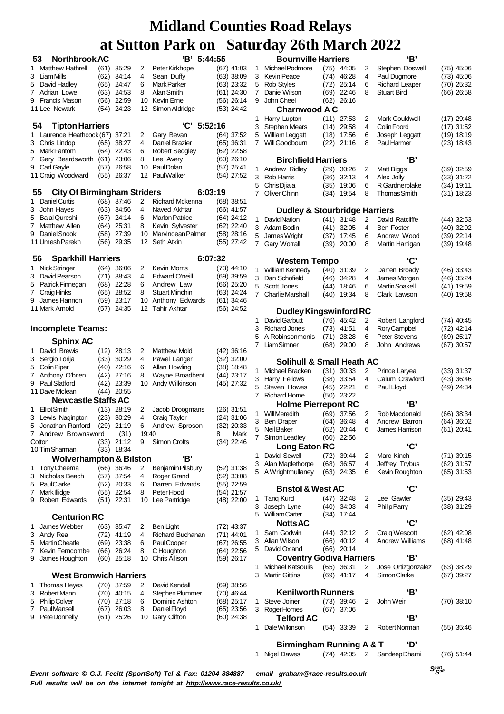|        | <b>Northbrook AC</b><br>53                                        |              |                |        | 'B' 5:44:55                         |                              |  |  |  |  |  |
|--------|-------------------------------------------------------------------|--------------|----------------|--------|-------------------------------------|------------------------------|--|--|--|--|--|
| 1      | <b>Matthew Hathrell</b>                                           | (61)         | 35:29          | 2      | Peter Kirkhope                      | $(67)$ 41:03                 |  |  |  |  |  |
| 3      | Liam Mills                                                        | (62)         | 34:14          | 4      | Sean Duffy                          | $(63)$ 38:09                 |  |  |  |  |  |
| 5      | David Hadley                                                      | (65)         | 24:47          | 6      | Mark Parker                         | (63) 23:32                   |  |  |  |  |  |
| 7      | Adrian Lowe                                                       | (63)         | 24:53          | 8      | Alan Smith                          | $(61)$ 24:30                 |  |  |  |  |  |
| 9      | <b>Francis Mason</b>                                              | (56)         | 22:59          |        | 10 Kevin Erne                       | (56) 26:14                   |  |  |  |  |  |
|        | 11 Lee Newark                                                     | (54)         | 24:23          | 12     | Simon Aldridge                      | $(53)$ 24:42                 |  |  |  |  |  |
|        | 54<br><b>Tipton Harriers</b>                                      |              |                |        | 'C'<br>5:52:16                      |                              |  |  |  |  |  |
| 1      | Laurence Heathcock (67)                                           |              | 37:21          | 2      | Gary Bevan                          | $(64)$ 37:52                 |  |  |  |  |  |
| 3      | Chris Lindop                                                      | (65)         | 38:27          | 4      | Daniel Brazier                      | $(65)$ 36:31                 |  |  |  |  |  |
| 5      | Mark Fantom                                                       | (64)         | 22:43          | 6      | <b>Robert Sedgley</b>               | $(62)$ 22:58                 |  |  |  |  |  |
| 7      | Gary Beardsworth                                                  | (61)         | 23:06          | 8      | Lee Avery                           | $(60)$ 26:10                 |  |  |  |  |  |
| 9      | Carl Gayle                                                        | (57)         | 26:58          | 10     | Paul Dolan                          | (57) 25:41                   |  |  |  |  |  |
|        | 12 PaulWalker<br>11 Craig Woodward<br>(55)<br>26:37<br>(54) 27:52 |              |                |        |                                     |                              |  |  |  |  |  |
|        | <b>City Of Birmingham Striders</b><br>55                          |              |                |        | 6:03:19                             |                              |  |  |  |  |  |
| 1      | Daniel Curtis                                                     | (68)         | 37:46          | 2      | Richard Mckenna                     | (68) 38:51                   |  |  |  |  |  |
| 3      | John Hayes                                                        | (63)         | 34:56          | 4      | Naved Akhtar                        | (66) 41:57                   |  |  |  |  |  |
| 5      | <b>Balal Qureshi</b>                                              | (67)         | 24:14          | 6      | <b>Marlon Patrice</b>               | (64) 24:12                   |  |  |  |  |  |
| 7      | Matthew Allen<br>Daniel Snook                                     | (64)         | 25:31<br>27:39 | 8      | Kevin Sylvester                     | (62) 22:40                   |  |  |  |  |  |
| 9      | 11 Umesh Parekh                                                   | (58)<br>(56) | 29:35          | 12     | 10 Marvindean Palmer<br>Seth Atkin  | (58) 28:16<br>(55) 27:42     |  |  |  |  |  |
|        |                                                                   |              |                |        |                                     |                              |  |  |  |  |  |
| 56     | <b>Sparkhill Harriers</b>                                         |              |                |        | 6:07:32                             |                              |  |  |  |  |  |
| 1      | Nick Stringer                                                     | (64)         | 36:06          | 2      | Kevin Morris                        | $(73)$ 44:10                 |  |  |  |  |  |
| 3      | David Pearson                                                     | (71)         | 38:43<br>22:28 | 4      | Edward O'neill                      | $(69)$ 39:59                 |  |  |  |  |  |
| 5<br>7 | Patrick Finnegan<br>Craig Hinks                                   | (68)<br>(65) | 28:52          | 6<br>8 | Andrew Law<br><b>Stuart Minchin</b> | (66) 25:20<br>(63) 24:24     |  |  |  |  |  |
| 9      | James Hannon                                                      | (59)         | 23:17          | 10     | Anthony Edwards                     | $(61)$ 34:46                 |  |  |  |  |  |
|        | 11 Mark Arnold                                                    | (57)         | 24:35          | 12     | <b>Tahir Akhtar</b>                 | $(56)$ 24:52                 |  |  |  |  |  |
|        | <b>Incomplete Teams:</b>                                          |              |                |        |                                     |                              |  |  |  |  |  |
|        | <b>Sphinx AC</b>                                                  |              |                |        |                                     |                              |  |  |  |  |  |
| 1      | David Brewis                                                      | (12)         | 28:13          | 2      | Matthew Mold                        | (42) 36:16                   |  |  |  |  |  |
| 3      | Sergio Torija                                                     | (33)         | 30:29          | 4      | Pawel Langer                        | (32) 32:00                   |  |  |  |  |  |
| 5      | Colin Piper                                                       | (40)         | 22:16          | 6      | Allan Howling                       | (38) 18:48                   |  |  |  |  |  |
| 7      | Anthony O'brien                                                   | (42)         | 27:16          | 8      | Wayne Broadbent                     | (44) 23:17                   |  |  |  |  |  |
| 9      | <b>Paul Slatford</b><br>11 Dave Mclean                            | (42)<br>(44) | 23:39<br>20:55 | 10     | Andy Wilkinson                      | (45) 27:32                   |  |  |  |  |  |
|        | <b>Newcastle Staffs AC</b>                                        |              |                |        |                                     |                              |  |  |  |  |  |
| 1      | <b>Elliot Smith</b>                                               | (13)         | 28:19          | 2      | Jacob Droogmans                     | (26) 31:51                   |  |  |  |  |  |
| 3      | Lewis Nagington                                                   | (23)         | 30:29          | 4      | Craig Taylor                        | (24) 31:06                   |  |  |  |  |  |
| 5      | Jonathan Ranford                                                  | (29)         | 21:19          | 6      | Andrew Sproson                      | $(32)$ 20:33                 |  |  |  |  |  |
| 7      | Andrew Brownsword                                                 |              | (31)           | 19:40  |                                     | 8<br>Mark                    |  |  |  |  |  |
|        | Cotton                                                            | (33)         | 21:12          | 9      | <b>Simon Crofts</b>                 | (34) 22:46                   |  |  |  |  |  |
|        | 10 Tim Sharman                                                    | (33)         | 18:34          |        |                                     |                              |  |  |  |  |  |
|        | Wolverhampton & Bilston                                           |              |                |        | 'В'                                 |                              |  |  |  |  |  |
| 1<br>3 | TonyCheema<br>Nicholas Beach                                      | (66)<br>(57) | 36:46<br>37:54 | 2<br>4 | Benjamin Pilsbury<br>Roger Grand    | $(52)$ 31:38<br>$(52)$ 33:08 |  |  |  |  |  |
| 5      | PaulClarke                                                        | (52)         | 20:33          | 6      | Darren Edwards                      | $(55)$ 22:59                 |  |  |  |  |  |
| 7      | Mark Illidge                                                      | (55)         | 22:54          | 8      | Peter Hood                          | (54) 21:57                   |  |  |  |  |  |
| 9      | Robert Edwards                                                    | (51)         | 22:31          | 10     | Lee Partridge                       | (48) 22:00                   |  |  |  |  |  |
|        |                                                                   |              |                |        |                                     |                              |  |  |  |  |  |
| 1      | <b>Centurion RC</b><br>James Webber                               | (63)         | 35:47          | 2      | <b>Ben Light</b>                    |                              |  |  |  |  |  |
| 3      | Andy Rea                                                          | (72)         | 41:19          | 4      | Richard Buchanan                    | (72) 43:37<br>$(71)$ 44:01   |  |  |  |  |  |
| 5      | Martin Cheatle                                                    | (69)         | 23:38          | 6      | Paul Cooper                         | (67) 26:55                   |  |  |  |  |  |
| 7      | Kevin Ferncombe                                                   | (66)         | 26:24          | 8      | C Houghton                          | (64) 22:56                   |  |  |  |  |  |
| 9      | James Houghton                                                    | (60)         | 25:18          | 10     | Chris Allison                       | (59) 26:17                   |  |  |  |  |  |
|        |                                                                   |              |                |        |                                     |                              |  |  |  |  |  |
| 1      | <b>West Bromwich Harriers</b><br><b>Thomas Heyes</b>              | (70)         | 37:59          | 2      | David Kendall                       |                              |  |  |  |  |  |
| 3      | Robert Mann                                                       | (70)         | 40:15          | 4      | Stephen Plummer                     | $(69)$ 38:56<br>(70) 46:44   |  |  |  |  |  |
| 5      | <b>Philip Colver</b>                                              | (70)         | 27:18          | 6      | Dominic Ashton                      | (68) 25:17                   |  |  |  |  |  |
| 7      | <b>PaulMansell</b>                                                | (67)         | 26:03          | 8      | Daniel Floyd                        | $(65)$ 23:56                 |  |  |  |  |  |
| 9      | Pete Donnelly                                                     | (61)         | 25:26          | 10     | Gary Clifton                        | $(60)$ 24:38                 |  |  |  |  |  |
|        |                                                                   |              |                |        |                                     |                              |  |  |  |  |  |

|        | Tuay 20th Ivial Ch 2022                    |              |                |        |                                      |                              |
|--------|--------------------------------------------|--------------|----------------|--------|--------------------------------------|------------------------------|
|        | <b>Bournville Harriers</b>                 |              |                |        | 'В'                                  |                              |
| 1      | Michael Podmore                            |              | $(75)$ 44:05   | 2      | Stephen Doswell                      | $(75)$ 45:06                 |
| 3      | <b>Kevin Peace</b>                         | (74)         | 46:28          | 4      | Paul Dugmore                         | $(73)$ 45:06                 |
| 5      | <b>Rob Styles</b>                          | (72)         | 25:14          | 6      | <b>Richard Leaper</b>                | $(70)$ 25:32                 |
| 7      | Daniel Wilson                              | (69)         | 22:46          | 8      | <b>Stuart Bird</b>                   | $(66)$ 26:58                 |
| 9      | John Cheel                                 | (62)         | 26:16          |        |                                      |                              |
|        | <b>Charnwood A C</b>                       |              |                |        |                                      |                              |
| 1      | Harry Lupton                               | (11)         | 27:53          | 2      | Mark Couldwell                       | $(17)$ 29:48                 |
| 3      | <b>Stephen Mears</b><br>William Leggatt    | (14)         | 29:58          | 4      | Colin Foord                          | $(17)$ 31:52                 |
| 5<br>7 | Will Goodbourn                             | (18)         | 17:56<br>21:16 | 6<br>8 | Joseph Leggatt<br><b>PaulHarmer</b>  | $(19)$ 18:19                 |
|        |                                            | (22)         |                |        |                                      | $(23)$ 18:43                 |
|        | <b>Birchfield Harriers</b>                 |              |                |        | 'В'                                  |                              |
| 1      | Andrew Ridley                              | (29)         | 30:26          | 2      | Matt Biggs                           | $(39)$ 32:59                 |
| 3      | Rob Harris                                 | (36)         | 32:13          | 4      | Alex Jolly                           | $(33)$ 31:22                 |
| 5      | Chris Djiala                               | (35)         | 19:06          | 6      | R Gardnerblake                       | $(34)$ 19:11                 |
| 7      | Oliver Chinn                               | (34)         | 19:54          | 8      | <b>Thomas Smith</b>                  | $(31)$ 18:23                 |
|        |                                            |              |                |        |                                      |                              |
|        | <b>Dudley &amp; Stourbridge Harriers</b>   |              |                |        |                                      |                              |
| 1      | David Nation                               | (41)         | 31:48          | 2      | David Ratcliffe                      | $(44)$ 32:53                 |
| 3      | Adam Bodin                                 | (41)         | 32:05          | 4      | <b>Ben Foster</b>                    | $(40)$ 32:02                 |
| 5      | James Wright                               | (37)         | 17:45          | 6      | Andrew Wood<br>Martin Harrigan       | $(39)$ 22:14                 |
| 7      | Gary Worrall                               | (39)         | 20:00          | 8      |                                      | $(39)$ 19:48                 |
|        | <b>Western Tempo</b>                       |              |                |        | 'C'                                  |                              |
| 1      | William Kennedy                            | (40)         | 31:39          | 2      | Darren Broady                        | $(46)$ 33:43                 |
| 3      | Dan Schofield                              | (46)         | 34:28          | 4      | James Morgan                         | $(46)$ 35:24                 |
| 5      | Scott Jones                                | (44)         | 18:46          | 6      | <b>Martin Soakell</b>                | $(41)$ 19.59                 |
| 7      | Charlie Marshall                           | (40)         | 19:34          | 8      | Clark Lawson                         | $(40)$ 19:58                 |
|        |                                            |              |                |        |                                      |                              |
|        | <b>Dudley Kingswinford RC</b>              |              |                |        |                                      |                              |
| 1      | David Garbutt                              | (76)         | 45:42          | 2      | Robert Langford                      | (74) 40:45                   |
| 3      | <b>Richard Jones</b>                       | (73)         | 41:51          | 4      | Rory Campbell                        | $(72)$ 42:14                 |
| 5<br>7 | A Robinsonmorris<br><b>Liam Simner</b>     | (71)         | 28:28          | 6      | <b>Peter Stevens</b><br>John Andrews | $(69)$ 25:17                 |
|        |                                            | (68)         | 29:00          | 8      |                                      | $(67)$ 30:57                 |
|        | Solihull & Small Heath AC                  |              |                |        |                                      |                              |
| 1      | Michael Bracken                            | (31)         | 30:33          | 2      | Prince Laryea                        | $(33)$ 31:37                 |
| 3      | <b>Harry Fellows</b>                       | (38)         | 33.54          | 4      | Calum Crawford                       | $(43)$ 36:46                 |
| 5      | Steven Howes                               | (45)         | 22:21          | 6      | Paul Lloyd                           | (49) 24:34                   |
| 7      | <b>Richard Home</b>                        | (50)         | 23:22          |        |                                      |                              |
|        | <b>Holme Pierrepont RC</b>                 |              |                |        | 'В'                                  |                              |
| 1      | <b>Will Meredith</b>                       | (69)         | 37:56          | 2      | Rob Macdonald                        | $(66)$ 38:34                 |
| 3      | Ben Draper                                 | (64)         | 36:48          | 4      | Andrew Barron                        | $(64)$ 36:02                 |
| 5      | Neil Baker                                 | (62)         | 20:44          | 6      | James Harrison                       | $(61)$ 20:41                 |
| 7      | Simon Leadley                              | (60)         | 22:56          |        | 'C'                                  |                              |
|        | Long Eaton RC                              |              |                |        |                                      |                              |
| 1<br>3 | David Sewell<br>Alan Maplethorpe           | (72)<br>(68) | 39:44<br>36:57 | 2<br>4 | Marc Kinch<br>Jeffrey Trybus         | $(71)$ 39:15<br>$(62)$ 31:57 |
| 5      | A Wrightmullaney                           | (63)         | 24:35          | 6      | Kevin Roughton                       | $(65)$ 31:53                 |
|        |                                            |              |                |        |                                      |                              |
|        | <b>Bristol &amp; West AC</b>               |              |                |        | 'C'                                  |                              |
| 1      | <b>Tariq Kurd</b>                          | (47)         | 32:48          | 2      | Lee Gawler                           | $(35)$ 29:43                 |
| 3      | Joseph Lyne                                | (40)         | 34:03          | 4      | Philip Parry                         | $(38)$ 31:29                 |
| 5      | <b>William Carter</b>                      | (34)         | 17:44          |        |                                      |                              |
|        | <b>Notts AC</b>                            |              |                |        | 'C'                                  |                              |
| 1      | Sam Godwin                                 | (44)         | 32:12          | 2      | Craig Wescott                        | $(62)$ 42:08                 |
| 3      | Allan Wilson                               | (66)         | 40:12          | 4      | Andrew Williams                      | (68) 41:48                   |
| 5      | David Oxland                               | (66)         | 20:14          |        | 'В'                                  |                              |
|        | <b>Coventry Godiva Harriers</b>            |              |                |        |                                      |                              |
| 1<br>3 | Michael Katsoulis<br><b>Martin Gittins</b> | (65)<br>(69) | 36:31<br>41:17 | 2<br>4 | Jose Ortizgonzalez<br>Simon Clarke   | $(63)$ 38:29<br>$(67)$ 39:27 |
|        |                                            |              |                |        |                                      |                              |
|        | <b>Kenilworth Runners</b>                  |              |                |        | 'В'                                  |                              |
| 1      | Steve Joiner                               | (73)         | 39:46          | 2      | John Weir                            | $(70)$ 38:10                 |
| 3      | Roger Homes                                | (67)         | 37:06          |        |                                      |                              |
|        | Telford AC                                 |              |                |        | 'В'                                  |                              |
| 1      | Dale Wilkinson                             | (54)         | 33:39          | 2      | Robert Norman                        | $(55)$ 35:46                 |
|        |                                            |              |                |        |                                      |                              |
|        | <b>Birmingham Running A &amp; T</b>        |              |                |        | ʻD'                                  |                              |
| 1      | <b>Nigel Dawes</b>                         |              |                |        | (74) 42:05 2 Sandeep Dhami           | $(76)$ 51:44                 |

*Event software © G.J. Fecitt (SportSoft) Tel & Fax: 01204 884887 email [graham@race-results.co.uk](mailto:graham@race-results.co.uk) Full results will be on the internet tonight at <http://www.race-results.co.uk/>*